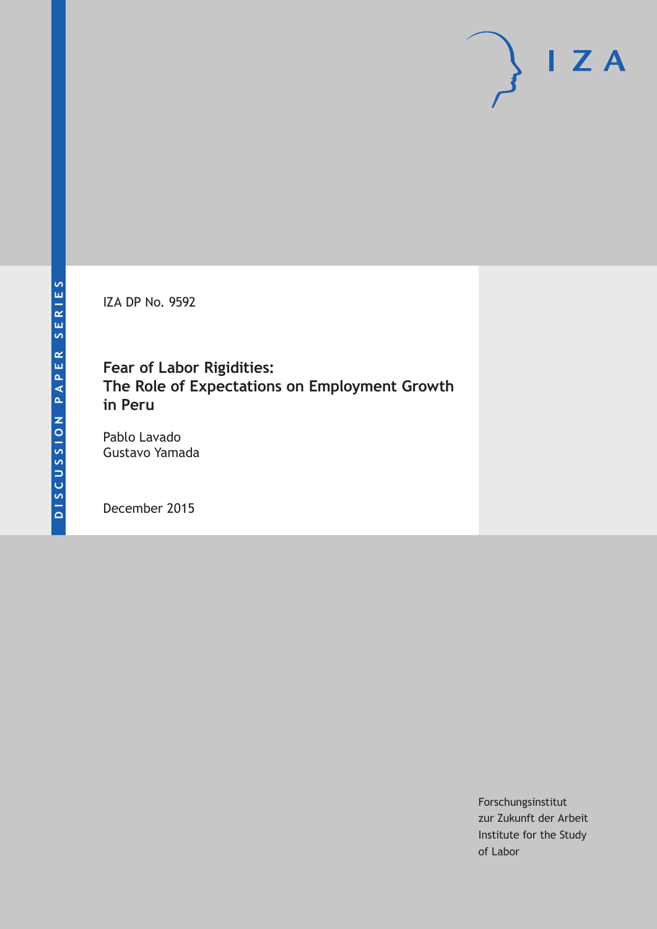IZA DP No. 9592

## **Fear of Labor Rigidities: The Role of Expectations on Employment Growth in Peru**

Pablo Lavado Gustavo Yamada

December 2015

Forschungsinstitut zur Zukunft der Arbeit Institute for the Study of Labor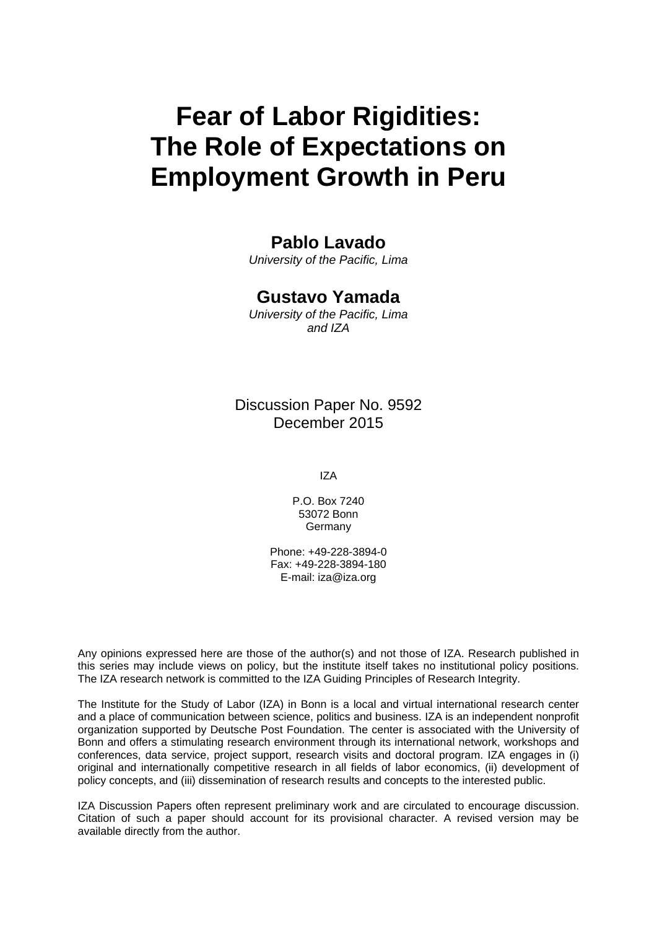# **Fear of Labor Rigidities: The Role of Expectations on Employment Growth in Peru**

### **Pablo Lavado**

*University of the Pacific, Lima* 

#### **Gustavo Yamada**

*University of the Pacific, Lima and IZA* 

Discussion Paper No. 9592 December 2015

IZA

P.O. Box 7240 53072 Bonn Germany

Phone: +49-228-3894-0 Fax: +49-228-3894-180 E-mail: iza@iza.org

Any opinions expressed here are those of the author(s) and not those of IZA. Research published in this series may include views on policy, but the institute itself takes no institutional policy positions. The IZA research network is committed to the IZA Guiding Principles of Research Integrity.

The Institute for the Study of Labor (IZA) in Bonn is a local and virtual international research center and a place of communication between science, politics and business. IZA is an independent nonprofit organization supported by Deutsche Post Foundation. The center is associated with the University of Bonn and offers a stimulating research environment through its international network, workshops and conferences, data service, project support, research visits and doctoral program. IZA engages in (i) original and internationally competitive research in all fields of labor economics, (ii) development of policy concepts, and (iii) dissemination of research results and concepts to the interested public.

IZA Discussion Papers often represent preliminary work and are circulated to encourage discussion. Citation of such a paper should account for its provisional character. A revised version may be available directly from the author.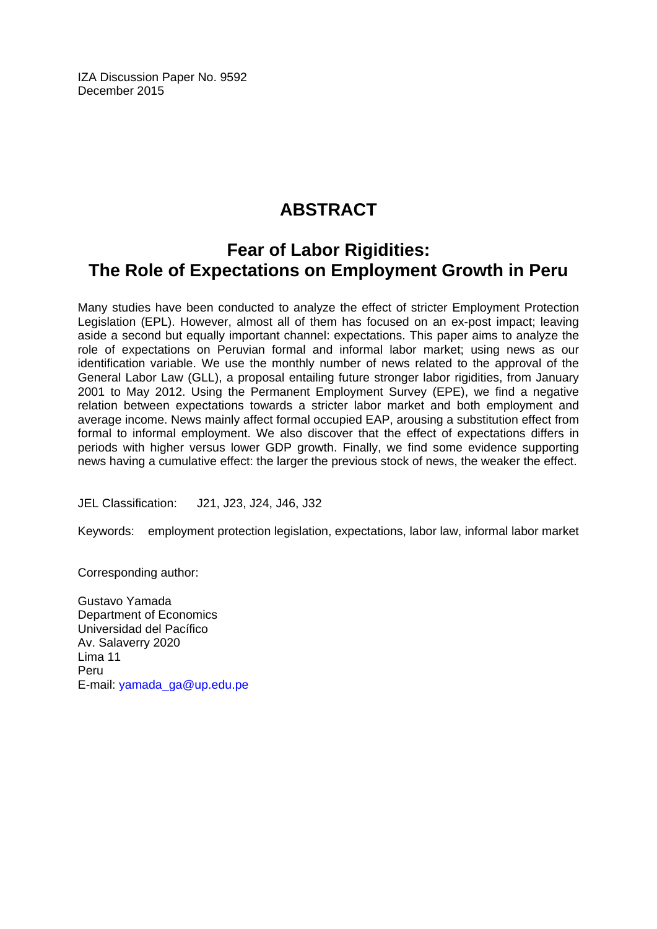IZA Discussion Paper No. 9592 December 2015

# **ABSTRACT**

## **Fear of Labor Rigidities: The Role of Expectations on Employment Growth in Peru**

Many studies have been conducted to analyze the effect of stricter Employment Protection Legislation (EPL). However, almost all of them has focused on an ex-post impact; leaving aside a second but equally important channel: expectations. This paper aims to analyze the role of expectations on Peruvian formal and informal labor market; using news as our identification variable. We use the monthly number of news related to the approval of the General Labor Law (GLL), a proposal entailing future stronger labor rigidities, from January 2001 to May 2012. Using the Permanent Employment Survey (EPE), we find a negative relation between expectations towards a stricter labor market and both employment and average income. News mainly affect formal occupied EAP, arousing a substitution effect from formal to informal employment. We also discover that the effect of expectations differs in periods with higher versus lower GDP growth. Finally, we find some evidence supporting news having a cumulative effect: the larger the previous stock of news, the weaker the effect.

JEL Classification: J21, J23, J24, J46, J32

Keywords: employment protection legislation, expectations, labor law, informal labor market

Corresponding author:

Gustavo Yamada Department of Economics Universidad del Pacífico Av. Salaverry 2020 Lima 11 Peru E-mail: yamada\_ga@up.edu.pe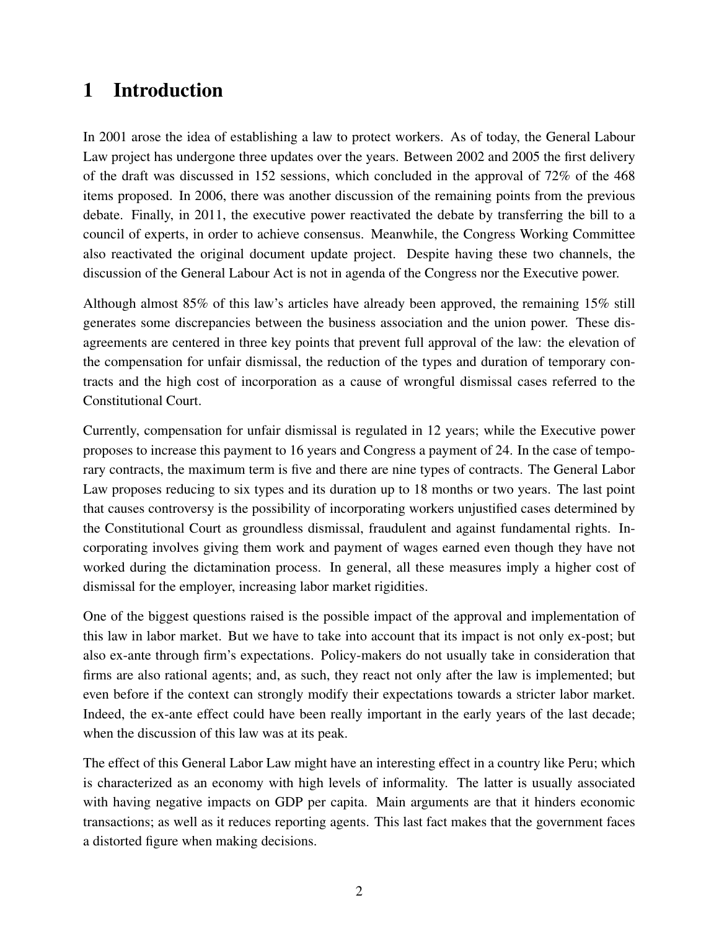## 1 Introduction

In 2001 arose the idea of establishing a law to protect workers. As of today, the General Labour Law project has undergone three updates over the years. Between 2002 and 2005 the first delivery of the draft was discussed in 152 sessions, which concluded in the approval of 72% of the 468 items proposed. In 2006, there was another discussion of the remaining points from the previous debate. Finally, in 2011, the executive power reactivated the debate by transferring the bill to a council of experts, in order to achieve consensus. Meanwhile, the Congress Working Committee also reactivated the original document update project. Despite having these two channels, the discussion of the General Labour Act is not in agenda of the Congress nor the Executive power.

Although almost 85% of this law's articles have already been approved, the remaining 15% still generates some discrepancies between the business association and the union power. These disagreements are centered in three key points that prevent full approval of the law: the elevation of the compensation for unfair dismissal, the reduction of the types and duration of temporary contracts and the high cost of incorporation as a cause of wrongful dismissal cases referred to the Constitutional Court.

Currently, compensation for unfair dismissal is regulated in 12 years; while the Executive power proposes to increase this payment to 16 years and Congress a payment of 24. In the case of temporary contracts, the maximum term is five and there are nine types of contracts. The General Labor Law proposes reducing to six types and its duration up to 18 months or two years. The last point that causes controversy is the possibility of incorporating workers unjustified cases determined by the Constitutional Court as groundless dismissal, fraudulent and against fundamental rights. Incorporating involves giving them work and payment of wages earned even though they have not worked during the dictamination process. In general, all these measures imply a higher cost of dismissal for the employer, increasing labor market rigidities.

One of the biggest questions raised is the possible impact of the approval and implementation of this law in labor market. But we have to take into account that its impact is not only ex-post; but also ex-ante through firm's expectations. Policy-makers do not usually take in consideration that firms are also rational agents; and, as such, they react not only after the law is implemented; but even before if the context can strongly modify their expectations towards a stricter labor market. Indeed, the ex-ante effect could have been really important in the early years of the last decade; when the discussion of this law was at its peak.

The effect of this General Labor Law might have an interesting effect in a country like Peru; which is characterized as an economy with high levels of informality. The latter is usually associated with having negative impacts on GDP per capita. Main arguments are that it hinders economic transactions; as well as it reduces reporting agents. This last fact makes that the government faces a distorted figure when making decisions.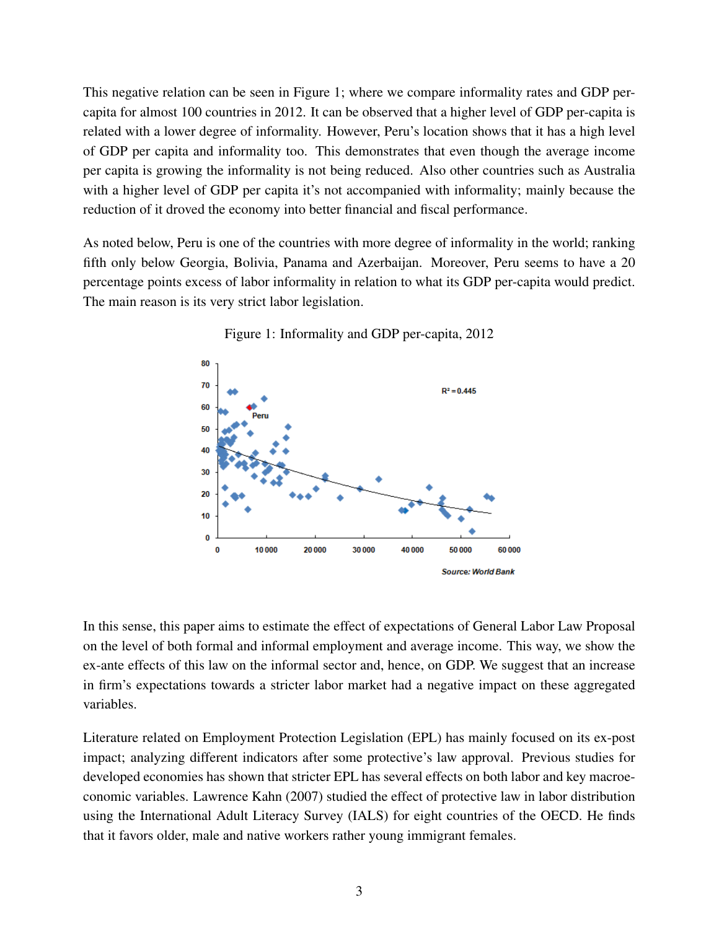This negative relation can be seen in Figure 1; where we compare informality rates and GDP percapita for almost 100 countries in 2012. It can be observed that a higher level of GDP per-capita is related with a lower degree of informality. However, Peru's location shows that it has a high level of GDP per capita and informality too. This demonstrates that even though the average income per capita is growing the informality is not being reduced. Also other countries such as Australia with a higher level of GDP per capita it's not accompanied with informality; mainly because the reduction of it droved the economy into better financial and fiscal performance.

As noted below, Peru is one of the countries with more degree of informality in the world; ranking fifth only below Georgia, Bolivia, Panama and Azerbaijan. Moreover, Peru seems to have a 20 percentage points excess of labor informality in relation to what its GDP per-capita would predict. The main reason is its very strict labor legislation.



Figure 1: Informality and GDP per-capita, 2012

In this sense, this paper aims to estimate the effect of expectations of General Labor Law Proposal on the level of both formal and informal employment and average income. This way, we show the ex-ante effects of this law on the informal sector and, hence, on GDP. We suggest that an increase in firm's expectations towards a stricter labor market had a negative impact on these aggregated variables.

Literature related on Employment Protection Legislation (EPL) has mainly focused on its ex-post impact; analyzing different indicators after some protective's law approval. Previous studies for developed economies has shown that stricter EPL has several effects on both labor and key macroeconomic variables. Lawrence Kahn (2007) studied the effect of protective law in labor distribution using the International Adult Literacy Survey (IALS) for eight countries of the OECD. He finds that it favors older, male and native workers rather young immigrant females.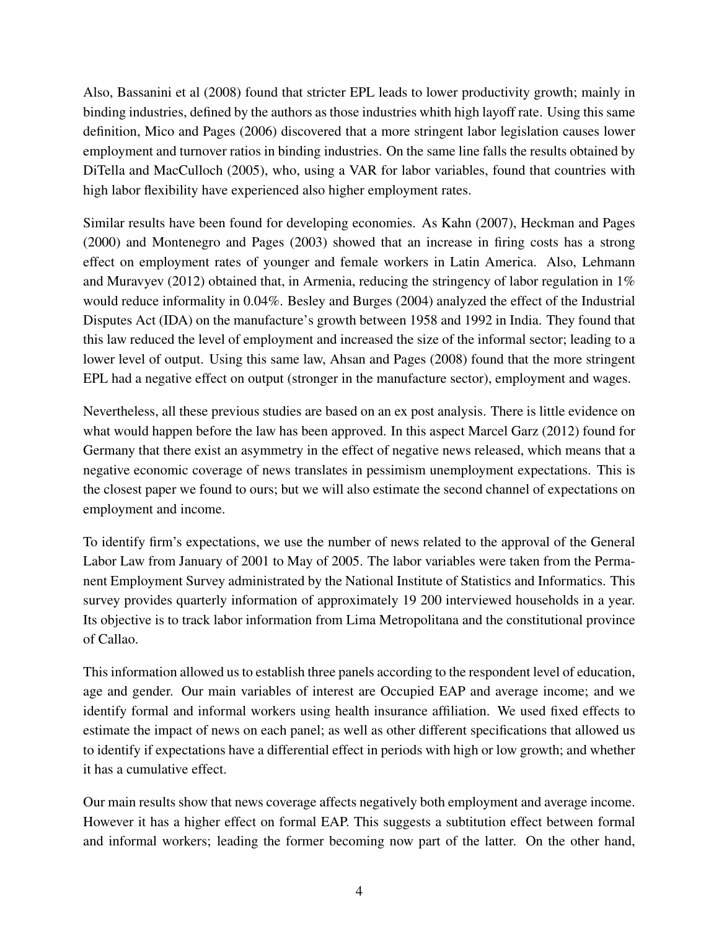Also, Bassanini et al (2008) found that stricter EPL leads to lower productivity growth; mainly in binding industries, defined by the authors as those industries whith high layoff rate. Using this same definition, Mico and Pages (2006) discovered that a more stringent labor legislation causes lower employment and turnover ratios in binding industries. On the same line falls the results obtained by DiTella and MacCulloch (2005), who, using a VAR for labor variables, found that countries with high labor flexibility have experienced also higher employment rates.

Similar results have been found for developing economies. As Kahn (2007), Heckman and Pages (2000) and Montenegro and Pages (2003) showed that an increase in firing costs has a strong effect on employment rates of younger and female workers in Latin America. Also, Lehmann and Muravyev (2012) obtained that, in Armenia, reducing the stringency of labor regulation in  $1\%$ would reduce informality in 0.04%. Besley and Burges (2004) analyzed the effect of the Industrial Disputes Act (IDA) on the manufacture's growth between 1958 and 1992 in India. They found that this law reduced the level of employment and increased the size of the informal sector; leading to a lower level of output. Using this same law, Ahsan and Pages (2008) found that the more stringent EPL had a negative effect on output (stronger in the manufacture sector), employment and wages.

Nevertheless, all these previous studies are based on an ex post analysis. There is little evidence on what would happen before the law has been approved. In this aspect Marcel Garz (2012) found for Germany that there exist an asymmetry in the effect of negative news released, which means that a negative economic coverage of news translates in pessimism unemployment expectations. This is the closest paper we found to ours; but we will also estimate the second channel of expectations on employment and income.

To identify firm's expectations, we use the number of news related to the approval of the General Labor Law from January of 2001 to May of 2005. The labor variables were taken from the Permanent Employment Survey administrated by the National Institute of Statistics and Informatics. This survey provides quarterly information of approximately 19 200 interviewed households in a year. Its objective is to track labor information from Lima Metropolitana and the constitutional province of Callao.

This information allowed us to establish three panels according to the respondent level of education, age and gender. Our main variables of interest are Occupied EAP and average income; and we identify formal and informal workers using health insurance affiliation. We used fixed effects to estimate the impact of news on each panel; as well as other different specifications that allowed us to identify if expectations have a differential effect in periods with high or low growth; and whether it has a cumulative effect.

Our main results show that news coverage affects negatively both employment and average income. However it has a higher effect on formal EAP. This suggests a subtitution effect between formal and informal workers; leading the former becoming now part of the latter. On the other hand,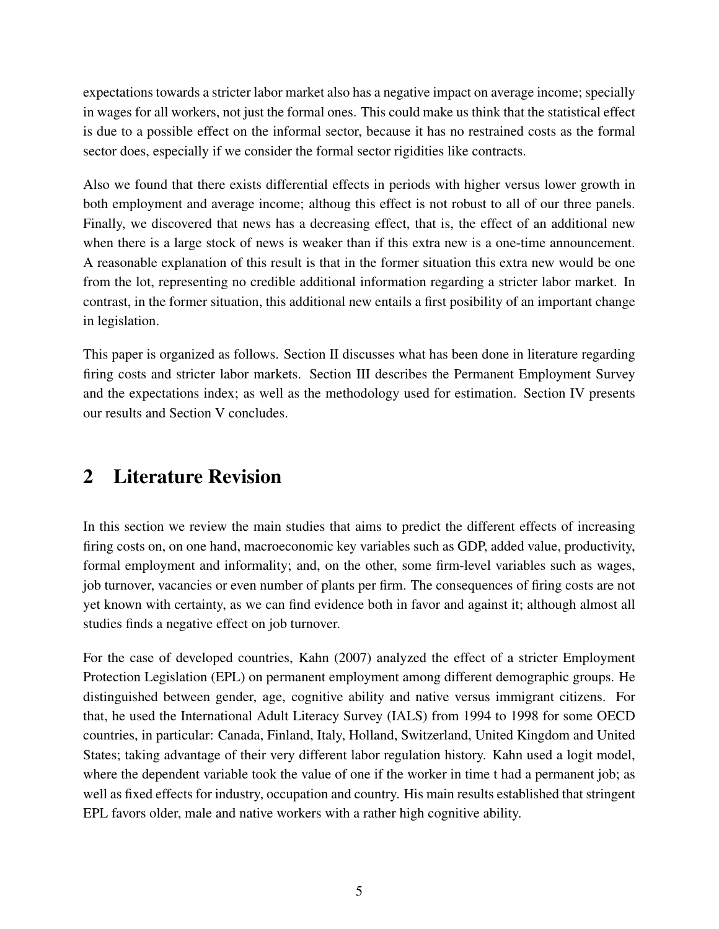expectations towards a stricter labor market also has a negative impact on average income; specially in wages for all workers, not just the formal ones. This could make us think that the statistical effect is due to a possible effect on the informal sector, because it has no restrained costs as the formal sector does, especially if we consider the formal sector rigidities like contracts.

Also we found that there exists differential effects in periods with higher versus lower growth in both employment and average income; althoug this effect is not robust to all of our three panels. Finally, we discovered that news has a decreasing effect, that is, the effect of an additional new when there is a large stock of news is weaker than if this extra new is a one-time announcement. A reasonable explanation of this result is that in the former situation this extra new would be one from the lot, representing no credible additional information regarding a stricter labor market. In contrast, in the former situation, this additional new entails a first posibility of an important change in legislation.

This paper is organized as follows. Section II discusses what has been done in literature regarding firing costs and stricter labor markets. Section III describes the Permanent Employment Survey and the expectations index; as well as the methodology used for estimation. Section IV presents our results and Section V concludes.

# 2 Literature Revision

In this section we review the main studies that aims to predict the different effects of increasing firing costs on, on one hand, macroeconomic key variables such as GDP, added value, productivity, formal employment and informality; and, on the other, some firm-level variables such as wages, job turnover, vacancies or even number of plants per firm. The consequences of firing costs are not yet known with certainty, as we can find evidence both in favor and against it; although almost all studies finds a negative effect on job turnover.

For the case of developed countries, Kahn (2007) analyzed the effect of a stricter Employment Protection Legislation (EPL) on permanent employment among different demographic groups. He distinguished between gender, age, cognitive ability and native versus immigrant citizens. For that, he used the International Adult Literacy Survey (IALS) from 1994 to 1998 for some OECD countries, in particular: Canada, Finland, Italy, Holland, Switzerland, United Kingdom and United States; taking advantage of their very different labor regulation history. Kahn used a logit model, where the dependent variable took the value of one if the worker in time t had a permanent job; as well as fixed effects for industry, occupation and country. His main results established that stringent EPL favors older, male and native workers with a rather high cognitive ability.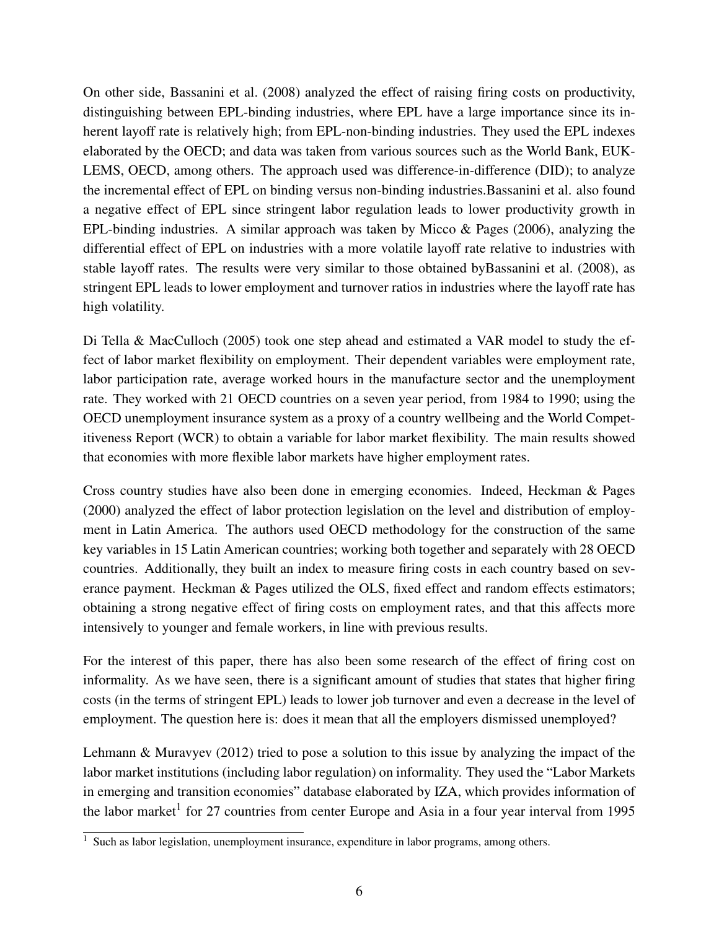On other side, Bassanini et al. (2008) analyzed the effect of raising firing costs on productivity, distinguishing between EPL-binding industries, where EPL have a large importance since its inherent layoff rate is relatively high; from EPL-non-binding industries. They used the EPL indexes elaborated by the OECD; and data was taken from various sources such as the World Bank, EUK-LEMS, OECD, among others. The approach used was difference-in-difference (DID); to analyze the incremental effect of EPL on binding versus non-binding industries.Bassanini et al. also found a negative effect of EPL since stringent labor regulation leads to lower productivity growth in EPL-binding industries. A similar approach was taken by Micco & Pages (2006), analyzing the differential effect of EPL on industries with a more volatile layoff rate relative to industries with stable layoff rates. The results were very similar to those obtained byBassanini et al. (2008), as stringent EPL leads to lower employment and turnover ratios in industries where the layoff rate has high volatility.

Di Tella & MacCulloch (2005) took one step ahead and estimated a VAR model to study the effect of labor market flexibility on employment. Their dependent variables were employment rate, labor participation rate, average worked hours in the manufacture sector and the unemployment rate. They worked with 21 OECD countries on a seven year period, from 1984 to 1990; using the OECD unemployment insurance system as a proxy of a country wellbeing and the World Competitiveness Report (WCR) to obtain a variable for labor market flexibility. The main results showed that economies with more flexible labor markets have higher employment rates.

Cross country studies have also been done in emerging economies. Indeed, Heckman & Pages (2000) analyzed the effect of labor protection legislation on the level and distribution of employment in Latin America. The authors used OECD methodology for the construction of the same key variables in 15 Latin American countries; working both together and separately with 28 OECD countries. Additionally, they built an index to measure firing costs in each country based on severance payment. Heckman & Pages utilized the OLS, fixed effect and random effects estimators; obtaining a strong negative effect of firing costs on employment rates, and that this affects more intensively to younger and female workers, in line with previous results.

For the interest of this paper, there has also been some research of the effect of firing cost on informality. As we have seen, there is a significant amount of studies that states that higher firing costs (in the terms of stringent EPL) leads to lower job turnover and even a decrease in the level of employment. The question here is: does it mean that all the employers dismissed unemployed?

Lehmann & Muravyev (2012) tried to pose a solution to this issue by analyzing the impact of the labor market institutions (including labor regulation) on informality. They used the "Labor Markets in emerging and transition economies" database elaborated by IZA, which provides information of the labor market<sup>1</sup> for 27 countries from center Europe and Asia in a four year interval from 1995

 $1$  Such as labor legislation, unemployment insurance, expenditure in labor programs, among others.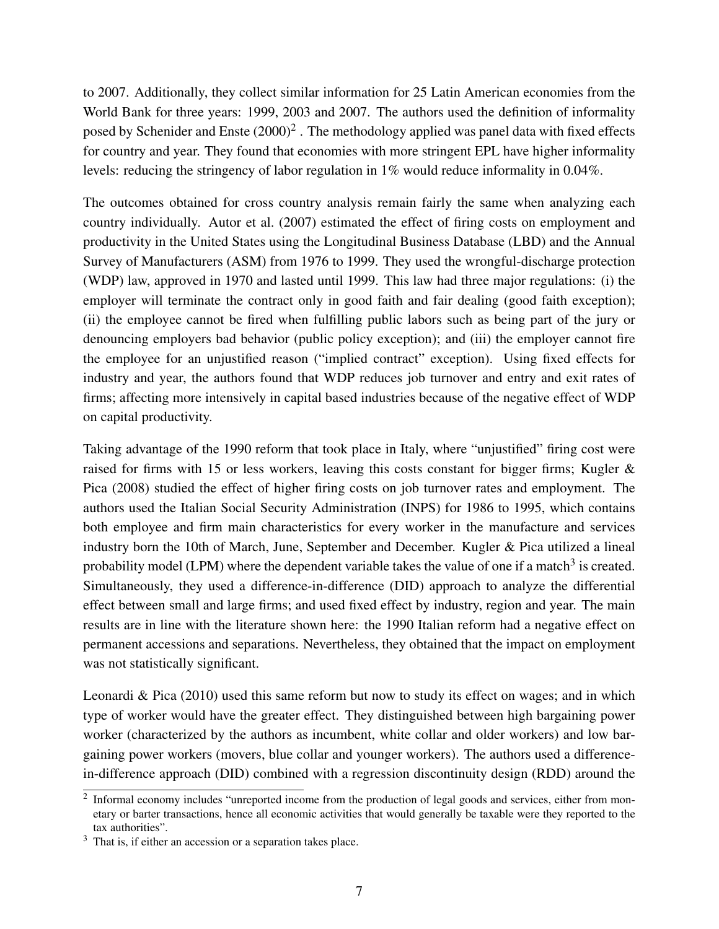to 2007. Additionally, they collect similar information for 25 Latin American economies from the World Bank for three years: 1999, 2003 and 2007. The authors used the definition of informality posed by Schenider and Enste  $(2000)^2$  . The methodology applied was panel data with fixed effects for country and year. They found that economies with more stringent EPL have higher informality levels: reducing the stringency of labor regulation in 1% would reduce informality in 0.04%.

The outcomes obtained for cross country analysis remain fairly the same when analyzing each country individually. Autor et al. (2007) estimated the effect of firing costs on employment and productivity in the United States using the Longitudinal Business Database (LBD) and the Annual Survey of Manufacturers (ASM) from 1976 to 1999. They used the wrongful-discharge protection (WDP) law, approved in 1970 and lasted until 1999. This law had three major regulations: (i) the employer will terminate the contract only in good faith and fair dealing (good faith exception); (ii) the employee cannot be fired when fulfilling public labors such as being part of the jury or denouncing employers bad behavior (public policy exception); and (iii) the employer cannot fire the employee for an unjustified reason ("implied contract" exception). Using fixed effects for industry and year, the authors found that WDP reduces job turnover and entry and exit rates of firms; affecting more intensively in capital based industries because of the negative effect of WDP on capital productivity.

Taking advantage of the 1990 reform that took place in Italy, where "unjustified" firing cost were raised for firms with 15 or less workers, leaving this costs constant for bigger firms; Kugler & Pica (2008) studied the effect of higher firing costs on job turnover rates and employment. The authors used the Italian Social Security Administration (INPS) for 1986 to 1995, which contains both employee and firm main characteristics for every worker in the manufacture and services industry born the 10th of March, June, September and December. Kugler & Pica utilized a lineal probability model (LPM) where the dependent variable takes the value of one if a match<sup>3</sup> is created. Simultaneously, they used a difference-in-difference (DID) approach to analyze the differential effect between small and large firms; and used fixed effect by industry, region and year. The main results are in line with the literature shown here: the 1990 Italian reform had a negative effect on permanent accessions and separations. Nevertheless, they obtained that the impact on employment was not statistically significant.

Leonardi & Pica (2010) used this same reform but now to study its effect on wages; and in which type of worker would have the greater effect. They distinguished between high bargaining power worker (characterized by the authors as incumbent, white collar and older workers) and low bargaining power workers (movers, blue collar and younger workers). The authors used a differencein-difference approach (DID) combined with a regression discontinuity design (RDD) around the

 $2$  Informal economy includes "unreported income from the production of legal goods and services, either from monetary or barter transactions, hence all economic activities that would generally be taxable were they reported to the tax authorities".

 $3$  That is, if either an accession or a separation takes place.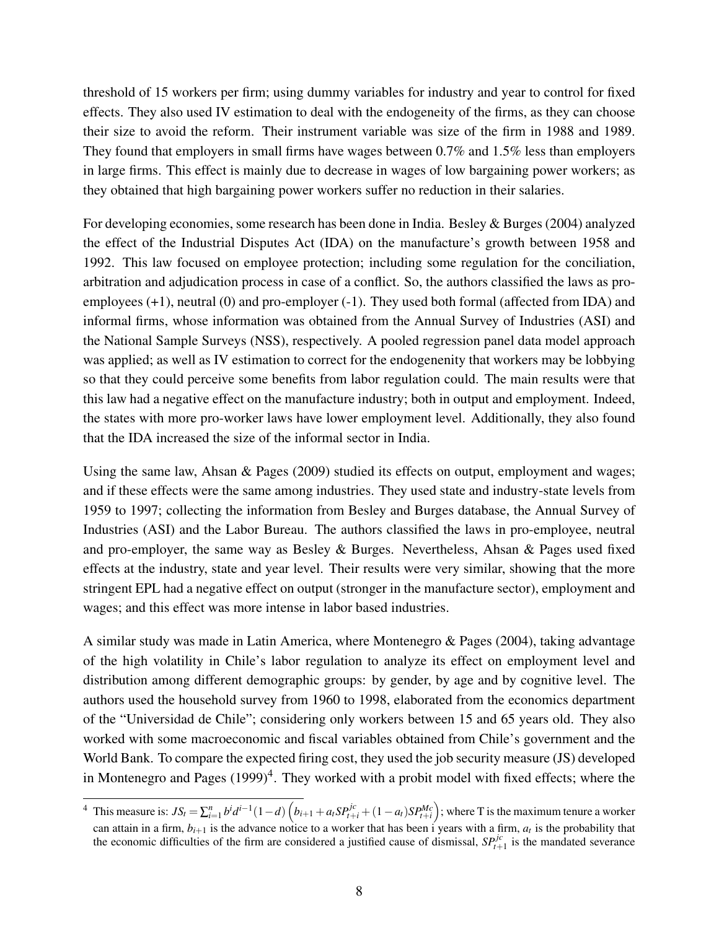threshold of 15 workers per firm; using dummy variables for industry and year to control for fixed effects. They also used IV estimation to deal with the endogeneity of the firms, as they can choose their size to avoid the reform. Their instrument variable was size of the firm in 1988 and 1989. They found that employers in small firms have wages between 0.7% and 1.5% less than employers in large firms. This effect is mainly due to decrease in wages of low bargaining power workers; as they obtained that high bargaining power workers suffer no reduction in their salaries.

For developing economies, some research has been done in India. Besley & Burges (2004) analyzed the effect of the Industrial Disputes Act (IDA) on the manufacture's growth between 1958 and 1992. This law focused on employee protection; including some regulation for the conciliation, arbitration and adjudication process in case of a conflict. So, the authors classified the laws as proemployees (+1), neutral (0) and pro-employer (-1). They used both formal (affected from IDA) and informal firms, whose information was obtained from the Annual Survey of Industries (ASI) and the National Sample Surveys (NSS), respectively. A pooled regression panel data model approach was applied; as well as IV estimation to correct for the endogenenity that workers may be lobbying so that they could perceive some benefits from labor regulation could. The main results were that this law had a negative effect on the manufacture industry; both in output and employment. Indeed, the states with more pro-worker laws have lower employment level. Additionally, they also found that the IDA increased the size of the informal sector in India.

Using the same law, Ahsan & Pages (2009) studied its effects on output, employment and wages; and if these effects were the same among industries. They used state and industry-state levels from 1959 to 1997; collecting the information from Besley and Burges database, the Annual Survey of Industries (ASI) and the Labor Bureau. The authors classified the laws in pro-employee, neutral and pro-employer, the same way as Besley & Burges. Nevertheless, Ahsan & Pages used fixed effects at the industry, state and year level. Their results were very similar, showing that the more stringent EPL had a negative effect on output (stronger in the manufacture sector), employment and wages; and this effect was more intense in labor based industries.

A similar study was made in Latin America, where Montenegro & Pages (2004), taking advantage of the high volatility in Chile's labor regulation to analyze its effect on employment level and distribution among different demographic groups: by gender, by age and by cognitive level. The authors used the household survey from 1960 to 1998, elaborated from the economics department of the "Universidad de Chile"; considering only workers between 15 and 65 years old. They also worked with some macroeconomic and fiscal variables obtained from Chile's government and the World Bank. To compare the expected firing cost, they used the job security measure (JS) developed in Montenegro and Pages  $(1999)^4$ . They worked with a probit model with fixed effects; where the

<sup>&</sup>lt;sup>4</sup> This measure is:  $JS_t = \sum_{i=1}^n b^i d^{i-1} (1-d) \left( b_{i+1} + a_i SP_{t+i}^{jc} + (1-a_t) SP_{t+i}^{Mc} \right)$ ; where T is the maximum tenure a worker can attain in a firm,  $b_{i+1}$  is the advance notice to a worker that has been i years with a firm,  $a_t$  is the probability that the economic difficulties of the firm are considered a justified cause of dismissal,  $SP^{jc}_{t+1}$  is the mandated severance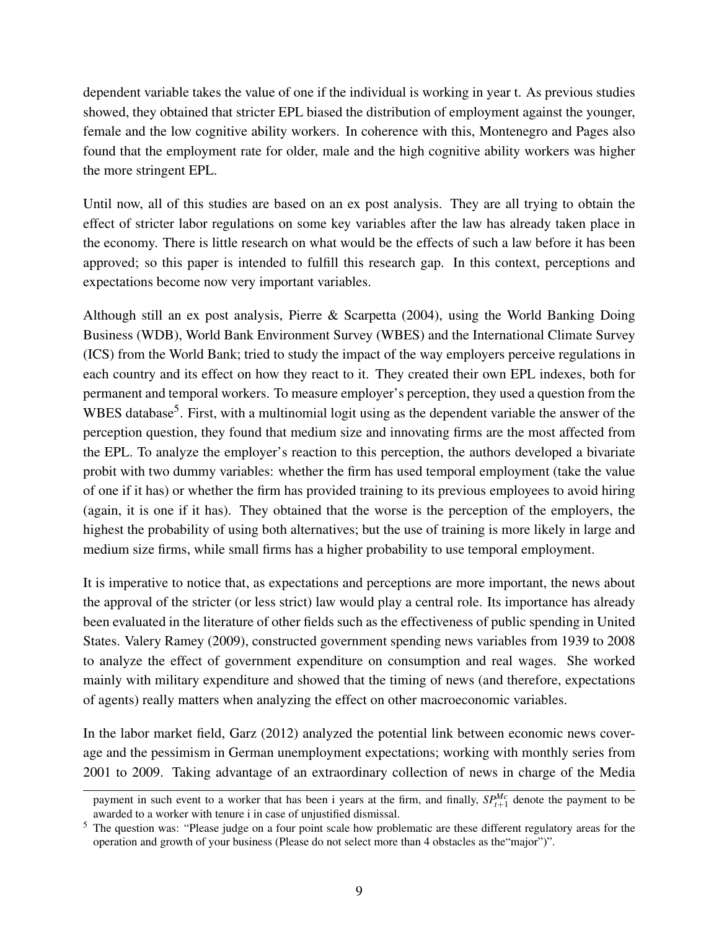dependent variable takes the value of one if the individual is working in year t. As previous studies showed, they obtained that stricter EPL biased the distribution of employment against the younger, female and the low cognitive ability workers. In coherence with this, Montenegro and Pages also found that the employment rate for older, male and the high cognitive ability workers was higher the more stringent EPL.

Until now, all of this studies are based on an ex post analysis. They are all trying to obtain the effect of stricter labor regulations on some key variables after the law has already taken place in the economy. There is little research on what would be the effects of such a law before it has been approved; so this paper is intended to fulfill this research gap. In this context, perceptions and expectations become now very important variables.

Although still an ex post analysis, Pierre & Scarpetta (2004), using the World Banking Doing Business (WDB), World Bank Environment Survey (WBES) and the International Climate Survey (ICS) from the World Bank; tried to study the impact of the way employers perceive regulations in each country and its effect on how they react to it. They created their own EPL indexes, both for permanent and temporal workers. To measure employer's perception, they used a question from the WBES database<sup>5</sup>. First, with a multinomial logit using as the dependent variable the answer of the perception question, they found that medium size and innovating firms are the most affected from the EPL. To analyze the employer's reaction to this perception, the authors developed a bivariate probit with two dummy variables: whether the firm has used temporal employment (take the value of one if it has) or whether the firm has provided training to its previous employees to avoid hiring (again, it is one if it has). They obtained that the worse is the perception of the employers, the highest the probability of using both alternatives; but the use of training is more likely in large and medium size firms, while small firms has a higher probability to use temporal employment.

It is imperative to notice that, as expectations and perceptions are more important, the news about the approval of the stricter (or less strict) law would play a central role. Its importance has already been evaluated in the literature of other fields such as the effectiveness of public spending in United States. Valery Ramey (2009), constructed government spending news variables from 1939 to 2008 to analyze the effect of government expenditure on consumption and real wages. She worked mainly with military expenditure and showed that the timing of news (and therefore, expectations of agents) really matters when analyzing the effect on other macroeconomic variables.

In the labor market field, Garz (2012) analyzed the potential link between economic news coverage and the pessimism in German unemployment expectations; working with monthly series from 2001 to 2009. Taking advantage of an extraordinary collection of news in charge of the Media

payment in such event to a worker that has been i years at the firm, and finally,  $SP^{Mc}_{t+1}$  denote the payment to be awarded to a worker with tenure i in case of unjustified dismissal.

<sup>&</sup>lt;sup>5</sup> The question was: "Please judge on a four point scale how problematic are these different regulatory areas for the operation and growth of your business (Please do not select more than 4 obstacles as the"major")".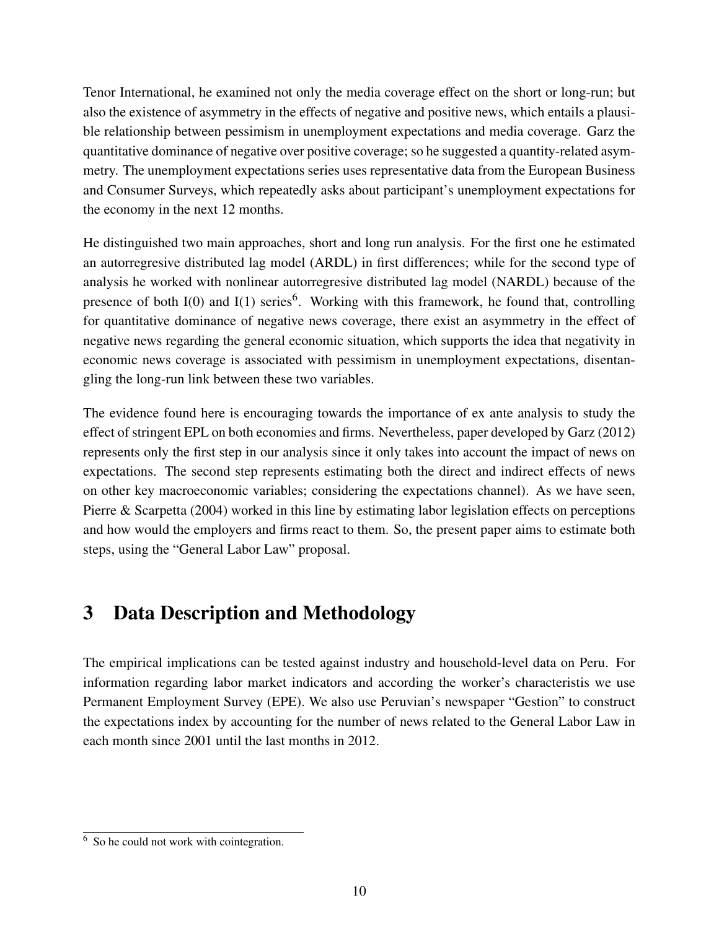Tenor International, he examined not only the media coverage effect on the short or long-run; but also the existence of asymmetry in the effects of negative and positive news, which entails a plausible relationship between pessimism in unemployment expectations and media coverage. Garz the quantitative dominance of negative over positive coverage; so he suggested a quantity-related asymmetry. The unemployment expectations series uses representative data from the European Business and Consumer Surveys, which repeatedly asks about participant's unemployment expectations for the economy in the next 12 months.

He distinguished two main approaches, short and long run analysis. For the first one he estimated an autorregresive distributed lag model (ARDL) in first differences; while for the second type of analysis he worked with nonlinear autorregresive distributed lag model (NARDL) because of the presence of both  $I(0)$  and  $I(1)$  series<sup>6</sup>. Working with this framework, he found that, controlling for quantitative dominance of negative news coverage, there exist an asymmetry in the effect of negative news regarding the general economic situation, which supports the idea that negativity in economic news coverage is associated with pessimism in unemployment expectations, disentangling the long-run link between these two variables.

The evidence found here is encouraging towards the importance of ex ante analysis to study the effect of stringent EPL on both economies and firms. Nevertheless, paper developed by Garz (2012) represents only the first step in our analysis since it only takes into account the impact of news on expectations. The second step represents estimating both the direct and indirect effects of news on other key macroeconomic variables; considering the expectations channel). As we have seen, Pierre & Scarpetta (2004) worked in this line by estimating labor legislation effects on perceptions and how would the employers and firms react to them. So, the present paper aims to estimate both steps, using the "General Labor Law" proposal.

# 3 Data Description and Methodology

The empirical implications can be tested against industry and household-level data on Peru. For information regarding labor market indicators and according the worker's characteristis we use Permanent Employment Survey (EPE). We also use Peruvian's newspaper "Gestion" to construct the expectations index by accounting for the number of news related to the General Labor Law in each month since 2001 until the last months in 2012.

<sup>&</sup>lt;sup>6</sup> So he could not work with cointegration.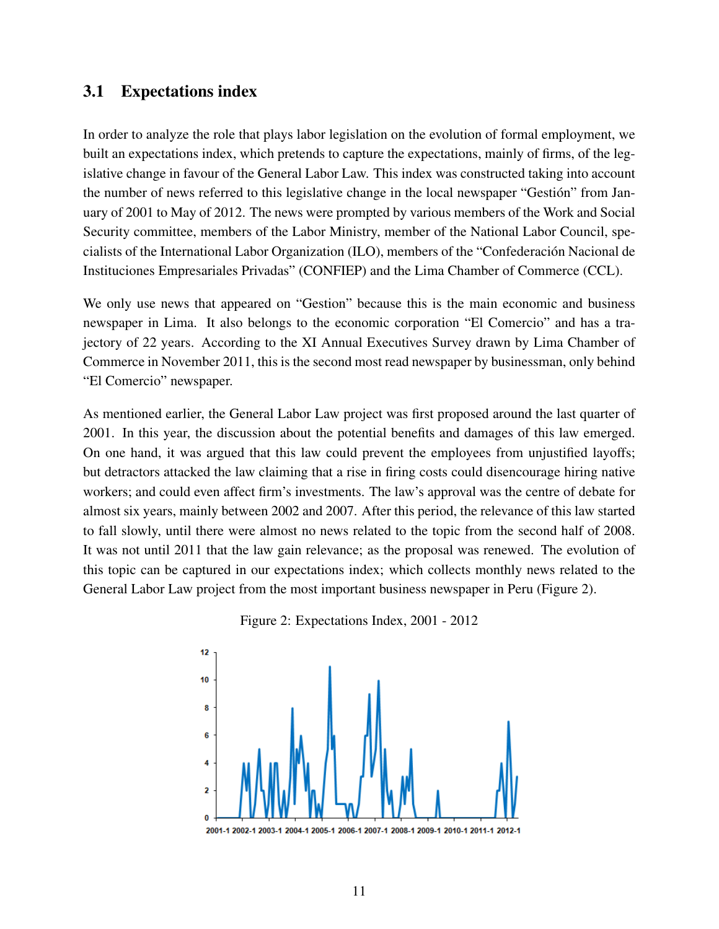#### 3.1 Expectations index

In order to analyze the role that plays labor legislation on the evolution of formal employment, we built an expectations index, which pretends to capture the expectations, mainly of firms, of the legislative change in favour of the General Labor Law. This index was constructed taking into account the number of news referred to this legislative change in the local newspaper "Gestión" from January of 2001 to May of 2012. The news were prompted by various members of the Work and Social Security committee, members of the Labor Ministry, member of the National Labor Council, specialists of the International Labor Organization (ILO), members of the "Confederación Nacional de Instituciones Empresariales Privadas" (CONFIEP) and the Lima Chamber of Commerce (CCL).

We only use news that appeared on "Gestion" because this is the main economic and business newspaper in Lima. It also belongs to the economic corporation "El Comercio" and has a trajectory of 22 years. According to the XI Annual Executives Survey drawn by Lima Chamber of Commerce in November 2011, this is the second most read newspaper by businessman, only behind "El Comercio" newspaper.

As mentioned earlier, the General Labor Law project was first proposed around the last quarter of 2001. In this year, the discussion about the potential benefits and damages of this law emerged. On one hand, it was argued that this law could prevent the employees from unjustified layoffs; but detractors attacked the law claiming that a rise in firing costs could disencourage hiring native workers; and could even affect firm's investments. The law's approval was the centre of debate for almost six years, mainly between 2002 and 2007. After this period, the relevance of this law started to fall slowly, until there were almost no news related to the topic from the second half of 2008. It was not until 2011 that the law gain relevance; as the proposal was renewed. The evolution of this topic can be captured in our expectations index; which collects monthly news related to the General Labor Law project from the most important business newspaper in Peru (Figure 2).





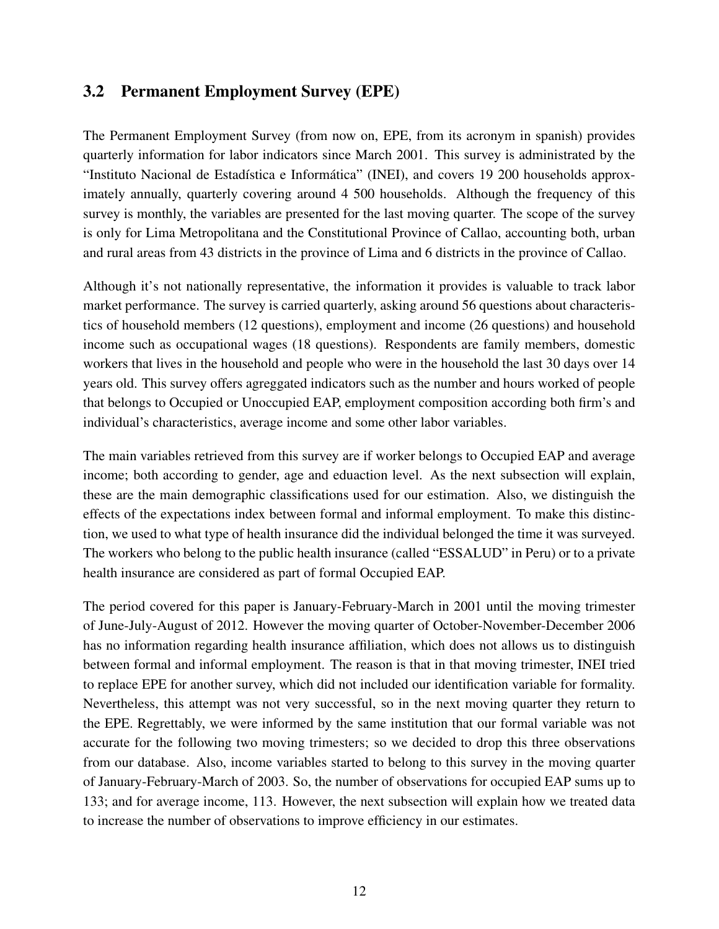#### 3.2 Permanent Employment Survey (EPE)

The Permanent Employment Survey (from now on, EPE, from its acronym in spanish) provides quarterly information for labor indicators since March 2001. This survey is administrated by the "Instituto Nacional de Estadística e Informática" (INEI), and covers 19 200 households approximately annually, quarterly covering around 4 500 households. Although the frequency of this survey is monthly, the variables are presented for the last moving quarter. The scope of the survey is only for Lima Metropolitana and the Constitutional Province of Callao, accounting both, urban and rural areas from 43 districts in the province of Lima and 6 districts in the province of Callao.

Although it's not nationally representative, the information it provides is valuable to track labor market performance. The survey is carried quarterly, asking around 56 questions about characteristics of household members (12 questions), employment and income (26 questions) and household income such as occupational wages (18 questions). Respondents are family members, domestic workers that lives in the household and people who were in the household the last 30 days over 14 years old. This survey offers agreggated indicators such as the number and hours worked of people that belongs to Occupied or Unoccupied EAP, employment composition according both firm's and individual's characteristics, average income and some other labor variables.

The main variables retrieved from this survey are if worker belongs to Occupied EAP and average income; both according to gender, age and eduaction level. As the next subsection will explain, these are the main demographic classifications used for our estimation. Also, we distinguish the effects of the expectations index between formal and informal employment. To make this distinction, we used to what type of health insurance did the individual belonged the time it was surveyed. The workers who belong to the public health insurance (called "ESSALUD" in Peru) or to a private health insurance are considered as part of formal Occupied EAP.

The period covered for this paper is January-February-March in 2001 until the moving trimester of June-July-August of 2012. However the moving quarter of October-November-December 2006 has no information regarding health insurance affiliation, which does not allows us to distinguish between formal and informal employment. The reason is that in that moving trimester, INEI tried to replace EPE for another survey, which did not included our identification variable for formality. Nevertheless, this attempt was not very successful, so in the next moving quarter they return to the EPE. Regrettably, we were informed by the same institution that our formal variable was not accurate for the following two moving trimesters; so we decided to drop this three observations from our database. Also, income variables started to belong to this survey in the moving quarter of January-February-March of 2003. So, the number of observations for occupied EAP sums up to 133; and for average income, 113. However, the next subsection will explain how we treated data to increase the number of observations to improve efficiency in our estimates.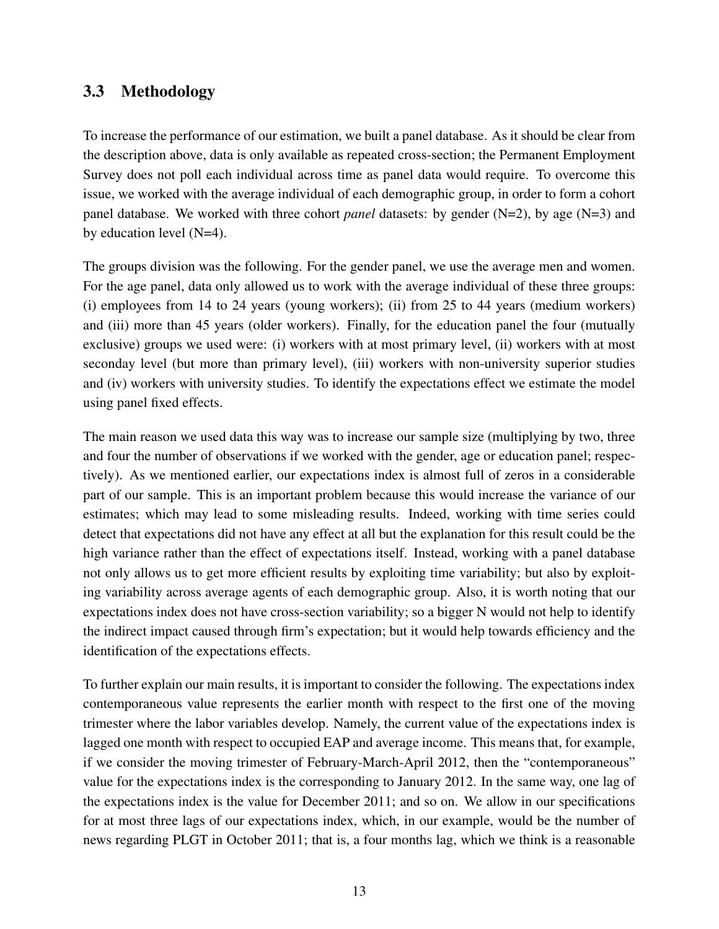#### 3.3 Methodology

To increase the performance of our estimation, we built a panel database. As it should be clear from the description above, data is only available as repeated cross-section; the Permanent Employment Survey does not poll each individual across time as panel data would require. To overcome this issue, we worked with the average individual of each demographic group, in order to form a cohort panel database. We worked with three cohort *panel* datasets: by gender (N=2), by age (N=3) and by education level (N=4).

The groups division was the following. For the gender panel, we use the average men and women. For the age panel, data only allowed us to work with the average individual of these three groups: (i) employees from 14 to 24 years (young workers); (ii) from 25 to 44 years (medium workers) and (iii) more than 45 years (older workers). Finally, for the education panel the four (mutually exclusive) groups we used were: (i) workers with at most primary level, (ii) workers with at most seconday level (but more than primary level), (iii) workers with non-university superior studies and (iv) workers with university studies. To identify the expectations effect we estimate the model using panel fixed effects.

The main reason we used data this way was to increase our sample size (multiplying by two, three and four the number of observations if we worked with the gender, age or education panel; respectively). As we mentioned earlier, our expectations index is almost full of zeros in a considerable part of our sample. This is an important problem because this would increase the variance of our estimates; which may lead to some misleading results. Indeed, working with time series could detect that expectations did not have any effect at all but the explanation for this result could be the high variance rather than the effect of expectations itself. Instead, working with a panel database not only allows us to get more efficient results by exploiting time variability; but also by exploiting variability across average agents of each demographic group. Also, it is worth noting that our expectations index does not have cross-section variability; so a bigger N would not help to identify the indirect impact caused through firm's expectation; but it would help towards efficiency and the identification of the expectations effects.

To further explain our main results, it is important to consider the following. The expectations index contemporaneous value represents the earlier month with respect to the first one of the moving trimester where the labor variables develop. Namely, the current value of the expectations index is lagged one month with respect to occupied EAP and average income. This means that, for example, if we consider the moving trimester of February-March-April 2012, then the "contemporaneous" value for the expectations index is the corresponding to January 2012. In the same way, one lag of the expectations index is the value for December 2011; and so on. We allow in our specifications for at most three lags of our expectations index, which, in our example, would be the number of news regarding PLGT in October 2011; that is, a four months lag, which we think is a reasonable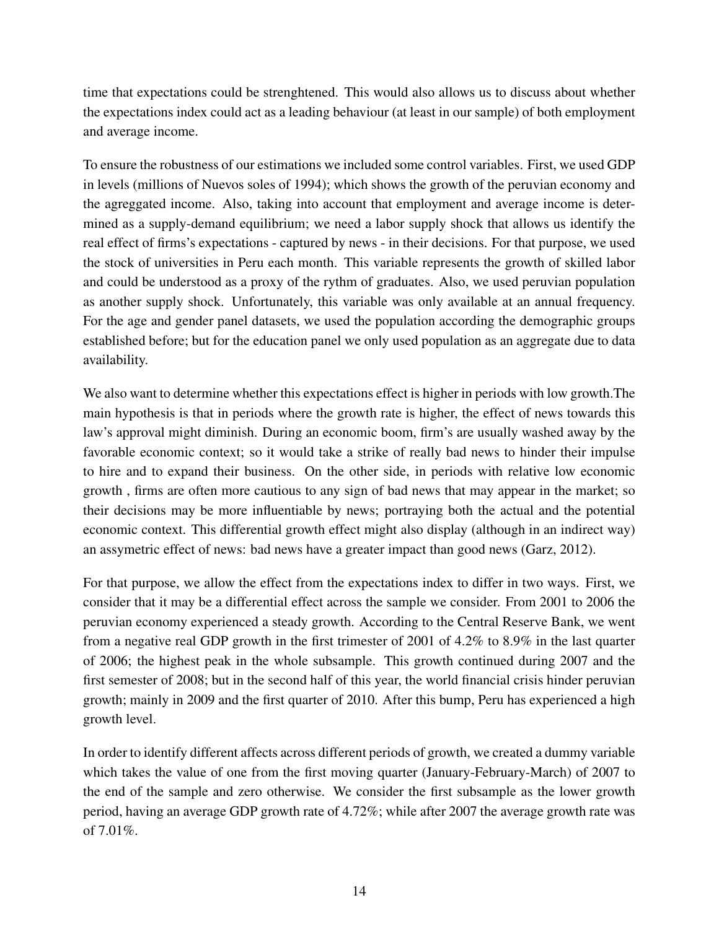time that expectations could be strenghtened. This would also allows us to discuss about whether the expectations index could act as a leading behaviour (at least in our sample) of both employment and average income.

To ensure the robustness of our estimations we included some control variables. First, we used GDP in levels (millions of Nuevos soles of 1994); which shows the growth of the peruvian economy and the agreggated income. Also, taking into account that employment and average income is determined as a supply-demand equilibrium; we need a labor supply shock that allows us identify the real effect of firms's expectations - captured by news - in their decisions. For that purpose, we used the stock of universities in Peru each month. This variable represents the growth of skilled labor and could be understood as a proxy of the rythm of graduates. Also, we used peruvian population as another supply shock. Unfortunately, this variable was only available at an annual frequency. For the age and gender panel datasets, we used the population according the demographic groups established before; but for the education panel we only used population as an aggregate due to data availability.

We also want to determine whether this expectations effect is higher in periods with low growth.The main hypothesis is that in periods where the growth rate is higher, the effect of news towards this law's approval might diminish. During an economic boom, firm's are usually washed away by the favorable economic context; so it would take a strike of really bad news to hinder their impulse to hire and to expand their business. On the other side, in periods with relative low economic growth , firms are often more cautious to any sign of bad news that may appear in the market; so their decisions may be more influentiable by news; portraying both the actual and the potential economic context. This differential growth effect might also display (although in an indirect way) an assymetric effect of news: bad news have a greater impact than good news (Garz, 2012).

For that purpose, we allow the effect from the expectations index to differ in two ways. First, we consider that it may be a differential effect across the sample we consider. From 2001 to 2006 the peruvian economy experienced a steady growth. According to the Central Reserve Bank, we went from a negative real GDP growth in the first trimester of 2001 of 4.2% to 8.9% in the last quarter of 2006; the highest peak in the whole subsample. This growth continued during 2007 and the first semester of 2008; but in the second half of this year, the world financial crisis hinder peruvian growth; mainly in 2009 and the first quarter of 2010. After this bump, Peru has experienced a high growth level.

In order to identify different affects across different periods of growth, we created a dummy variable which takes the value of one from the first moving quarter (January-February-March) of 2007 to the end of the sample and zero otherwise. We consider the first subsample as the lower growth period, having an average GDP growth rate of 4.72%; while after 2007 the average growth rate was of  $7.01\%$ .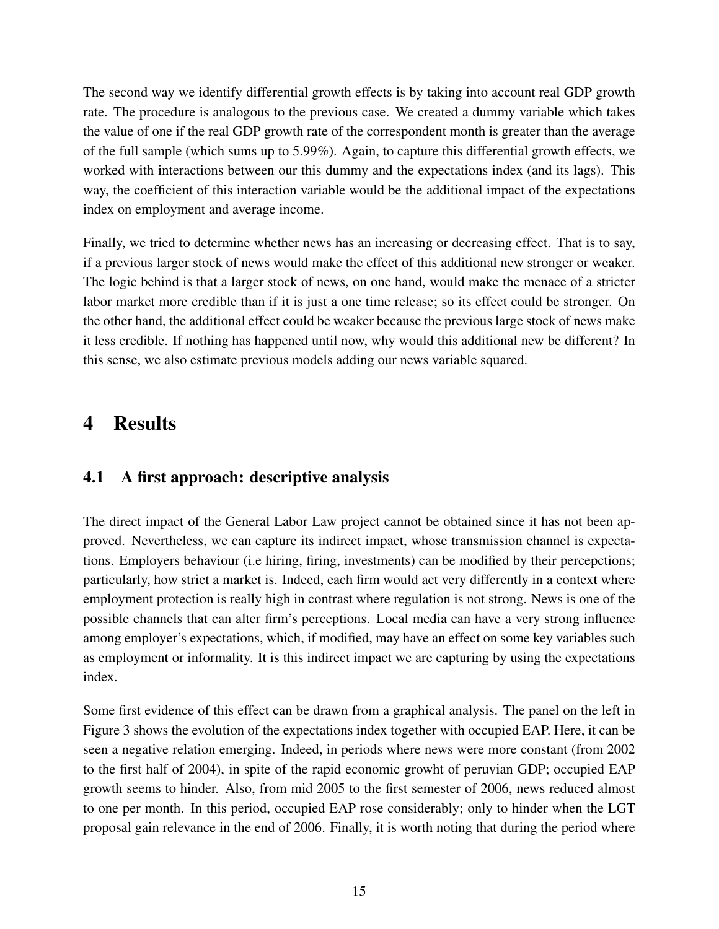The second way we identify differential growth effects is by taking into account real GDP growth rate. The procedure is analogous to the previous case. We created a dummy variable which takes the value of one if the real GDP growth rate of the correspondent month is greater than the average of the full sample (which sums up to 5.99%). Again, to capture this differential growth effects, we worked with interactions between our this dummy and the expectations index (and its lags). This way, the coefficient of this interaction variable would be the additional impact of the expectations index on employment and average income.

Finally, we tried to determine whether news has an increasing or decreasing effect. That is to say, if a previous larger stock of news would make the effect of this additional new stronger or weaker. The logic behind is that a larger stock of news, on one hand, would make the menace of a stricter labor market more credible than if it is just a one time release; so its effect could be stronger. On the other hand, the additional effect could be weaker because the previous large stock of news make it less credible. If nothing has happened until now, why would this additional new be different? In this sense, we also estimate previous models adding our news variable squared.

# 4 Results

## 4.1 A first approach: descriptive analysis

The direct impact of the General Labor Law project cannot be obtained since it has not been approved. Nevertheless, we can capture its indirect impact, whose transmission channel is expectations. Employers behaviour (i.e hiring, firing, investments) can be modified by their percepctions; particularly, how strict a market is. Indeed, each firm would act very differently in a context where employment protection is really high in contrast where regulation is not strong. News is one of the possible channels that can alter firm's perceptions. Local media can have a very strong influence among employer's expectations, which, if modified, may have an effect on some key variables such as employment or informality. It is this indirect impact we are capturing by using the expectations index.

Some first evidence of this effect can be drawn from a graphical analysis. The panel on the left in Figure 3 shows the evolution of the expectations index together with occupied EAP. Here, it can be seen a negative relation emerging. Indeed, in periods where news were more constant (from 2002 to the first half of 2004), in spite of the rapid economic growht of peruvian GDP; occupied EAP growth seems to hinder. Also, from mid 2005 to the first semester of 2006, news reduced almost to one per month. In this period, occupied EAP rose considerably; only to hinder when the LGT proposal gain relevance in the end of 2006. Finally, it is worth noting that during the period where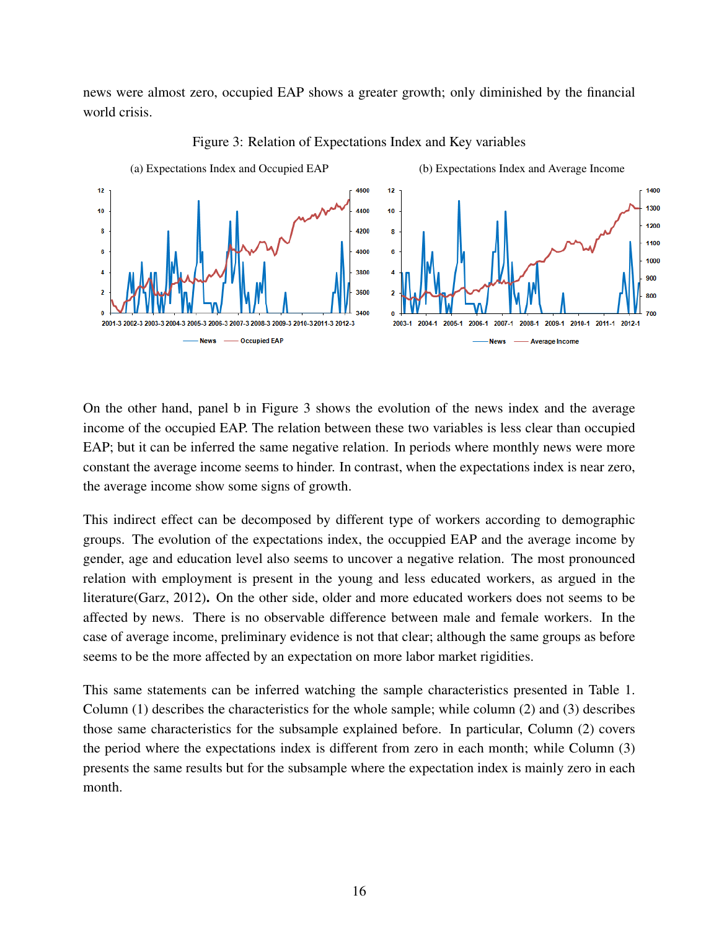news were almost zero, occupied EAP shows a greater growth; only diminished by the financial world crisis.



Figure 3: Relation of Expectations Index and Key variables

On the other hand, panel b in Figure 3 shows the evolution of the news index and the average income of the occupied EAP. The relation between these two variables is less clear than occupied EAP; but it can be inferred the same negative relation. In periods where monthly news were more constant the average income seems to hinder. In contrast, when the expectations index is near zero, the average income show some signs of growth.

This indirect effect can be decomposed by different type of workers according to demographic groups. The evolution of the expectations index, the occuppied EAP and the average income by gender, age and education level also seems to uncover a negative relation. The most pronounced relation with employment is present in the young and less educated workers, as argued in the literature(Garz, 2012). On the other side, older and more educated workers does not seems to be affected by news. There is no observable difference between male and female workers. In the case of average income, preliminary evidence is not that clear; although the same groups as before seems to be the more affected by an expectation on more labor market rigidities.

This same statements can be inferred watching the sample characteristics presented in Table 1. Column (1) describes the characteristics for the whole sample; while column (2) and (3) describes those same characteristics for the subsample explained before. In particular, Column (2) covers the period where the expectations index is different from zero in each month; while Column (3) presents the same results but for the subsample where the expectation index is mainly zero in each month.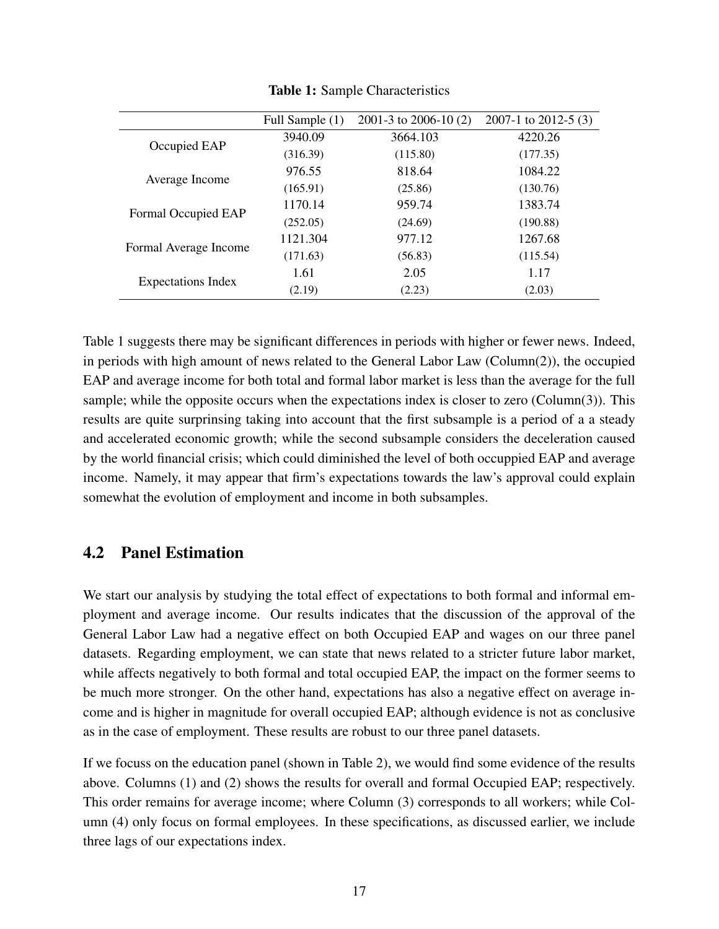|                           | Full Sample (1) | 2001-3 to 2006-10 $(2)$ | 2007-1 to 2012-5 $(3)$ |
|---------------------------|-----------------|-------------------------|------------------------|
| Occupied EAP              | 3940.09         | 3664.103                | 4220.26                |
|                           | (316.39)        | (115.80)                | (177.35)               |
|                           | 976.55          | 818.64                  | 1084.22                |
| Average Income            | (165.91)        | (25.86)                 | (130.76)               |
| Formal Occupied EAP       | 1170.14         | 959.74                  | 1383.74                |
|                           | (252.05)        | (24.69)                 | (190.88)               |
| Formal Average Income     | 1121.304        | 977.12                  | 1267.68                |
|                           | (171.63)        | (56.83)                 | (115.54)               |
| <b>Expectations Index</b> | 1.61            | 2.05                    | 1.17                   |
|                           | (2.19)          | (2.23)                  | (2.03)                 |

Table 1: Sample Characteristics

Table 1 suggests there may be significant differences in periods with higher or fewer news. Indeed, in periods with high amount of news related to the General Labor Law (Column(2)), the occupied EAP and average income for both total and formal labor market is less than the average for the full sample; while the opposite occurs when the expectations index is closer to zero (Column(3)). This results are quite surprinsing taking into account that the first subsample is a period of a a steady and accelerated economic growth; while the second subsample considers the deceleration caused by the world financial crisis; which could diminished the level of both occuppied EAP and average income. Namely, it may appear that firm's expectations towards the law's approval could explain somewhat the evolution of employment and income in both subsamples.

#### 4.2 Panel Estimation

We start our analysis by studying the total effect of expectations to both formal and informal employment and average income. Our results indicates that the discussion of the approval of the General Labor Law had a negative effect on both Occupied EAP and wages on our three panel datasets. Regarding employment, we can state that news related to a stricter future labor market, while affects negatively to both formal and total occupied EAP, the impact on the former seems to be much more stronger. On the other hand, expectations has also a negative effect on average income and is higher in magnitude for overall occupied EAP; although evidence is not as conclusive as in the case of employment. These results are robust to our three panel datasets.

If we focuss on the education panel (shown in Table 2), we would find some evidence of the results above. Columns (1) and (2) shows the results for overall and formal Occupied EAP; respectively. This order remains for average income; where Column (3) corresponds to all workers; while Column (4) only focus on formal employees. In these specifications, as discussed earlier, we include three lags of our expectations index.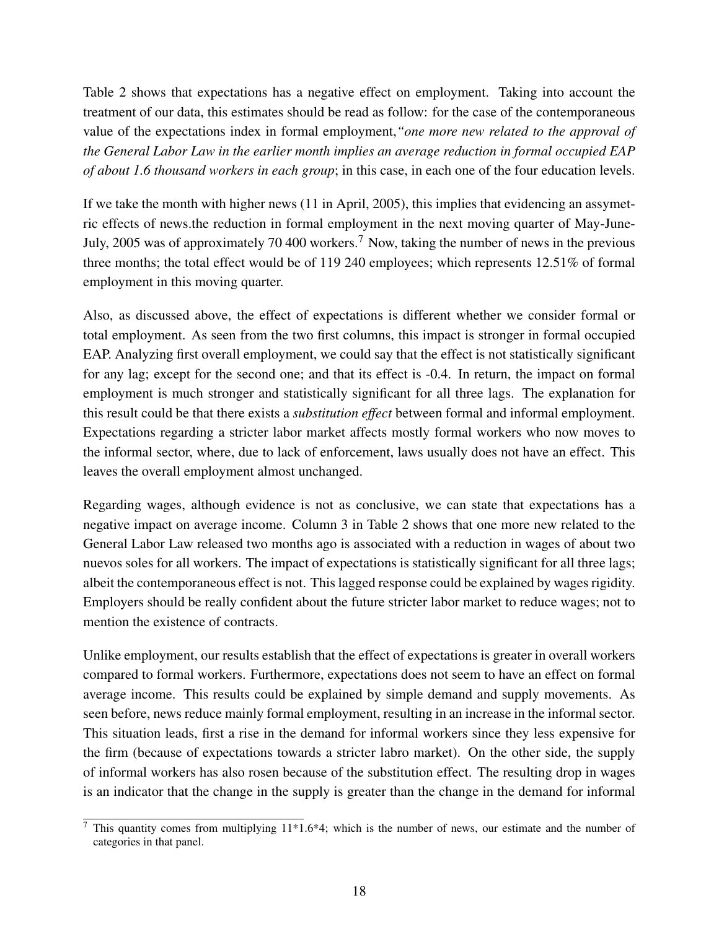Table 2 shows that expectations has a negative effect on employment. Taking into account the treatment of our data, this estimates should be read as follow: for the case of the contemporaneous value of the expectations index in formal employment,*"one more new related to the approval of the General Labor Law in the earlier month implies an average reduction in formal occupied EAP of about 1.6 thousand workers in each group*; in this case, in each one of the four education levels.

If we take the month with higher news (11 in April, 2005), this implies that evidencing an assymetric effects of news.the reduction in formal employment in the next moving quarter of May-June-July, 2005 was of approximately 70 400 workers.<sup>7</sup> Now, taking the number of news in the previous three months; the total effect would be of 119 240 employees; which represents 12.51% of formal employment in this moving quarter.

Also, as discussed above, the effect of expectations is different whether we consider formal or total employment. As seen from the two first columns, this impact is stronger in formal occupied EAP. Analyzing first overall employment, we could say that the effect is not statistically significant for any lag; except for the second one; and that its effect is -0.4. In return, the impact on formal employment is much stronger and statistically significant for all three lags. The explanation for this result could be that there exists a *substitution effect* between formal and informal employment. Expectations regarding a stricter labor market affects mostly formal workers who now moves to the informal sector, where, due to lack of enforcement, laws usually does not have an effect. This leaves the overall employment almost unchanged.

Regarding wages, although evidence is not as conclusive, we can state that expectations has a negative impact on average income. Column 3 in Table 2 shows that one more new related to the General Labor Law released two months ago is associated with a reduction in wages of about two nuevos soles for all workers. The impact of expectations is statistically significant for all three lags; albeit the contemporaneous effect is not. This lagged response could be explained by wages rigidity. Employers should be really confident about the future stricter labor market to reduce wages; not to mention the existence of contracts.

Unlike employment, our results establish that the effect of expectations is greater in overall workers compared to formal workers. Furthermore, expectations does not seem to have an effect on formal average income. This results could be explained by simple demand and supply movements. As seen before, news reduce mainly formal employment, resulting in an increase in the informal sector. This situation leads, first a rise in the demand for informal workers since they less expensive for the firm (because of expectations towards a stricter labro market). On the other side, the supply of informal workers has also rosen because of the substitution effect. The resulting drop in wages is an indicator that the change in the supply is greater than the change in the demand for informal

<sup>&</sup>lt;sup>7</sup> This quantity comes from multiplying  $11*1.6*4$ ; which is the number of news, our estimate and the number of categories in that panel.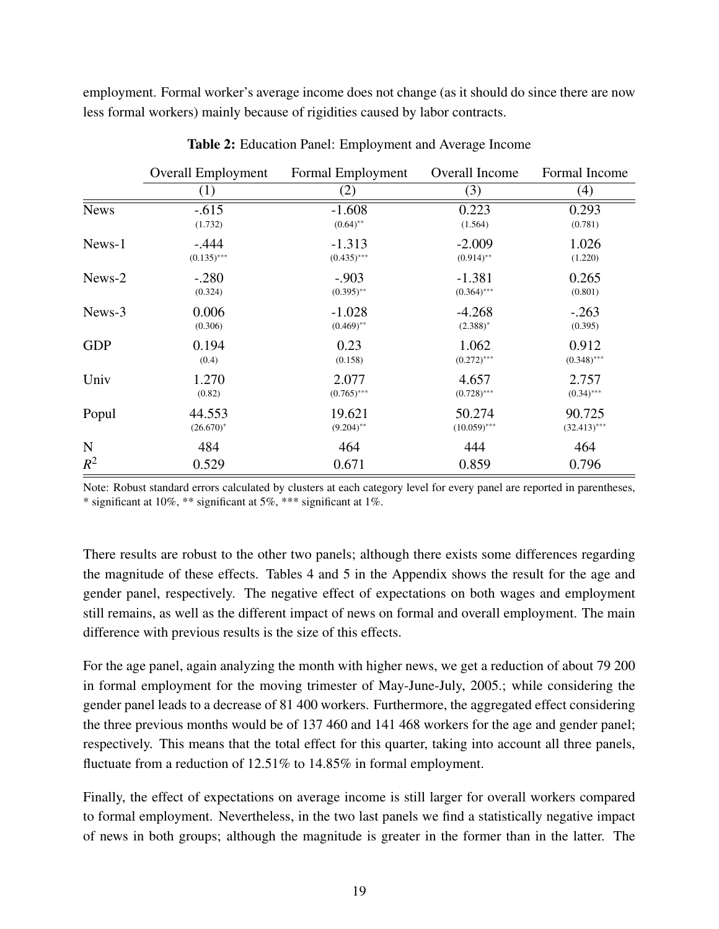employment. Formal worker's average income does not change (as it should do since there are now less formal workers) mainly because of rigidities caused by labor contracts.

|             | <b>Overall Employment</b> | Formal Employment | Overall Income | Formal Income  |
|-------------|---------------------------|-------------------|----------------|----------------|
|             | (1)                       | (2)               | (3)            | (4)            |
| <b>News</b> | $-.615$                   | $-1.608$          | 0.223          | 0.293          |
|             | (1.732)                   | $(0.64)$ **       | (1.564)        | (0.781)        |
| News-1      | $-.444$                   | $-1.313$          | $-2.009$       | 1.026          |
|             | $(0.135)$ ***             | $(0.435)$ ***     | $(0.914)$ **   | (1.220)        |
| News-2      | $-.280$                   | $-.903$           | $-1.381$       | 0.265          |
|             | (0.324)                   | $(0.395)$ **      | $(0.364)$ ***  | (0.801)        |
| News-3      | 0.006                     | $-1.028$          | $-4.268$       | $-.263$        |
|             | (0.306)                   | $(0.469)$ **      | $(2.388)^*$    | (0.395)        |
| <b>GDP</b>  | 0.194                     | 0.23              | 1.062          | 0.912          |
|             | (0.4)                     | (0.158)           | $(0.272)$ ***  | $(0.348)$ ***  |
| Univ        | 1.270                     | 2.077             | 4.657          | 2.757          |
|             | (0.82)                    | $(0.765)$ ***     | $(0.728)$ ***  | $(0.34)$ ***   |
| Popul       | 44.553                    | 19.621            | 50.274         | 90.725         |
|             | $(26.670)^*$              | $(9.204)$ **      | $(10.059)$ *** | $(32.413)$ *** |
| N           | 484                       | 464               | 444            | 464            |
| $R^2$       | 0.529                     | 0.671             | 0.859          | 0.796          |

Table 2: Education Panel: Employment and Average Income

Note: Robust standard errors calculated by clusters at each category level for every panel are reported in parentheses, \* significant at 10%, \*\* significant at 5%, \*\*\* significant at 1%.

There results are robust to the other two panels; although there exists some differences regarding the magnitude of these effects. Tables 4 and 5 in the Appendix shows the result for the age and gender panel, respectively. The negative effect of expectations on both wages and employment still remains, as well as the different impact of news on formal and overall employment. The main difference with previous results is the size of this effects.

For the age panel, again analyzing the month with higher news, we get a reduction of about 79 200 in formal employment for the moving trimester of May-June-July, 2005.; while considering the gender panel leads to a decrease of 81 400 workers. Furthermore, the aggregated effect considering the three previous months would be of 137 460 and 141 468 workers for the age and gender panel; respectively. This means that the total effect for this quarter, taking into account all three panels, fluctuate from a reduction of 12.51% to 14.85% in formal employment.

Finally, the effect of expectations on average income is still larger for overall workers compared to formal employment. Nevertheless, in the two last panels we find a statistically negative impact of news in both groups; although the magnitude is greater in the former than in the latter. The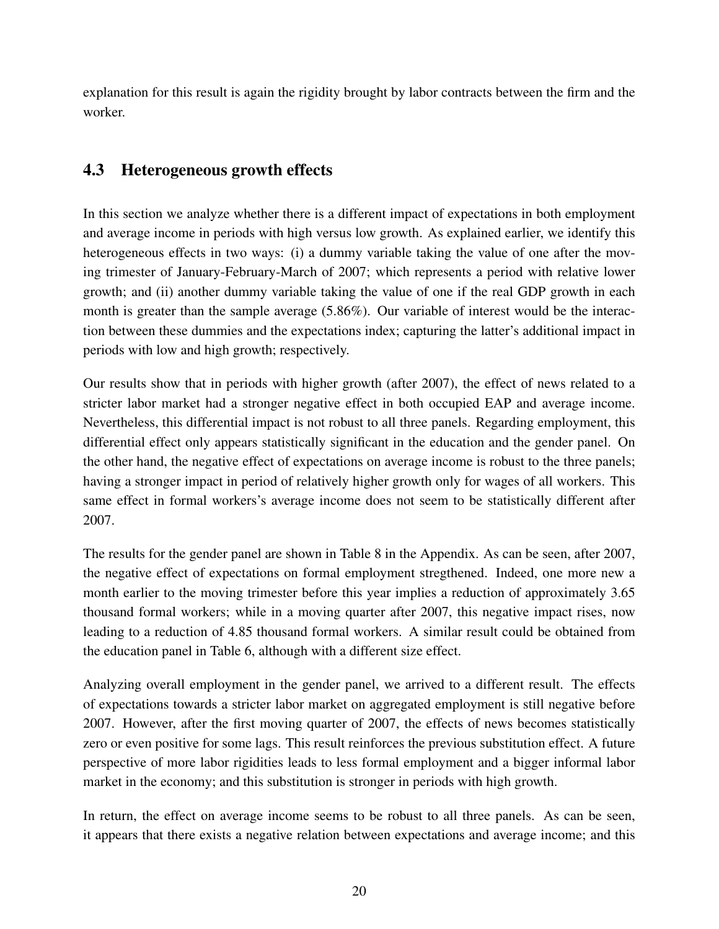explanation for this result is again the rigidity brought by labor contracts between the firm and the worker.

## 4.3 Heterogeneous growth effects

In this section we analyze whether there is a different impact of expectations in both employment and average income in periods with high versus low growth. As explained earlier, we identify this heterogeneous effects in two ways: (i) a dummy variable taking the value of one after the moving trimester of January-February-March of 2007; which represents a period with relative lower growth; and (ii) another dummy variable taking the value of one if the real GDP growth in each month is greater than the sample average (5.86%). Our variable of interest would be the interaction between these dummies and the expectations index; capturing the latter's additional impact in periods with low and high growth; respectively.

Our results show that in periods with higher growth (after 2007), the effect of news related to a stricter labor market had a stronger negative effect in both occupied EAP and average income. Nevertheless, this differential impact is not robust to all three panels. Regarding employment, this differential effect only appears statistically significant in the education and the gender panel. On the other hand, the negative effect of expectations on average income is robust to the three panels; having a stronger impact in period of relatively higher growth only for wages of all workers. This same effect in formal workers's average income does not seem to be statistically different after 2007.

The results for the gender panel are shown in Table 8 in the Appendix. As can be seen, after 2007, the negative effect of expectations on formal employment stregthened. Indeed, one more new a month earlier to the moving trimester before this year implies a reduction of approximately 3.65 thousand formal workers; while in a moving quarter after 2007, this negative impact rises, now leading to a reduction of 4.85 thousand formal workers. A similar result could be obtained from the education panel in Table 6, although with a different size effect.

Analyzing overall employment in the gender panel, we arrived to a different result. The effects of expectations towards a stricter labor market on aggregated employment is still negative before 2007. However, after the first moving quarter of 2007, the effects of news becomes statistically zero or even positive for some lags. This result reinforces the previous substitution effect. A future perspective of more labor rigidities leads to less formal employment and a bigger informal labor market in the economy; and this substitution is stronger in periods with high growth.

In return, the effect on average income seems to be robust to all three panels. As can be seen, it appears that there exists a negative relation between expectations and average income; and this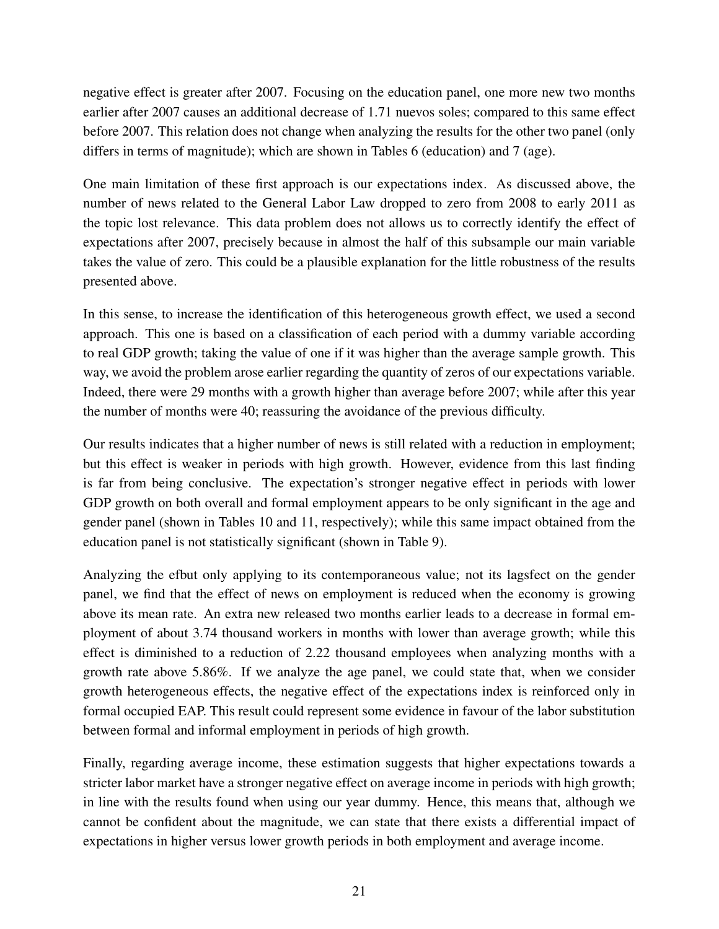negative effect is greater after 2007. Focusing on the education panel, one more new two months earlier after 2007 causes an additional decrease of 1.71 nuevos soles; compared to this same effect before 2007. This relation does not change when analyzing the results for the other two panel (only differs in terms of magnitude); which are shown in Tables 6 (education) and 7 (age).

One main limitation of these first approach is our expectations index. As discussed above, the number of news related to the General Labor Law dropped to zero from 2008 to early 2011 as the topic lost relevance. This data problem does not allows us to correctly identify the effect of expectations after 2007, precisely because in almost the half of this subsample our main variable takes the value of zero. This could be a plausible explanation for the little robustness of the results presented above.

In this sense, to increase the identification of this heterogeneous growth effect, we used a second approach. This one is based on a classification of each period with a dummy variable according to real GDP growth; taking the value of one if it was higher than the average sample growth. This way, we avoid the problem arose earlier regarding the quantity of zeros of our expectations variable. Indeed, there were 29 months with a growth higher than average before 2007; while after this year the number of months were 40; reassuring the avoidance of the previous difficulty.

Our results indicates that a higher number of news is still related with a reduction in employment; but this effect is weaker in periods with high growth. However, evidence from this last finding is far from being conclusive. The expectation's stronger negative effect in periods with lower GDP growth on both overall and formal employment appears to be only significant in the age and gender panel (shown in Tables 10 and 11, respectively); while this same impact obtained from the education panel is not statistically significant (shown in Table 9).

Analyzing the efbut only applying to its contemporaneous value; not its lagsfect on the gender panel, we find that the effect of news on employment is reduced when the economy is growing above its mean rate. An extra new released two months earlier leads to a decrease in formal employment of about 3.74 thousand workers in months with lower than average growth; while this effect is diminished to a reduction of 2.22 thousand employees when analyzing months with a growth rate above 5.86%. If we analyze the age panel, we could state that, when we consider growth heterogeneous effects, the negative effect of the expectations index is reinforced only in formal occupied EAP. This result could represent some evidence in favour of the labor substitution between formal and informal employment in periods of high growth.

Finally, regarding average income, these estimation suggests that higher expectations towards a stricter labor market have a stronger negative effect on average income in periods with high growth; in line with the results found when using our year dummy. Hence, this means that, although we cannot be confident about the magnitude, we can state that there exists a differential impact of expectations in higher versus lower growth periods in both employment and average income.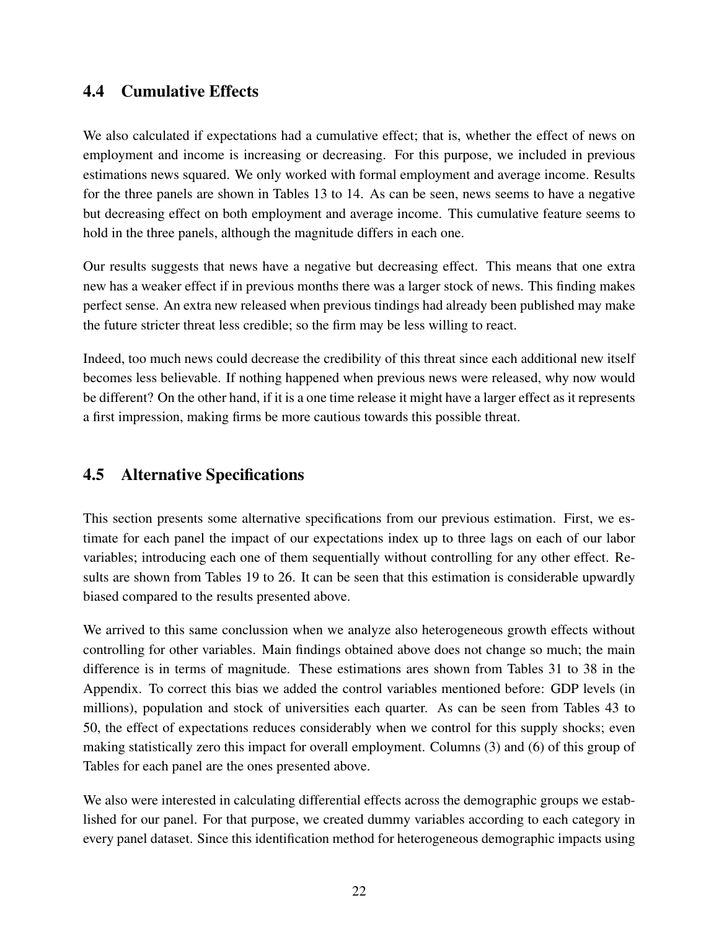#### 4.4 Cumulative Effects

We also calculated if expectations had a cumulative effect; that is, whether the effect of news on employment and income is increasing or decreasing. For this purpose, we included in previous estimations news squared. We only worked with formal employment and average income. Results for the three panels are shown in Tables 13 to 14. As can be seen, news seems to have a negative but decreasing effect on both employment and average income. This cumulative feature seems to hold in the three panels, although the magnitude differs in each one.

Our results suggests that news have a negative but decreasing effect. This means that one extra new has a weaker effect if in previous months there was a larger stock of news. This finding makes perfect sense. An extra new released when previous tindings had already been published may make the future stricter threat less credible; so the firm may be less willing to react.

Indeed, too much news could decrease the credibility of this threat since each additional new itself becomes less believable. If nothing happened when previous news were released, why now would be different? On the other hand, if it is a one time release it might have a larger effect as it represents a first impression, making firms be more cautious towards this possible threat.

#### 4.5 Alternative Specifications

This section presents some alternative specifications from our previous estimation. First, we estimate for each panel the impact of our expectations index up to three lags on each of our labor variables; introducing each one of them sequentially without controlling for any other effect. Results are shown from Tables 19 to 26. It can be seen that this estimation is considerable upwardly biased compared to the results presented above.

We arrived to this same conclussion when we analyze also heterogeneous growth effects without controlling for other variables. Main findings obtained above does not change so much; the main difference is in terms of magnitude. These estimations ares shown from Tables 31 to 38 in the Appendix. To correct this bias we added the control variables mentioned before: GDP levels (in millions), population and stock of universities each quarter. As can be seen from Tables 43 to 50, the effect of expectations reduces considerably when we control for this supply shocks; even making statistically zero this impact for overall employment. Columns (3) and (6) of this group of Tables for each panel are the ones presented above.

We also were interested in calculating differential effects across the demographic groups we established for our panel. For that purpose, we created dummy variables according to each category in every panel dataset. Since this identification method for heterogeneous demographic impacts using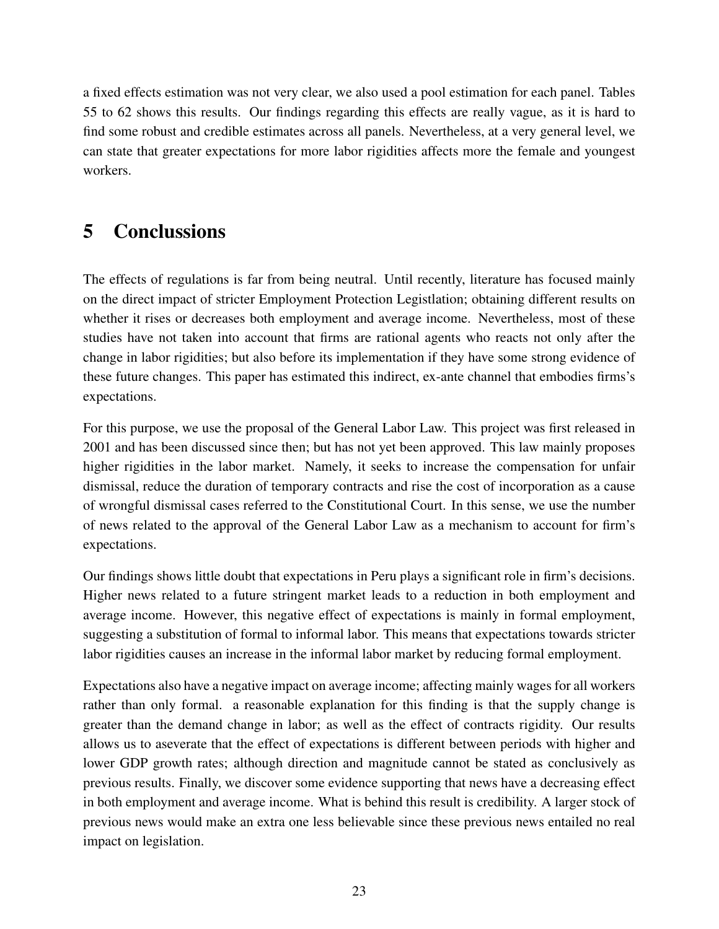a fixed effects estimation was not very clear, we also used a pool estimation for each panel. Tables 55 to 62 shows this results. Our findings regarding this effects are really vague, as it is hard to find some robust and credible estimates across all panels. Nevertheless, at a very general level, we can state that greater expectations for more labor rigidities affects more the female and youngest workers.

# 5 Conclussions

The effects of regulations is far from being neutral. Until recently, literature has focused mainly on the direct impact of stricter Employment Protection Legistlation; obtaining different results on whether it rises or decreases both employment and average income. Nevertheless, most of these studies have not taken into account that firms are rational agents who reacts not only after the change in labor rigidities; but also before its implementation if they have some strong evidence of these future changes. This paper has estimated this indirect, ex-ante channel that embodies firms's expectations.

For this purpose, we use the proposal of the General Labor Law. This project was first released in 2001 and has been discussed since then; but has not yet been approved. This law mainly proposes higher rigidities in the labor market. Namely, it seeks to increase the compensation for unfair dismissal, reduce the duration of temporary contracts and rise the cost of incorporation as a cause of wrongful dismissal cases referred to the Constitutional Court. In this sense, we use the number of news related to the approval of the General Labor Law as a mechanism to account for firm's expectations.

Our findings shows little doubt that expectations in Peru plays a significant role in firm's decisions. Higher news related to a future stringent market leads to a reduction in both employment and average income. However, this negative effect of expectations is mainly in formal employment, suggesting a substitution of formal to informal labor. This means that expectations towards stricter labor rigidities causes an increase in the informal labor market by reducing formal employment.

Expectations also have a negative impact on average income; affecting mainly wages for all workers rather than only formal. a reasonable explanation for this finding is that the supply change is greater than the demand change in labor; as well as the effect of contracts rigidity. Our results allows us to aseverate that the effect of expectations is different between periods with higher and lower GDP growth rates; although direction and magnitude cannot be stated as conclusively as previous results. Finally, we discover some evidence supporting that news have a decreasing effect in both employment and average income. What is behind this result is credibility. A larger stock of previous news would make an extra one less believable since these previous news entailed no real impact on legislation.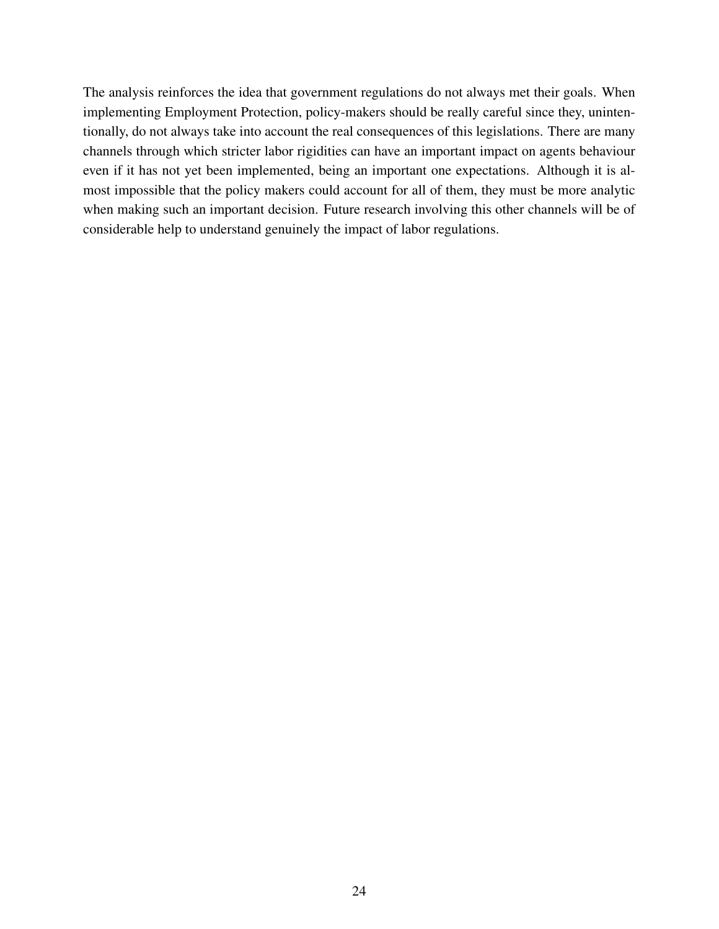The analysis reinforces the idea that government regulations do not always met their goals. When implementing Employment Protection, policy-makers should be really careful since they, unintentionally, do not always take into account the real consequences of this legislations. There are many channels through which stricter labor rigidities can have an important impact on agents behaviour even if it has not yet been implemented, being an important one expectations. Although it is almost impossible that the policy makers could account for all of them, they must be more analytic when making such an important decision. Future research involving this other channels will be of considerable help to understand genuinely the impact of labor regulations.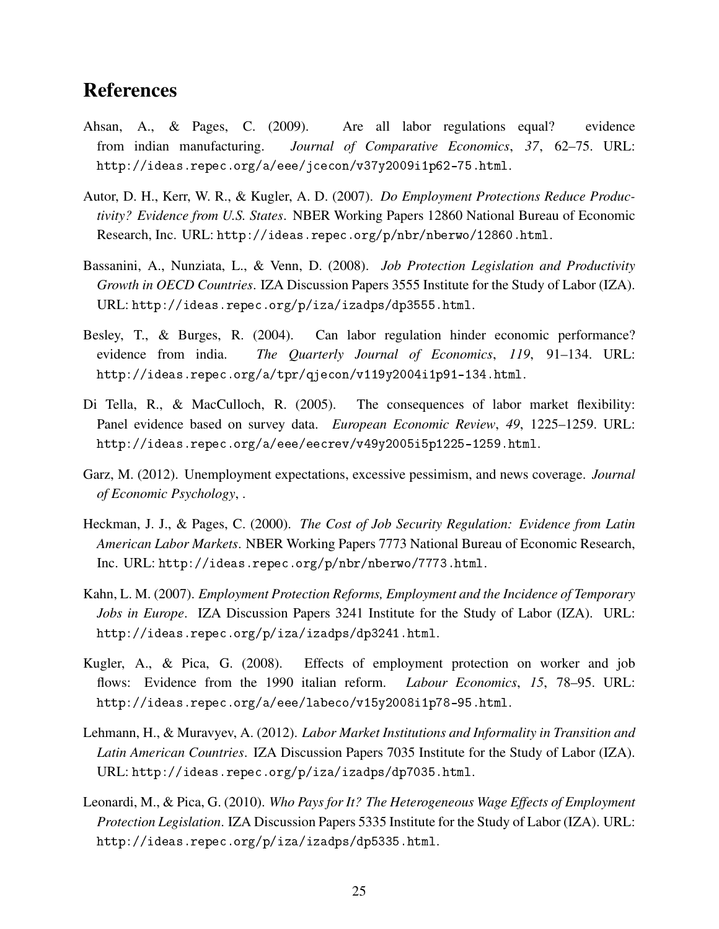## References

- Ahsan, A., & Pages, C. (2009). Are all labor regulations equal? evidence from indian manufacturing. *Journal of Comparative Economics*, *37*, 62–75. URL: http://ideas.repec.org/a/eee/jcecon/v37y2009i1p62-75.html.
- Autor, D. H., Kerr, W. R., & Kugler, A. D. (2007). *Do Employment Protections Reduce Productivity? Evidence from U.S. States*. NBER Working Papers 12860 National Bureau of Economic Research, Inc. URL: http://ideas.repec.org/p/nbr/nberwo/12860.html.
- Bassanini, A., Nunziata, L., & Venn, D. (2008). *Job Protection Legislation and Productivity Growth in OECD Countries*. IZA Discussion Papers 3555 Institute for the Study of Labor (IZA). URL: http://ideas.repec.org/p/iza/izadps/dp3555.html.
- Besley, T., & Burges, R. (2004). Can labor regulation hinder economic performance? evidence from india. *The Quarterly Journal of Economics*, *119*, 91–134. URL: http://ideas.repec.org/a/tpr/qjecon/v119y2004i1p91-134.html.
- Di Tella, R., & MacCulloch, R. (2005). The consequences of labor market flexibility: Panel evidence based on survey data. *European Economic Review*, *49*, 1225–1259. URL: http://ideas.repec.org/a/eee/eecrev/v49y2005i5p1225-1259.html.
- Garz, M. (2012). Unemployment expectations, excessive pessimism, and news coverage. *Journal of Economic Psychology*, .
- Heckman, J. J., & Pages, C. (2000). *The Cost of Job Security Regulation: Evidence from Latin American Labor Markets*. NBER Working Papers 7773 National Bureau of Economic Research, Inc. URL: http://ideas.repec.org/p/nbr/nberwo/7773.html.
- Kahn, L. M. (2007). *Employment Protection Reforms, Employment and the Incidence of Temporary Jobs in Europe*. IZA Discussion Papers 3241 Institute for the Study of Labor (IZA). URL: http://ideas.repec.org/p/iza/izadps/dp3241.html.
- Kugler, A., & Pica, G. (2008). Effects of employment protection on worker and job flows: Evidence from the 1990 italian reform. *Labour Economics*, *15*, 78–95. URL: http://ideas.repec.org/a/eee/labeco/v15y2008i1p78-95.html.
- Lehmann, H., & Muravyev, A. (2012). *Labor Market Institutions and Informality in Transition and Latin American Countries*. IZA Discussion Papers 7035 Institute for the Study of Labor (IZA). URL: http://ideas.repec.org/p/iza/izadps/dp7035.html.
- Leonardi, M., & Pica, G. (2010). *Who Pays for It? The Heterogeneous Wage Effects of Employment Protection Legislation*. IZA Discussion Papers 5335 Institute for the Study of Labor (IZA). URL: http://ideas.repec.org/p/iza/izadps/dp5335.html.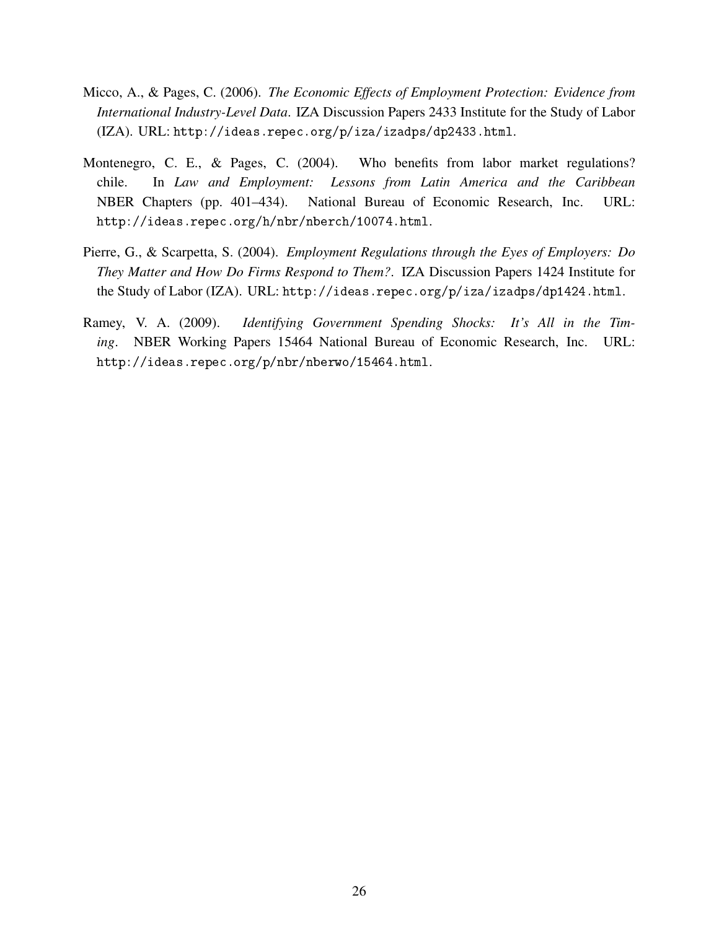- Micco, A., & Pages, C. (2006). *The Economic Effects of Employment Protection: Evidence from International Industry-Level Data*. IZA Discussion Papers 2433 Institute for the Study of Labor (IZA). URL: http://ideas.repec.org/p/iza/izadps/dp2433.html.
- Montenegro, C. E., & Pages, C. (2004). Who benefits from labor market regulations? chile. In *Law and Employment: Lessons from Latin America and the Caribbean* NBER Chapters (pp. 401–434). National Bureau of Economic Research, Inc. URL: http://ideas.repec.org/h/nbr/nberch/10074.html.
- Pierre, G., & Scarpetta, S. (2004). *Employment Regulations through the Eyes of Employers: Do They Matter and How Do Firms Respond to Them?*. IZA Discussion Papers 1424 Institute for the Study of Labor (IZA). URL: http://ideas.repec.org/p/iza/izadps/dp1424.html.
- Ramey, V. A. (2009). *Identifying Government Spending Shocks: It's All in the Timing*. NBER Working Papers 15464 National Bureau of Economic Research, Inc. URL: http://ideas.repec.org/p/nbr/nberwo/15464.html.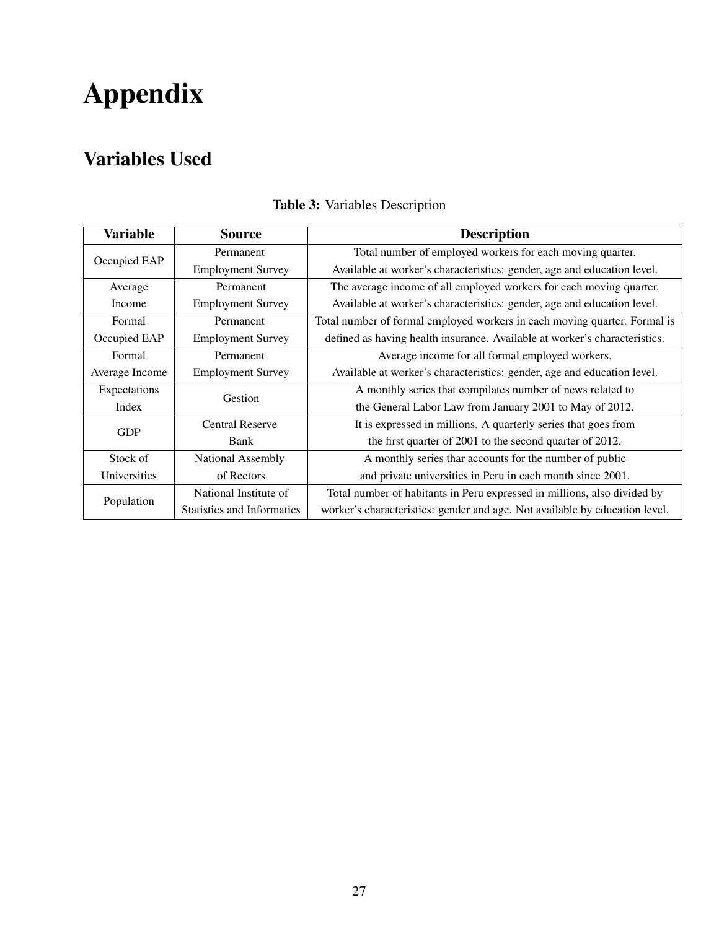# Appendix

# Variables Used

| <b>Variable</b> | <b>Source</b>                     | <b>Description</b>                                                          |  |
|-----------------|-----------------------------------|-----------------------------------------------------------------------------|--|
| Occupied EAP    | Permanent                         | Total number of employed workers for each moving quarter.                   |  |
|                 | <b>Employment Survey</b>          | Available at worker's characteristics: gender, age and education level.     |  |
| Average         | Permanent                         | The average income of all employed workers for each moving quarter.         |  |
| Income          | <b>Employment Survey</b>          | Available at worker's characteristics: gender, age and education level.     |  |
| Formal          | Permanent                         | Total number of formal employed workers in each moving quarter. Formal is   |  |
| Occupied EAP    | <b>Employment Survey</b>          | defined as having health insurance. Available at worker's characteristics.  |  |
| Formal          | Permanent                         | Average income for all formal employed workers.                             |  |
| Average Income  | <b>Employment Survey</b>          | Available at worker's characteristics: gender, age and education level.     |  |
| Expectations    | Gestion                           | A monthly series that compilates number of news related to                  |  |
| Index           |                                   | the General Labor Law from January 2001 to May of 2012.                     |  |
|                 | <b>Central Reserve</b>            | It is expressed in millions. A quarterly series that goes from              |  |
| <b>GDP</b>      | Bank                              | the first quarter of 2001 to the second quarter of 2012.                    |  |
| Stock of        | National Assembly                 | A monthly series thar accounts for the number of public                     |  |
| Universities    | of Rectors                        | and private universities in Peru in each month since 2001.                  |  |
|                 | National Institute of             | Total number of habitants in Peru expressed in millions, also divided by    |  |
| Population      | <b>Statistics and Informatics</b> | worker's characteristics: gender and age. Not available by education level. |  |

## Table 3: Variables Description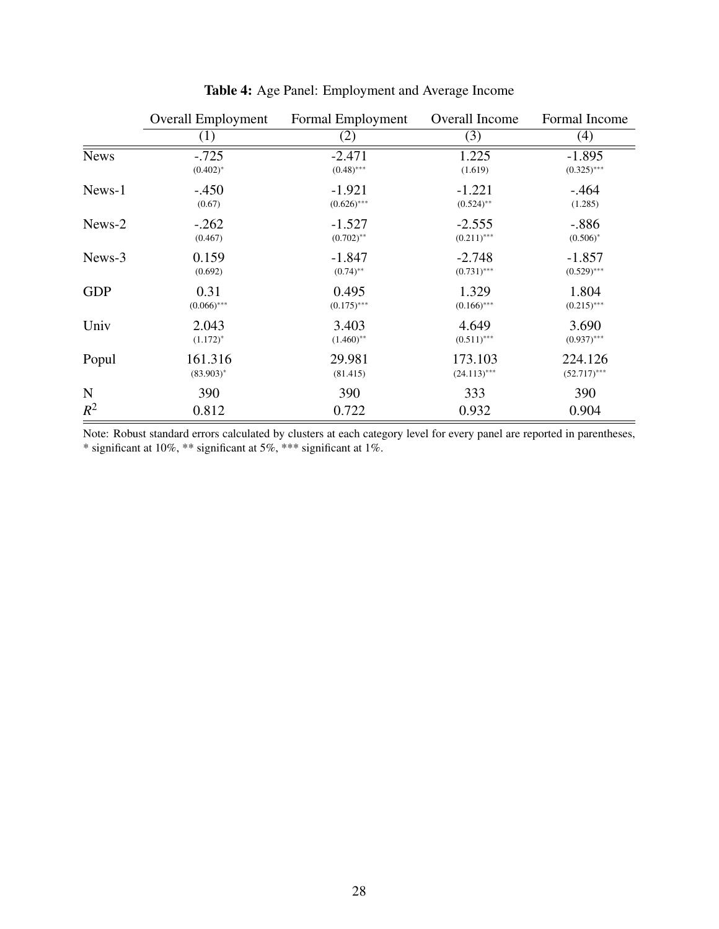|             | <b>Overall Employment</b> | Formal Employment | Overall Income | Formal Income  |
|-------------|---------------------------|-------------------|----------------|----------------|
|             | (1)                       | (2)               | (3)            | (4)            |
| <b>News</b> | $-.725$                   | $-2.471$          | 1.225          | $-1.895$       |
|             | $(0.402)^*$               | $(0.48)$ ***      | (1.619)        | $(0.325)$ ***  |
| News-1      | $-.450$                   | $-1.921$          | $-1.221$       | $-.464$        |
|             | (0.67)                    | $(0.626)$ ***     | $(0.524)$ **   | (1.285)        |
| News-2      | $-.262$                   | $-1.527$          | $-2.555$       | $-.886$        |
|             | (0.467)                   | $(0.702)$ **      | $(0.211)$ ***  | $(0.506)^*$    |
| News-3      | 0.159                     | $-1.847$          | $-2.748$       | $-1.857$       |
|             | (0.692)                   | $(0.74)$ **       | $(0.731)$ ***  | $(0.529)$ ***  |
| <b>GDP</b>  | 0.31                      | 0.495             | 1.329          | 1.804          |
|             | $(0.066)$ ***             | $(0.175)$ ***     | $(0.166)$ ***  | $(0.215)$ ***  |
| Univ        | 2.043                     | 3.403             | 4.649          | 3.690          |
|             | $(1.172)^*$               | $(1.460)$ **      | $(0.511)$ ***  | $(0.937)$ ***  |
| Popul       | 161.316                   | 29.981            | 173.103        | 224.126        |
|             | $(83.903)^*$              | (81.415)          | $(24.113)$ *** | $(52.717)$ *** |
| N           | 390                       | 390               | 333            | 390            |
| $R^2$       | 0.812                     | 0.722             | 0.932          | 0.904          |

Table 4: Age Panel: Employment and Average Income

Note: Robust standard errors calculated by clusters at each category level for every panel are reported in parentheses, \* significant at 10%, \*\* significant at 5%, \*\*\* significant at 1%.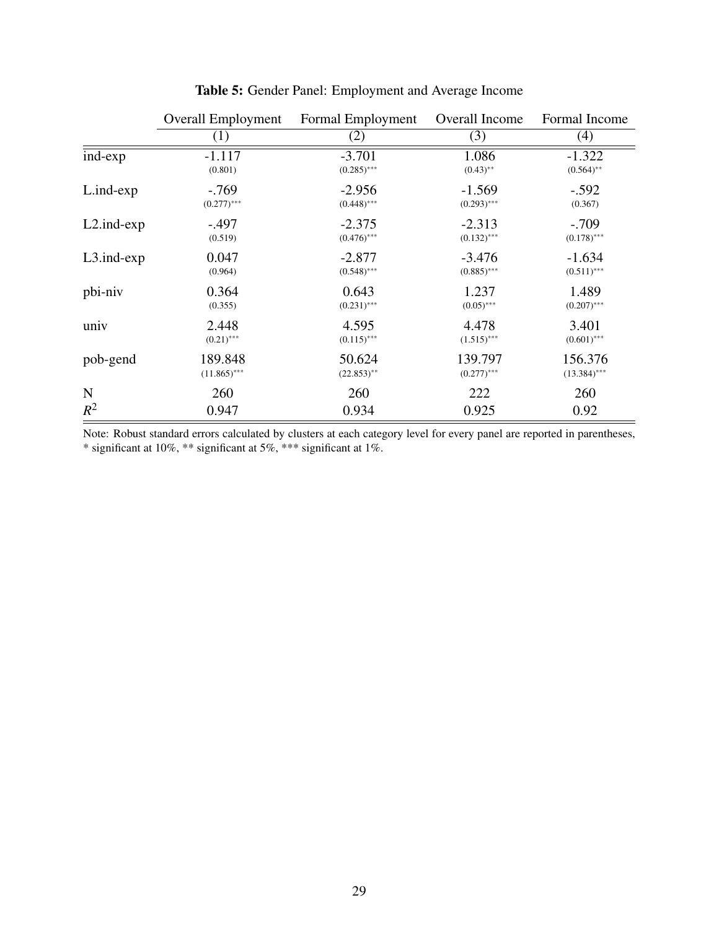|                  | <b>Overall Employment</b> | Formal Employment | Overall Income | Formal Income  |
|------------------|---------------------------|-------------------|----------------|----------------|
|                  | (1)                       | (2)               | (3)            | (4)            |
| ind-exp          | $-1.117$                  | $-3.701$          | 1.086          | $-1.322$       |
|                  | (0.801)                   | $(0.285)$ ***     | $(0.43)$ **    | $(0.564)$ **   |
| L.ind-exp        | $-.769$                   | $-2.956$          | $-1.569$       | $-.592$        |
|                  | $(0.277)$ ***             | $(0.448)$ ***     | $(0.293)$ ***  | (0.367)        |
| $L2$ .ind- $exp$ | $-.497$                   | $-2.375$          | $-2.313$       | $-.709$        |
|                  | (0.519)                   | $(0.476)$ ***     | $(0.132)$ ***  | $(0.178)$ ***  |
| $L3$ .ind- $exp$ | 0.047                     | $-2.877$          | $-3.476$       | $-1.634$       |
|                  | (0.964)                   | $(0.548)$ ***     | $(0.885)$ ***  | $(0.511)$ ***  |
| pbi-niv          | 0.364                     | 0.643             | 1.237          | 1.489          |
|                  | (0.355)                   | $(0.231)$ ***     | $(0.05)$ ***   | $(0.207)$ ***  |
| univ             | 2.448                     | 4.595             | 4.478          | 3.401          |
|                  | $(0.21)$ ***              | $(0.115)$ ***     | $(1.515)$ ***  | $(0.601)$ ***  |
| pob-gend         | 189.848                   | 50.624            | 139.797        | 156.376        |
|                  | $(11.865)$ ***            | $(22.853)$ **     | $(0.277)$ ***  | $(13.384)$ *** |
| N                | 260                       | 260               | 222            | 260            |
| $R^2$            | 0.947                     | 0.934             | 0.925          | 0.92           |

Table 5: Gender Panel: Employment and Average Income

Note: Robust standard errors calculated by clusters at each category level for every panel are reported in parentheses, \* significant at 10%, \*\* significant at 5%, \*\*\* significant at 1%.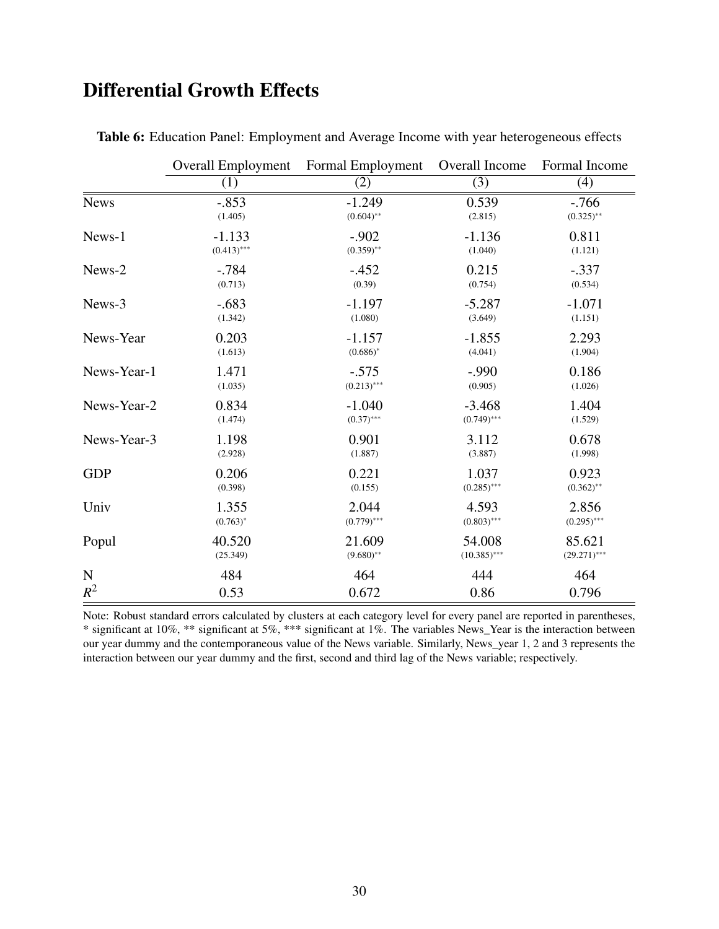# Differential Growth Effects

|             | <b>Overall Employment</b> | Formal Employment | Overall Income | Formal Income  |
|-------------|---------------------------|-------------------|----------------|----------------|
|             | (1)                       | (2)               | (3)            | (4)            |
| <b>News</b> | $-.853$                   | $-1.249$          | 0.539          | $-.766$        |
|             | (1.405)                   | $(0.604)$ **      | (2.815)        | $(0.325)$ **   |
| News-1      | $-1.133$                  | $-.902$           | $-1.136$       | 0.811          |
|             | $(0.413)$ ***             | $(0.359)$ **      | (1.040)        | (1.121)        |
| News-2      | $-.784$                   | $-.452$           | 0.215          | $-.337$        |
|             | (0.713)                   | (0.39)            | (0.754)        | (0.534)        |
| News-3      | $-.683$                   | $-1.197$          | $-5.287$       | $-1.071$       |
|             | (1.342)                   | (1.080)           | (3.649)        | (1.151)        |
| News-Year   | 0.203                     | $-1.157$          | $-1.855$       | 2.293          |
|             | (1.613)                   | $(0.686)^*$       | (4.041)        | (1.904)        |
| News-Year-1 | 1.471                     | $-.575$           | $-.990$        | 0.186          |
|             | (1.035)                   | $(0.213)$ ***     | (0.905)        | (1.026)        |
| News-Year-2 | 0.834                     | $-1.040$          | $-3.468$       | 1.404          |
|             | (1.474)                   | $(0.37)$ ***      | $(0.749)$ ***  | (1.529)        |
| News-Year-3 | 1.198                     | 0.901             | 3.112          | 0.678          |
|             | (2.928)                   | (1.887)           | (3.887)        | (1.998)        |
| <b>GDP</b>  | 0.206                     | 0.221             | 1.037          | 0.923          |
|             | (0.398)                   | (0.155)           | $(0.285)$ ***  | $(0.362)$ **   |
| Univ        | 1.355                     | 2.044             | 4.593          | 2.856          |
|             | $(0.763)^*$               | $(0.779)$ ***     | $(0.803)$ ***  | $(0.295)$ ***  |
| Popul       | 40.520                    | 21.609            | 54.008         | 85.621         |
|             | (25.349)                  | $(9.680)$ **      | $(10.385)$ *** | $(29.271)$ *** |
| $\mathbf N$ | 484                       | 464               | 444            | 464            |
| $R^2$       | 0.53                      | 0.672             | 0.86           | 0.796          |

Table 6: Education Panel: Employment and Average Income with year heterogeneous effects

Note: Robust standard errors calculated by clusters at each category level for every panel are reported in parentheses, \* significant at 10%, \*\* significant at 5%, \*\*\* significant at 1%. The variables News\_Year is the interaction between our year dummy and the contemporaneous value of the News variable. Similarly, News\_year 1, 2 and 3 represents the interaction between our year dummy and the first, second and third lag of the News variable; respectively.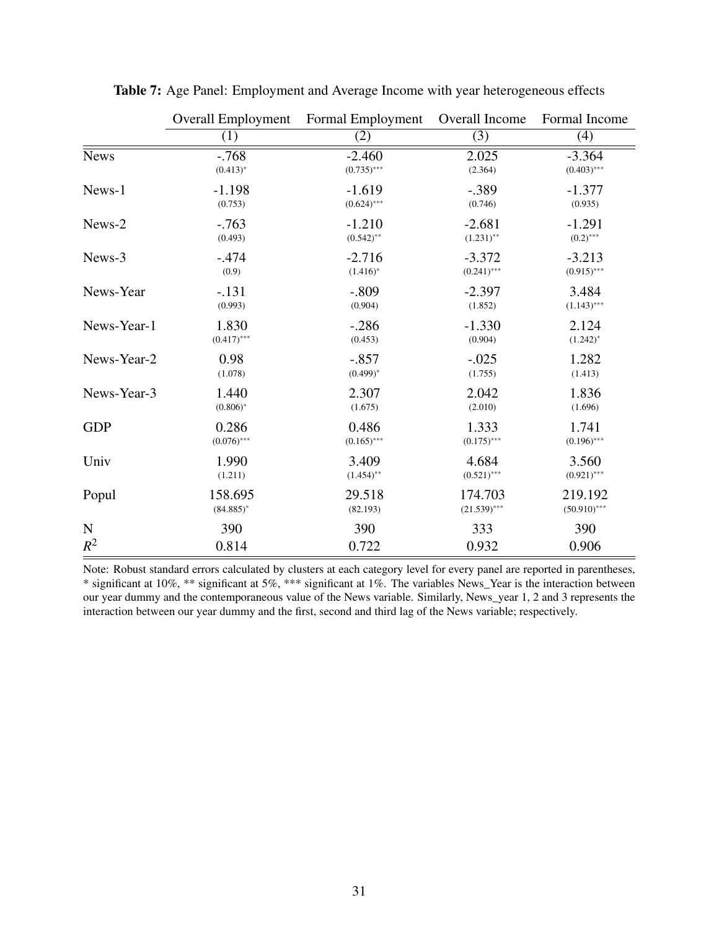|             | <b>Overall Employment</b> | Formal Employment | Overall Income | Formal Income  |
|-------------|---------------------------|-------------------|----------------|----------------|
|             | (1)                       | (2)               | (3)            | (4)            |
| <b>News</b> | $-.768$                   | $-2.460$          | 2.025          | $-3.364$       |
|             | $(0.413)^*$               | $(0.735)$ ***     | (2.364)        | $(0.403)$ ***  |
| News-1      | $-1.198$                  | $-1.619$          | $-.389$        | $-1.377$       |
|             | (0.753)                   | $(0.624)$ ***     | (0.746)        | (0.935)        |
| News-2      | $-763$                    | $-1.210$          | $-2.681$       | $-1.291$       |
|             | (0.493)                   | $(0.542)$ **      | $(1.231)$ **   | $(0.2)$ ***    |
| News-3      | $-.474$                   | $-2.716$          | $-3.372$       | $-3.213$       |
|             | (0.9)                     | $(1.416)^*$       | $(0.241)$ ***  | $(0.915)$ ***  |
| News-Year   | $-131$                    | $-.809$           | $-2.397$       | 3.484          |
|             | (0.993)                   | (0.904)           | (1.852)        | $(1.143)$ ***  |
| News-Year-1 | 1.830                     | $-.286$           | $-1.330$       | 2.124          |
|             | $(0.417)$ ***             | (0.453)           | (0.904)        | $(1.242)^*$    |
| News-Year-2 | 0.98                      | $-.857$           | $-.025$        | 1.282          |
|             | (1.078)                   | $(0.499)^*$       | (1.755)        | (1.413)        |
| News-Year-3 | 1.440                     | 2.307             | 2.042          | 1.836          |
|             | $(0.806)^*$               | (1.675)           | (2.010)        | (1.696)        |
| <b>GDP</b>  | 0.286                     | 0.486             | 1.333          | 1.741          |
|             | $(0.076)$ ***             | $(0.165)$ ***     | $(0.175)$ ***  | $(0.196)$ ***  |
| Univ        | 1.990                     | 3.409             | 4.684          | 3.560          |
|             | (1.211)                   | $(1.454)$ **      | $(0.521)$ ***  | $(0.921)$ ***  |
| Popul       | 158.695                   | 29.518            | 174.703        | 219.192        |
|             | $(84.885)^*$              | (82.193)          | $(21.539)$ *** | $(50.910)$ *** |
| ${\bf N}$   | 390                       | 390               | 333            | 390            |
| $R^2$       | 0.814                     | 0.722             | 0.932          | 0.906          |

Table 7: Age Panel: Employment and Average Income with year heterogeneous effects

Note: Robust standard errors calculated by clusters at each category level for every panel are reported in parentheses, \* significant at 10%, \*\* significant at 5%, \*\*\* significant at 1%. The variables News\_Year is the interaction between our year dummy and the contemporaneous value of the News variable. Similarly, News\_year 1, 2 and 3 represents the interaction between our year dummy and the first, second and third lag of the News variable; respectively.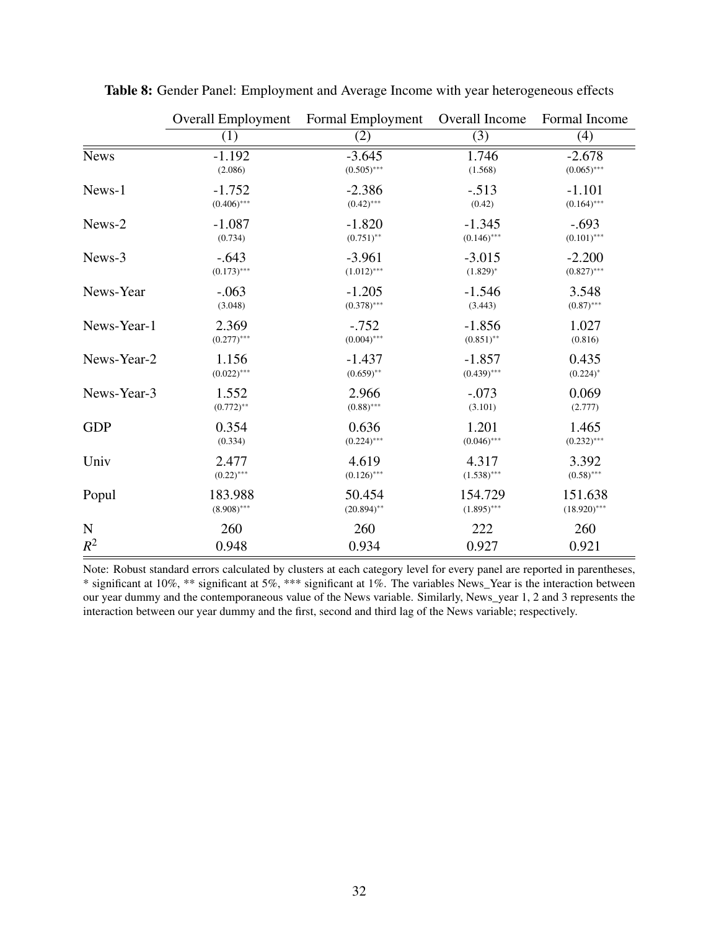|             | <b>Overall Employment</b> | Formal Employment | Overall Income | Formal Income  |
|-------------|---------------------------|-------------------|----------------|----------------|
|             | (1)                       | (2)               | (3)            | (4)            |
| <b>News</b> | $-1.192$                  | $-3.645$          | 1.746          | $-2.678$       |
|             | (2.086)                   | $(0.505)$ ***     | (1.568)        | $(0.065)$ ***  |
| News-1      | $-1.752$                  | $-2.386$          | $-.513$        | $-1.101$       |
|             | $(0.406)$ ***             | $(0.42)$ ***      | (0.42)         | $(0.164)$ ***  |
| News-2      | $-1.087$                  | $-1.820$          | $-1.345$       | $-.693$        |
|             | (0.734)                   | $(0.751)$ **      | $(0.146)$ ***  | $(0.101)$ ***  |
| News-3      | $-.643$                   | $-3.961$          | $-3.015$       | $-2.200$       |
|             | $(0.173)$ ***             | $(1.012)$ ***     | $(1.829)^*$    | $(0.827)$ ***  |
| News-Year   | $-.063$                   | $-1.205$          | $-1.546$       | 3.548          |
|             | (3.048)                   | $(0.378)$ ***     | (3.443)        | $(0.87)$ ***   |
| News-Year-1 | 2.369                     | $-.752$           | $-1.856$       | 1.027          |
|             | $(0.277)$ ***             | $(0.004)$ ***     | $(0.851)$ **   | (0.816)        |
| News-Year-2 | 1.156                     | $-1.437$          | $-1.857$       | 0.435          |
|             | $(0.022)$ ***             | $(0.659)$ **      | $(0.439)$ ***  | $(0.224)^*$    |
| News-Year-3 | 1.552                     | 2.966             | $-.073$        | 0.069          |
|             | $(0.772)$ **              | $(0.88)$ ***      | (3.101)        | (2.777)        |
| <b>GDP</b>  | 0.354                     | 0.636             | 1.201          | 1.465          |
|             | (0.334)                   | $(0.224)$ ***     | $(0.046)$ ***  | $(0.232)$ ***  |
| Univ        | 2.477                     | 4.619             | 4.317          | 3.392          |
|             | $(0.22)$ ***              | $(0.126)$ ***     | $(1.538)$ ***  | $(0.58)$ ***   |
| Popul       | 183.988                   | 50.454            | 154.729        | 151.638        |
|             | $(8.908)$ ***             | $(20.894)$ **     | $(1.895)$ ***  | $(18.920)$ *** |
| ${\bf N}$   | 260                       | 260               | 222            | 260            |
| $R^2$       | 0.948                     | 0.934             | 0.927          | 0.921          |

Table 8: Gender Panel: Employment and Average Income with year heterogeneous effects

Note: Robust standard errors calculated by clusters at each category level for every panel are reported in parentheses, \* significant at 10%, \*\* significant at 5%, \*\*\* significant at 1%. The variables News\_Year is the interaction between our year dummy and the contemporaneous value of the News variable. Similarly, News\_year 1, 2 and 3 represents the interaction between our year dummy and the first, second and third lag of the News variable; respectively.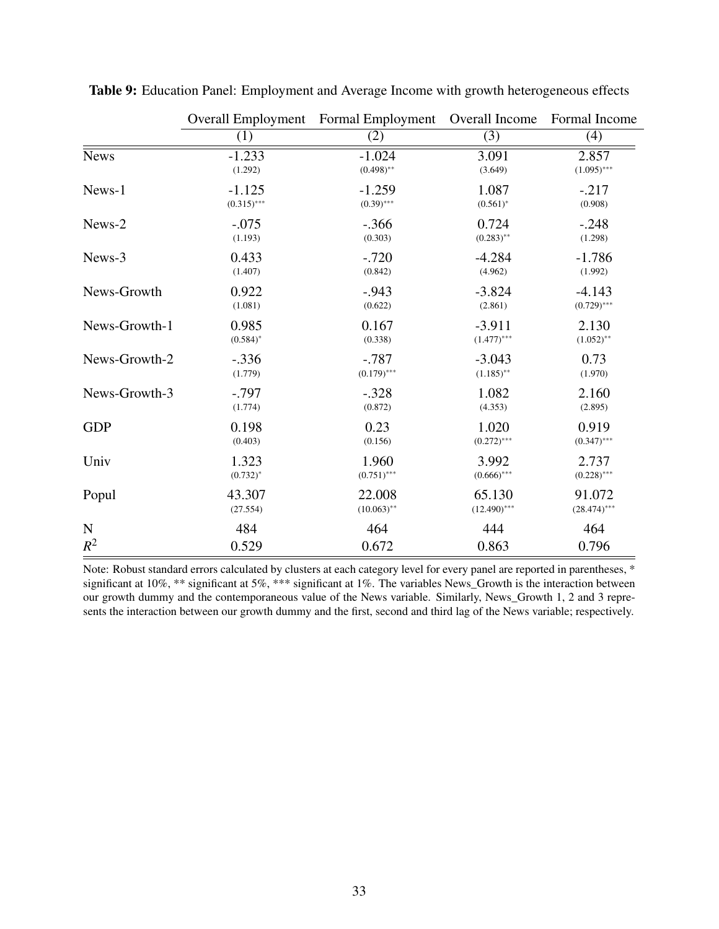|               | <b>Overall Employment</b> | Formal Employment | Overall Income | Formal Income  |
|---------------|---------------------------|-------------------|----------------|----------------|
|               | (1)                       | (2)               | (3)            | (4)            |
| <b>News</b>   | $-1.233$                  | $-1.024$          | 3.091          | 2.857          |
|               | (1.292)                   | $(0.498)$ **      | (3.649)        | $(1.095)$ ***  |
| News-1        | $-1.125$                  | $-1.259$          | 1.087          | $-.217$        |
|               | $(0.315)$ ***             | $(0.39)$ ***      | $(0.561)^*$    | (0.908)        |
| News-2        | $-.075$                   | $-.366$           | 0.724          | $-.248$        |
|               | (1.193)                   | (0.303)           | $(0.283)$ **   | (1.298)        |
| News-3        | 0.433                     | $-.720$           | $-4.284$       | $-1.786$       |
|               | (1.407)                   | (0.842)           | (4.962)        | (1.992)        |
| News-Growth   | 0.922                     | $-.943$           | $-3.824$       | $-4.143$       |
|               | (1.081)                   | (0.622)           | (2.861)        | $(0.729)$ ***  |
| News-Growth-1 | 0.985                     | 0.167             | $-3.911$       | 2.130          |
|               | $(0.584)$ *               | (0.338)           | $(1.477)$ ***  | $(1.052)$ **   |
| News-Growth-2 | $-.336$                   | $-.787$           | $-3.043$       | 0.73           |
|               | (1.779)                   | $(0.179)$ ***     | $(1.185)$ **   | (1.970)        |
| News-Growth-3 | $-.797$                   | $-.328$           | 1.082          | 2.160          |
|               | (1.774)                   | (0.872)           | (4.353)        | (2.895)        |
| <b>GDP</b>    | 0.198                     | 0.23              | 1.020          | 0.919          |
|               | (0.403)                   | (0.156)           | $(0.272)$ ***  | $(0.347)$ ***  |
| Univ          | 1.323                     | 1.960             | 3.992          | 2.737          |
|               | $(0.732)^*$               | $(0.751)$ ***     | $(0.666)$ ***  | $(0.228)$ ***  |
| Popul         | 43.307                    | 22.008            | 65.130         | 91.072         |
|               | (27.554)                  | $(10.063)$ **     | $(12.490)$ *** | $(28.474)$ *** |
| $\mathbf N$   | 484                       | 464               | 444            | 464            |
| $R^2$         | 0.529                     | 0.672             | 0.863          | 0.796          |

Table 9: Education Panel: Employment and Average Income with growth heterogeneous effects

Note: Robust standard errors calculated by clusters at each category level for every panel are reported in parentheses, \* significant at 10%, \*\* significant at 5%, \*\*\* significant at 1%. The variables News\_Growth is the interaction between our growth dummy and the contemporaneous value of the News variable. Similarly, News\_Growth 1, 2 and 3 represents the interaction between our growth dummy and the first, second and third lag of the News variable; respectively.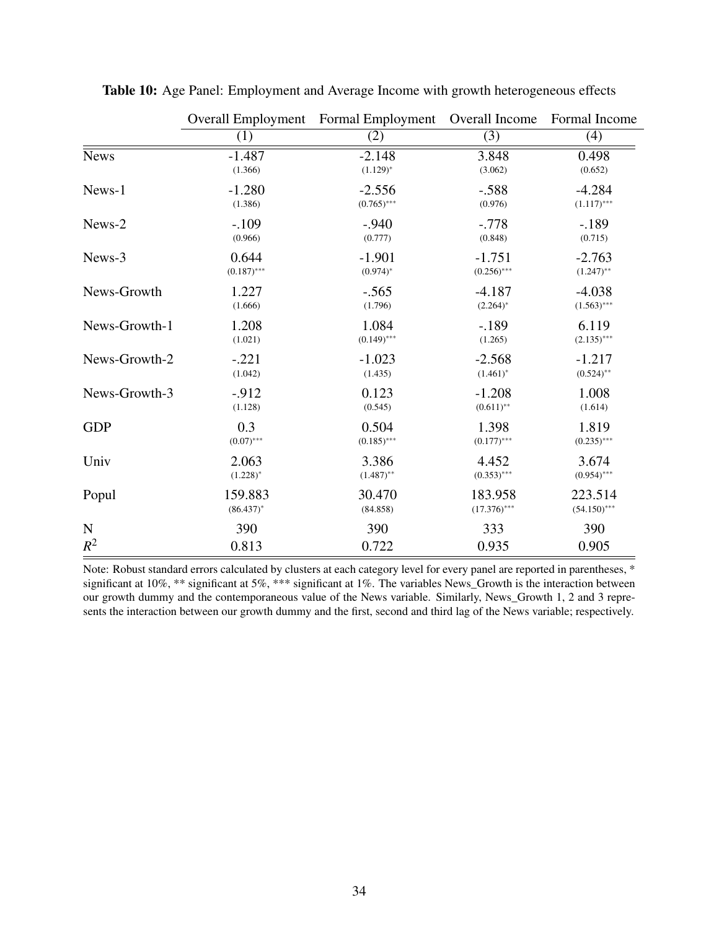|               | <b>Overall Employment</b> | Formal Employment | Overall Income | Formal Income  |
|---------------|---------------------------|-------------------|----------------|----------------|
|               | (1)                       | (2)               | (3)            | (4)            |
| <b>News</b>   | $-1.487$                  | $-2.148$          | 3.848          | 0.498          |
|               | (1.366)                   | $(1.129)^{*}$     | (3.062)        | (0.652)        |
| News-1        | $-1.280$                  | $-2.556$          | $-.588$        | $-4.284$       |
|               | (1.386)                   | $(0.765)$ ***     | (0.976)        | $(1.117)$ ***  |
| News-2        | $-.109$                   | $-.940$           | $-.778$        | $-189$         |
|               | (0.966)                   | (0.777)           | (0.848)        | (0.715)        |
| News-3        | 0.644                     | $-1.901$          | $-1.751$       | $-2.763$       |
|               | $(0.187)$ ***             | $(0.974)^*$       | $(0.256)$ ***  | $(1.247)$ **   |
| News-Growth   | 1.227                     | $-.565$           | $-4.187$       | $-4.038$       |
|               | (1.666)                   | (1.796)           | $(2.264)^*$    | $(1.563)$ ***  |
| News-Growth-1 | 1.208                     | 1.084             | $-.189$        | 6.119          |
|               | (1.021)                   | $(0.149)$ ***     | (1.265)        | $(2.135)$ ***  |
| News-Growth-2 | $-.221$                   | $-1.023$          | $-2.568$       | $-1.217$       |
|               | (1.042)                   | (1.435)           | $(1.461)^*$    | $(0.524)$ **   |
| News-Growth-3 | $-.912$                   | 0.123             | $-1.208$       | 1.008          |
|               | (1.128)                   | (0.545)           | $(0.611)$ **   | (1.614)        |
| <b>GDP</b>    | 0.3                       | 0.504             | 1.398          | 1.819          |
|               | $(0.07)$ ***              | $(0.185)$ ***     | $(0.177)$ ***  | $(0.235)$ ***  |
| Univ          | 2.063                     | 3.386             | 4.452          | 3.674          |
|               | $(1.228)^{*}$             | $(1.487)$ **      | $(0.353)$ ***  | $(0.954)$ ***  |
| Popul         | 159.883                   | 30.470            | 183.958        | 223.514        |
|               | $(86.437)^*$              | (84.858)          | $(17.376)$ *** | $(54.150)$ *** |
| $\mathbf N$   | 390                       | 390               | 333            | 390            |
| $R^2$         | 0.813                     | 0.722             | 0.935          | 0.905          |

Table 10: Age Panel: Employment and Average Income with growth heterogeneous effects

Note: Robust standard errors calculated by clusters at each category level for every panel are reported in parentheses, \* significant at 10%, \*\* significant at 5%, \*\*\* significant at 1%. The variables News\_Growth is the interaction between our growth dummy and the contemporaneous value of the News variable. Similarly, News\_Growth 1, 2 and 3 represents the interaction between our growth dummy and the first, second and third lag of the News variable; respectively.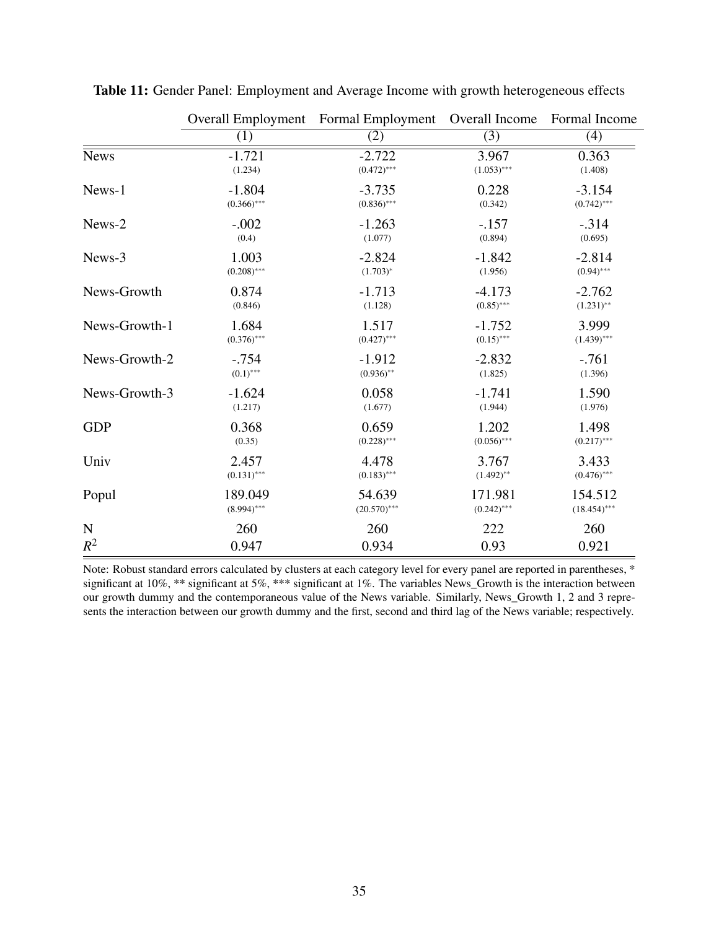|               | <b>Overall Employment</b> | Formal Employment | Overall Income | Formal Income  |
|---------------|---------------------------|-------------------|----------------|----------------|
|               | (1)                       | (2)               | (3)            | (4)            |
| <b>News</b>   | $-1.721$                  | $-2.722$          | 3.967          | 0.363          |
|               | (1.234)                   | $(0.472)$ ***     | $(1.053)$ ***  | (1.408)        |
| News-1        | $-1.804$                  | $-3.735$          | 0.228          | $-3.154$       |
|               | $(0.366)$ ***             | $(0.836)$ ***     | (0.342)        | $(0.742)$ ***  |
| News-2        | $-.002$                   | $-1.263$          | $-.157$        | $-.314$        |
|               | (0.4)                     | (1.077)           | (0.894)        | (0.695)        |
| News-3        | 1.003                     | $-2.824$          | $-1.842$       | $-2.814$       |
|               | $(0.208)$ ***             | $(1.703)^{*}$     | (1.956)        | $(0.94)$ ***   |
| News-Growth   | 0.874                     | $-1.713$          | $-4.173$       | $-2.762$       |
|               | (0.846)                   | (1.128)           | $(0.85)$ ***   | $(1.231)$ **   |
| News-Growth-1 | 1.684                     | 1.517             | $-1.752$       | 3.999          |
|               | $(0.376)$ ***             | $(0.427)$ ***     | $(0.15)$ ***   | $(1.439)$ ***  |
| News-Growth-2 | $-.754$                   | $-1.912$          | $-2.832$       | $-761$         |
|               | $(0.1)$ ***               | $(0.936)$ **      | (1.825)        | (1.396)        |
| News-Growth-3 | $-1.624$                  | 0.058             | $-1.741$       | 1.590          |
|               | (1.217)                   | (1.677)           | (1.944)        | (1.976)        |
| <b>GDP</b>    | 0.368                     | 0.659             | 1.202          | 1.498          |
|               | (0.35)                    | $(0.228)$ ***     | $(0.056)$ ***  | $(0.217)$ ***  |
| Univ          | 2.457                     | 4.478             | 3.767          | 3.433          |
|               | $(0.131)$ ***             | $(0.183)$ ***     | $(1.492)$ **   | $(0.476)$ ***  |
| Popul         | 189.049                   | 54.639            | 171.981        | 154.512        |
|               | $(8.994)$ ***             | $(20.570)$ ***    | $(0.242)$ ***  | $(18.454)$ *** |
| $\mathbf N$   | 260                       | 260               | 222            | 260            |
| $R^2$         | 0.947                     | 0.934             | 0.93           | 0.921          |

Table 11: Gender Panel: Employment and Average Income with growth heterogeneous effects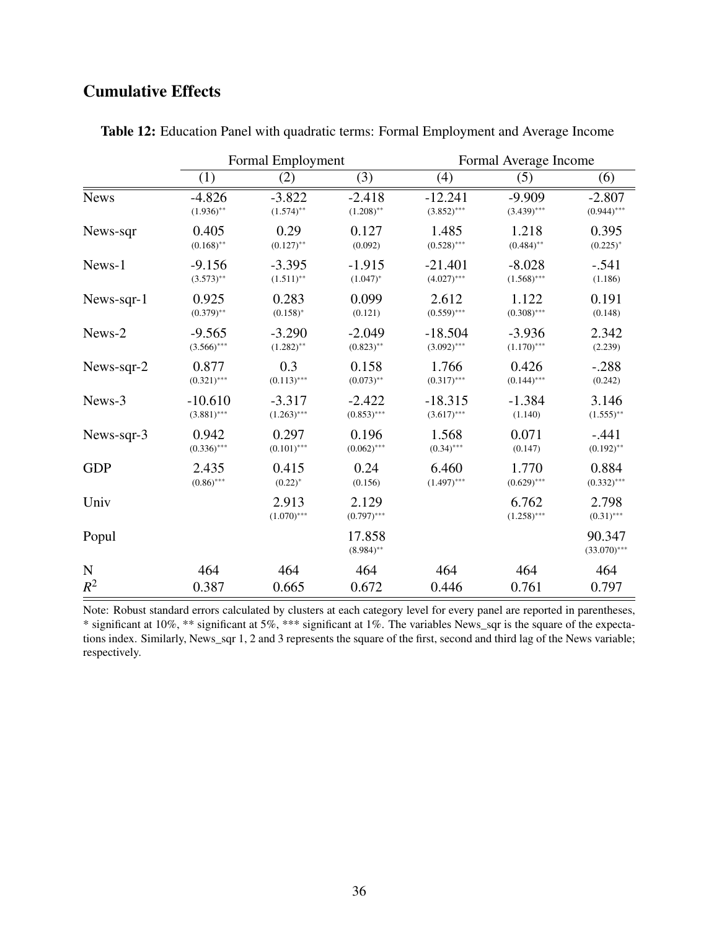## Cumulative Effects

|                    | Formal Employment |                        |                        | Formal Average Income |                        |                          |
|--------------------|-------------------|------------------------|------------------------|-----------------------|------------------------|--------------------------|
|                    | (1)               | (2)                    | (3)                    | (4)                   | (5)                    | (6)                      |
| <b>News</b>        | $-4.826$          | $-3.822$               | $-2.418$               | $-12.241$             | $-9.909$               | $-2.807$                 |
|                    | $(1.936)$ **      | $(1.574)$ **           | $(1.208)$ **           | $(3.852)$ ***         | $(3.439)$ ***          | $(0.944)$ ***            |
| News-sqr           | 0.405             | 0.29                   | 0.127                  | 1.485                 | 1.218                  | 0.395                    |
|                    | $(0.168)$ **      | $(0.127)$ **           | (0.092)                | $(0.528)$ ***         | $(0.484)$ **           | $(0.225)^*$              |
| News-1             | $-9.156$          | $-3.395$               | $-1.915$               | $-21.401$             | $-8.028$               | $-.541$                  |
|                    | $(3.573)$ **      | $(1.511)$ **           | $(1.047)^*$            | $(4.027)$ ***         | $(1.568)$ ***          | (1.186)                  |
| $News-sqrt-1$      | 0.925             | 0.283                  | 0.099                  | 2.612                 | 1.122                  | 0.191                    |
|                    | $(0.379)$ **      | $(0.158)^*$            | (0.121)                | $(0.559)$ ***         | $(0.308)$ ***          | (0.148)                  |
| News-2             | $-9.565$          | $-3.290$               | $-2.049$               | $-18.504$             | $-3.936$               | 2.342                    |
|                    | $(3.566)$ ***     | $(1.282)$ **           | $(0.823)$ **           | $(3.092)$ ***         | $(1.170)$ ***          | (2.239)                  |
| News-sqr-2         | 0.877             | 0.3                    | 0.158                  | 1.766                 | 0.426                  | $-.288$                  |
|                    | $(0.321)$ ***     | $(0.113)$ ***          | $(0.073)$ **           | $(0.317)$ ***         | $(0.144)$ ***          | (0.242)                  |
| News-3             | $-10.610$         | $-3.317$               | $-2.422$               | $-18.315$             | $-1.384$               | 3.146                    |
|                    | $(3.881)$ ***     | $(1.263)$ ***          | $(0.853)$ ***          | $(3.617)$ ***         | (1.140)                | $(1.555)$ **             |
| News-sqr-3         | 0.942             | 0.297                  | 0.196                  | 1.568                 | 0.071                  | $-.441$                  |
|                    | $(0.336)$ ***     | $(0.101)$ ***          | $(0.062)$ ***          | $(0.34)$ ***          | (0.147)                | $(0.192)$ **             |
| <b>GDP</b>         | 2.435             | 0.415                  | 0.24                   | 6.460                 | 1.770                  | 0.884                    |
|                    | $(0.86)$ ***      | $(0.22)^{*}$           | (0.156)                | $(1.497)$ ***         | $(0.629)$ ***          | $(0.332)$ ***            |
| Univ               |                   | 2.913<br>$(1.070)$ *** | 2.129<br>$(0.797)$ *** |                       | 6.762<br>$(1.258)$ *** | 2.798<br>$(0.31)$ ***    |
| Popul              |                   |                        | 17.858<br>$(8.984)$ ** |                       |                        | 90.347<br>$(33.070)$ *** |
| ${\bf N}$<br>$R^2$ | 464               | 464                    | 464                    | 464                   | 464                    | 464                      |
|                    | 0.387             | 0.665                  | 0.672                  | 0.446                 | 0.761                  | 0.797                    |

Table 12: Education Panel with quadratic terms: Formal Employment and Average Income

Note: Robust standard errors calculated by clusters at each category level for every panel are reported in parentheses, \* significant at 10%, \*\* significant at 5%, \*\*\* significant at 1%. The variables News\_sqr is the square of the expectations index. Similarly, News\_sqr 1, 2 and 3 represents the square of the first, second and third lag of the News variable; respectively.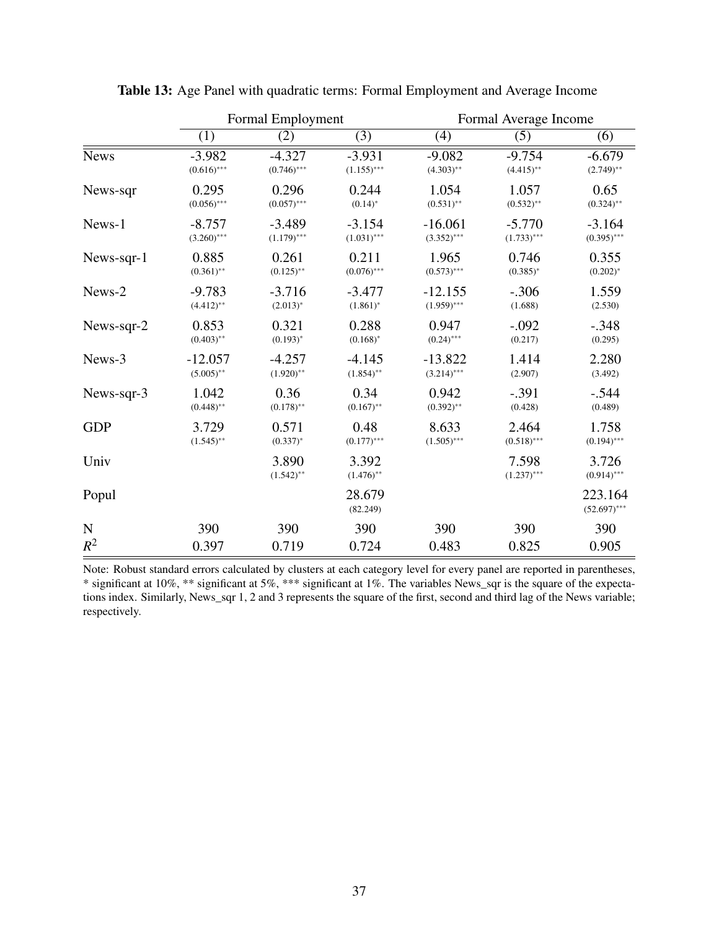|             | Formal Employment |                       | Formal Average Income |               |                        |                           |
|-------------|-------------------|-----------------------|-----------------------|---------------|------------------------|---------------------------|
|             | (1)               | (2)                   | (3)                   | (4)           | (5)                    | (6)                       |
| <b>News</b> | $-3.982$          | $-4.327$              | $-3.931$              | $-9.082$      | $-9.754$               | $-6.679$                  |
|             | $(0.616)$ ***     | $(0.746)$ ***         | $(1.155)$ ***         | $(4.303)$ **  | $(4.415)$ **           | $(2.749)$ **              |
| News-sqr    | 0.295             | 0.296                 | 0.244                 | 1.054         | 1.057                  | 0.65                      |
|             | $(0.056)$ ***     | $(0.057)$ ***         | $(0.14)^*$            | $(0.531)$ **  | $(0.532)$ **           | $(0.324)$ **              |
| News-1      | $-8.757$          | $-3.489$              | $-3.154$              | $-16.061$     | $-5.770$               | $-3.164$                  |
|             | $(3.260)$ ***     | $(1.179)$ ***         | $(1.031)$ ***         | $(3.352)$ *** | $(1.733)$ ***          | $(0.395)$ ***             |
| News-sqr-1  | 0.885             | 0.261                 | 0.211                 | 1.965         | 0.746                  | 0.355                     |
|             | $(0.361)$ **      | $(0.125)$ **          | $(0.076)$ ***         | $(0.573)$ *** | $(0.385)^*$            | $(0.202)^*$               |
| News-2      | $-9.783$          | $-3.716$              | $-3.477$              | $-12.155$     | $-.306$                | 1.559                     |
|             | $(4.412)$ **      | $(2.013)^*$           | $(1.861)^*$           | $(1.959)$ *** | (1.688)                | (2.530)                   |
| News-sqr-2  | 0.853             | 0.321                 | 0.288                 | 0.947         | $-.092$                | $-.348$                   |
|             | $(0.403)$ **      | $(0.193)^{*}$         | $(0.168)^*$           | $(0.24)$ ***  | (0.217)                | (0.295)                   |
| News-3      | $-12.057$         | $-4.257$              | $-4.145$              | $-13.822$     | 1.414                  | 2.280                     |
|             | $(5.005)$ **      | $(1.920)$ **          | $(1.854)$ **          | $(3.214)$ *** | (2.907)                | (3.492)                   |
| News-sqr-3  | 1.042             | 0.36                  | 0.34                  | 0.942         | $-.391$                | $-.544$                   |
|             | $(0.448)$ **      | $(0.178)$ **          | $(0.167)$ **          | $(0.392)$ **  | (0.428)                | (0.489)                   |
| <b>GDP</b>  | 3.729             | 0.571                 | 0.48                  | 8.633         | 2.464                  | 1.758                     |
|             | $(1.545)$ **      | $(0.337)^{*}$         | $(0.177)$ ***         | $(1.505)$ *** | $(0.518)$ ***          | $(0.194)$ ***             |
| Univ        |                   | 3.890<br>$(1.542)$ ** | 3.392<br>$(1.476)$ ** |               | 7.598<br>$(1.237)$ *** | 3.726<br>$(0.914)$ ***    |
| Popul       |                   |                       | 28.679<br>(82.249)    |               |                        | 223.164<br>$(52.697)$ *** |
| $\mathbf N$ | 390               | 390                   | 390                   | 390           | 390                    | 390                       |
| $R^2$       | 0.397             | 0.719                 | 0.724                 | 0.483         | 0.825                  | 0.905                     |

Table 13: Age Panel with quadratic terms: Formal Employment and Average Income

Note: Robust standard errors calculated by clusters at each category level for every panel are reported in parentheses, \* significant at 10%, \*\* significant at 5%, \*\*\* significant at 1%. The variables News\_sqr is the square of the expectations index. Similarly, News\_sqr 1, 2 and 3 represents the square of the first, second and third lag of the News variable; respectively.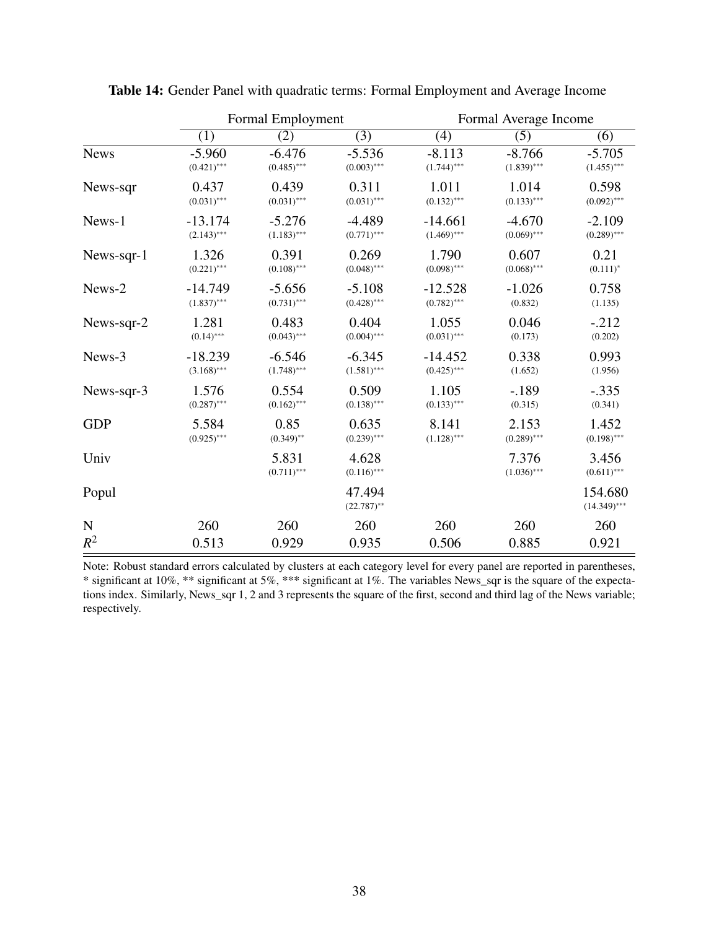|             | Formal Employment |                        | Formal Average Income   |               |                        |                           |
|-------------|-------------------|------------------------|-------------------------|---------------|------------------------|---------------------------|
|             | (1)               | (2)                    | (3)                     | (4)           | (5)                    | (6)                       |
| <b>News</b> | $-5.960$          | $-6.476$               | $-5.536$                | $-8.113$      | $-8.766$               | $-5.705$                  |
|             | $(0.421)$ ***     | $(0.485)$ ***          | $(0.003)$ ***           | $(1.744)$ *** | $(1.839)$ ***          | $(1.455)$ ***             |
| News-sqr    | 0.437             | 0.439                  | 0.311                   | 1.011         | 1.014                  | 0.598                     |
|             | $(0.031)$ ***     | $(0.031)$ ***          | $(0.031)$ ***           | $(0.132)$ *** | $(0.133)$ ***          | $(0.092)$ ***             |
| News-1      | $-13.174$         | $-5.276$               | $-4.489$                | $-14.661$     | $-4.670$               | $-2.109$                  |
|             | $(2.143)$ ***     | $(1.183)$ ***          | $(0.771)$ ***           | $(1.469)$ *** | $(0.069)$ ***          | $(0.289)$ ***             |
| News-sqr-1  | 1.326             | 0.391                  | 0.269                   | 1.790         | 0.607                  | 0.21                      |
|             | $(0.221)$ ***     | $(0.108)$ ***          | $(0.048)$ ***           | $(0.098)$ *** | $(0.068)$ ***          | $(0.111)^*$               |
| News-2      | $-14.749$         | $-5.656$               | $-5.108$                | $-12.528$     | $-1.026$               | 0.758                     |
|             | $(1.837)$ ***     | $(0.731)$ ***          | $(0.428)$ ***           | $(0.782)$ *** | (0.832)                | (1.135)                   |
| News-sqr-2  | 1.281             | 0.483                  | 0.404                   | 1.055         | 0.046                  | $-0.212$                  |
|             | $(0.14)$ ***      | $(0.043)$ ***          | $(0.004)$ ***           | $(0.031)$ *** | (0.173)                | (0.202)                   |
| News-3      | $-18.239$         | $-6.546$               | $-6.345$                | $-14.452$     | 0.338                  | 0.993                     |
|             | $(3.168)$ ***     | $(1.748)$ ***          | $(1.581)$ ***           | $(0.425)$ *** | (1.652)                | (1.956)                   |
| News-sqr-3  | 1.576             | 0.554                  | 0.509                   | 1.105         | $-.189$                | $-.335$                   |
|             | $(0.287)$ ***     | $(0.162)$ ***          | $(0.138)$ ***           | $(0.133)$ *** | (0.315)                | (0.341)                   |
| <b>GDP</b>  | 5.584             | 0.85                   | 0.635                   | 8.141         | 2.153                  | 1.452                     |
|             | $(0.925)$ ***     | $(0.349)$ **           | $(0.239)$ ***           | $(1.128)$ *** | $(0.289)$ ***          | $(0.198)$ ***             |
| Univ        |                   | 5.831<br>$(0.711)$ *** | 4.628<br>$(0.116)$ ***  |               | 7.376<br>$(1.036)$ *** | 3.456<br>$(0.611)$ ***    |
| Popul       |                   |                        | 47.494<br>$(22.787)$ ** |               |                        | 154.680<br>$(14.349)$ *** |
| ${\bf N}$   | 260               | 260                    | 260                     | 260           | 260                    | 260                       |
| $R^2$       | 0.513             | 0.929                  | 0.935                   | 0.506         | 0.885                  | 0.921                     |

Table 14: Gender Panel with quadratic terms: Formal Employment and Average Income

Note: Robust standard errors calculated by clusters at each category level for every panel are reported in parentheses, \* significant at 10%, \*\* significant at 5%, \*\*\* significant at 1%. The variables News\_sqr is the square of the expectations index. Similarly, News\_sqr 1, 2 and 3 represents the square of the first, second and third lag of the News variable; respectively.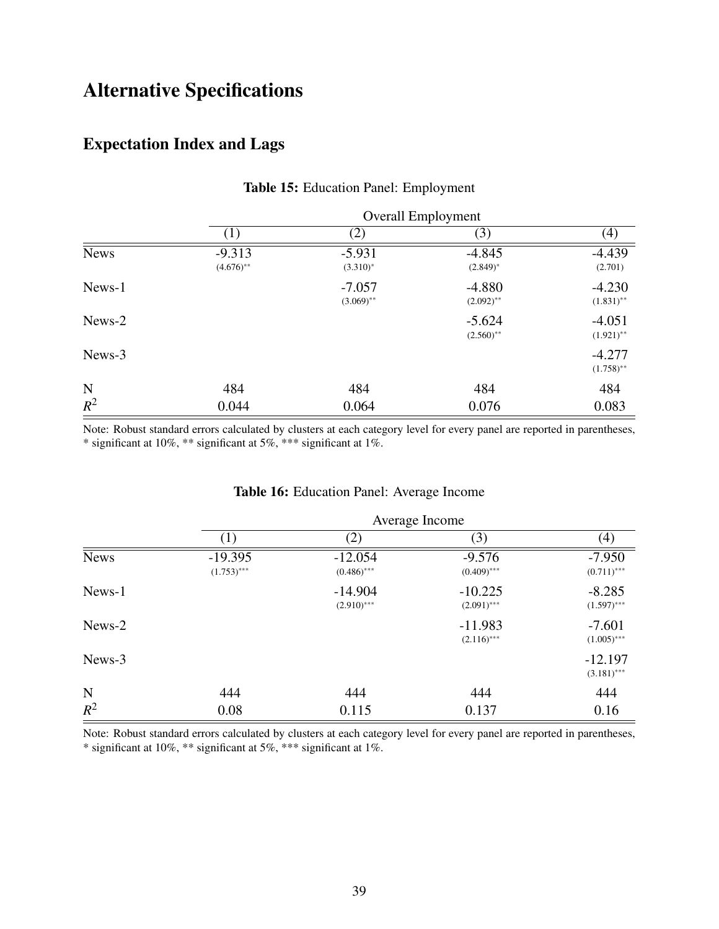# Alternative Specifications

# Expectation Index and Lags

|             | <b>Overall Employment</b> |                           |                          |                          |  |  |
|-------------|---------------------------|---------------------------|--------------------------|--------------------------|--|--|
|             | $\left(1\right)$          | (2)                       | (3)                      | (4)                      |  |  |
| <b>News</b> | $-9.313$<br>$(4.676)$ **  | $-5.931$<br>$(3.310)^{*}$ | $-4.845$<br>$(2.849)^*$  | $-4.439$<br>(2.701)      |  |  |
| News-1      |                           | $-7.057$<br>$(3.069)$ **  | $-4.880$<br>$(2.092)$ ** | $-4.230$<br>$(1.831)$ ** |  |  |
| News-2      |                           |                           | $-5.624$<br>$(2.560)$ ** | $-4.051$<br>$(1.921)$ ** |  |  |
| News-3      |                           |                           |                          | $-4.277$<br>$(1.758)$ ** |  |  |
| ${\bf N}$   | 484                       | 484                       | 484                      | 484                      |  |  |
| $R^2$       | 0.044                     | 0.064                     | 0.076                    | 0.083                    |  |  |

### Table 15: Education Panel: Employment

Note: Robust standard errors calculated by clusters at each category level for every panel are reported in parentheses, \* significant at 10%, \*\* significant at 5%, \*\*\* significant at 1%.

### Table 16: Education Panel: Average Income

|             |                            | Average Income             |                            |                            |  |  |
|-------------|----------------------------|----------------------------|----------------------------|----------------------------|--|--|
|             | (1)                        | (2)                        | (3)                        | (4)                        |  |  |
| <b>News</b> | $-19.395$<br>$(1.753)$ *** | $-12.054$<br>$(0.486)$ *** | $-9.576$<br>$(0.409)$ ***  | $-7.950$<br>$(0.711)$ ***  |  |  |
| News-1      |                            | $-14.904$<br>$(2.910)$ *** | $-10.225$<br>$(2.091)$ *** | $-8.285$<br>$(1.597)$ ***  |  |  |
| News-2      |                            |                            | $-11.983$<br>$(2.116)$ *** | $-7.601$<br>$(1.005)$ ***  |  |  |
| News-3      |                            |                            |                            | $-12.197$<br>$(3.181)$ *** |  |  |
| N           | 444                        | 444                        | 444                        | 444                        |  |  |
| $R^2$       | 0.08                       | 0.115                      | 0.137                      | 0.16                       |  |  |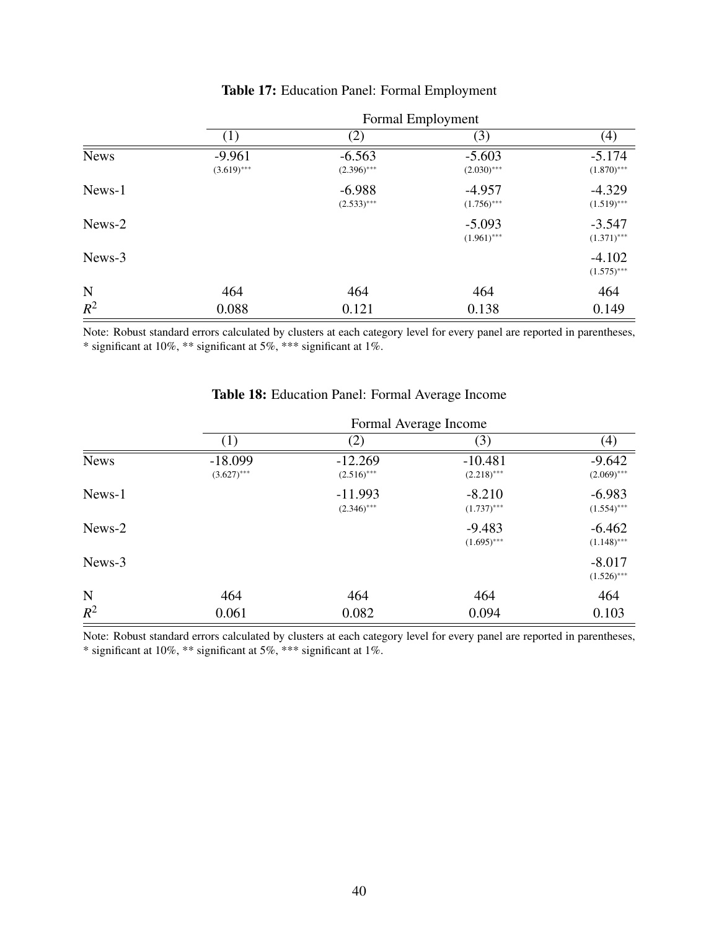|             | Formal Employment         |                           |                           |                           |  |  |
|-------------|---------------------------|---------------------------|---------------------------|---------------------------|--|--|
|             | (1)                       | (2)                       | (3)                       | $\left( 4\right)$         |  |  |
| <b>News</b> | $-9.961$<br>$(3.619)$ *** | $-6.563$<br>$(2.396)$ *** | $-5.603$<br>$(2.030)$ *** | $-5.174$<br>$(1.870)$ *** |  |  |
| News-1      |                           | $-6.988$<br>$(2.533)$ *** | $-4.957$<br>$(1.756)$ *** | $-4.329$<br>$(1.519)$ *** |  |  |
| News-2      |                           |                           | $-5.093$<br>$(1.961)$ *** | $-3.547$<br>$(1.371)$ *** |  |  |
| News-3      |                           |                           |                           | $-4.102$<br>$(1.575)$ *** |  |  |
| N           | 464                       | 464                       | 464                       | 464                       |  |  |
| $R^2$       | 0.088                     | 0.121                     | 0.138                     | 0.149                     |  |  |

### Table 17: Education Panel: Formal Employment

Note: Robust standard errors calculated by clusters at each category level for every panel are reported in parentheses, \* significant at 10%, \*\* significant at 5%, \*\*\* significant at 1%.

|             | Formal Average Income      |                            |                            |                           |  |
|-------------|----------------------------|----------------------------|----------------------------|---------------------------|--|
|             | (1)                        | (2)                        | (3)                        | (4)                       |  |
| <b>News</b> | $-18.099$<br>$(3.627)$ *** | $-12.269$<br>$(2.516)$ *** | $-10.481$<br>$(2.218)$ *** | $-9.642$<br>$(2.069)$ *** |  |
| News-1      |                            | $-11.993$<br>$(2.346)$ *** | $-8.210$<br>$(1.737)$ ***  | $-6.983$<br>$(1.554)$ *** |  |
| News-2      |                            |                            | $-9.483$<br>$(1.695)$ ***  | $-6.462$<br>$(1.148)$ *** |  |
| News-3      |                            |                            |                            | $-8.017$<br>$(1.526)$ *** |  |
| $\mathbf N$ | 464                        | 464                        | 464                        | 464                       |  |
| $R^2$       | 0.061                      | 0.082                      | 0.094                      | 0.103                     |  |

### Table 18: Education Panel: Formal Average Income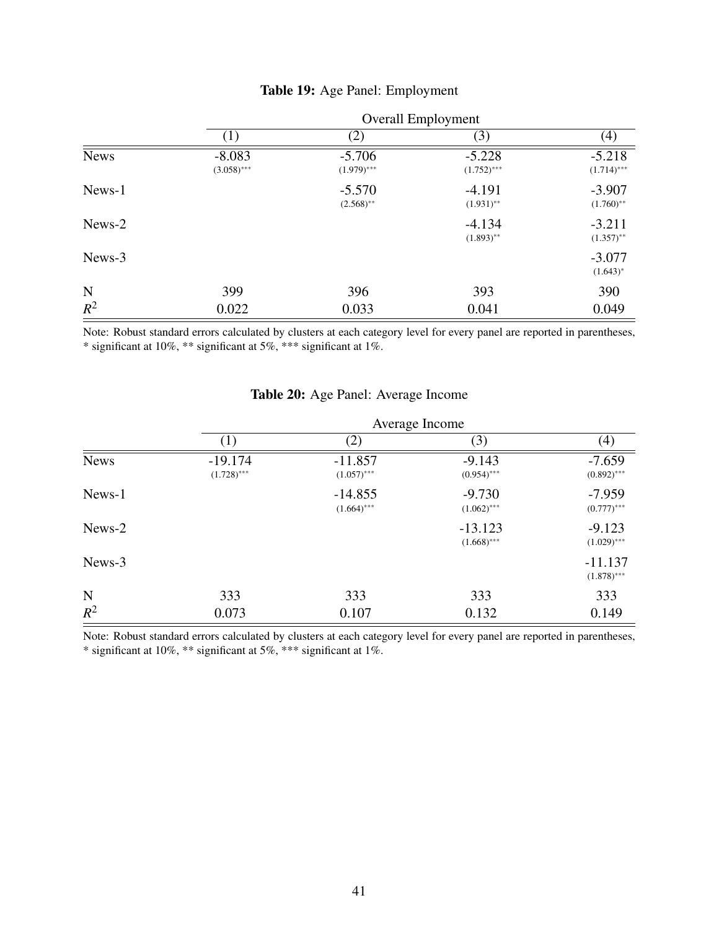|             | <b>Overall Employment</b> |                           |                           |                           |  |  |
|-------------|---------------------------|---------------------------|---------------------------|---------------------------|--|--|
|             | (1)                       | (2)                       | (3)                       | (4)                       |  |  |
| <b>News</b> | $-8.083$<br>$(3.058)$ *** | $-5.706$<br>$(1.979)$ *** | $-5.228$<br>$(1.752)$ *** | $-5.218$<br>$(1.714)$ *** |  |  |
| News-1      |                           | $-5.570$<br>$(2.568)$ **  | $-4.191$<br>$(1.931)$ **  | $-3.907$<br>$(1.760)$ **  |  |  |
| News-2      |                           |                           | $-4.134$<br>$(1.893)$ **  | $-3.211$<br>$(1.357)$ **  |  |  |
| News-3      |                           |                           |                           | $-3.077$<br>$(1.643)^*$   |  |  |
| N           | 399                       | 396                       | 393                       | 390                       |  |  |
| $R^2$       | 0.022                     | 0.033                     | 0.041                     | 0.049                     |  |  |

#### Table 19: Age Panel: Employment

Note: Robust standard errors calculated by clusters at each category level for every panel are reported in parentheses, \* significant at 10%, \*\* significant at 5%, \*\*\* significant at 1%.

|             | Average Income             |                            |                            |                            |  |  |
|-------------|----------------------------|----------------------------|----------------------------|----------------------------|--|--|
|             | (1)                        | (2)                        | (3)                        | (4)                        |  |  |
| <b>News</b> | $-19.174$<br>$(1.728)$ *** | $-11.857$<br>$(1.057)$ *** | $-9.143$<br>$(0.954)$ ***  | $-7.659$<br>$(0.892)$ ***  |  |  |
| News-1      |                            | $-14.855$<br>$(1.664)$ *** | $-9.730$<br>$(1.062)$ ***  | $-7.959$<br>$(0.777)$ ***  |  |  |
| News-2      |                            |                            | $-13.123$<br>$(1.668)$ *** | $-9.123$<br>$(1.029)$ ***  |  |  |
| News-3      |                            |                            |                            | $-11.137$<br>$(1.878)$ *** |  |  |
| N           | 333                        | 333                        | 333                        | 333                        |  |  |
| $R^2$       | 0.073                      | 0.107                      | 0.132                      | 0.149                      |  |  |

### Table 20: Age Panel: Average Income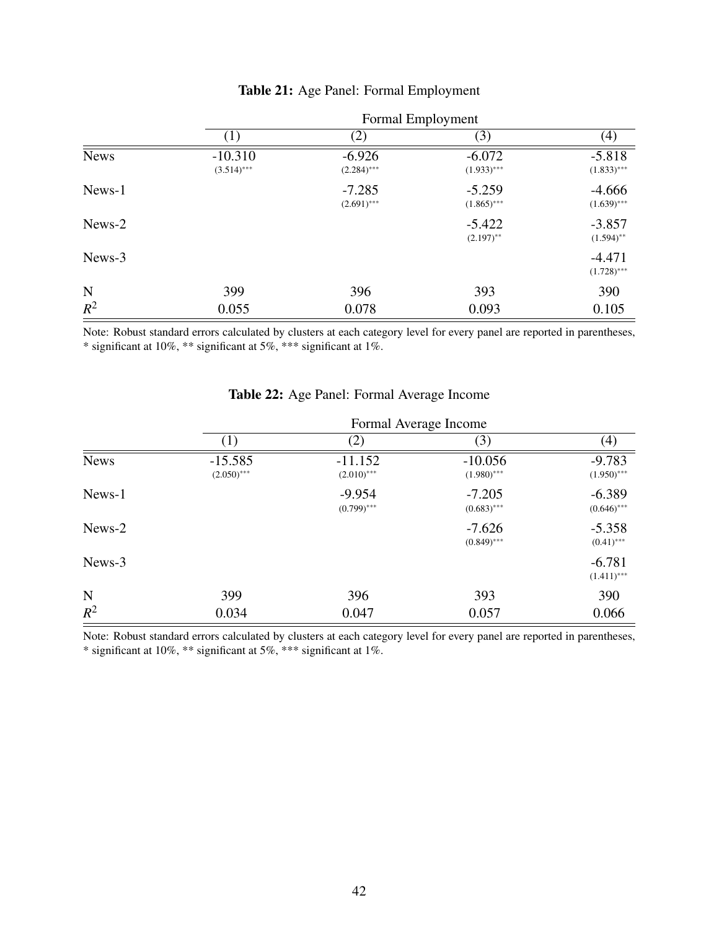|             | Formal Employment          |                           |                           |                           |  |  |
|-------------|----------------------------|---------------------------|---------------------------|---------------------------|--|--|
|             | $\left(1\right)$           | (2)                       | (3)                       | $\left( 4\right)$         |  |  |
| <b>News</b> | $-10.310$<br>$(3.514)$ *** | $-6.926$<br>$(2.284)$ *** | $-6.072$<br>$(1.933)$ *** | $-5.818$<br>$(1.833)$ *** |  |  |
| News-1      |                            | $-7.285$<br>$(2.691)$ *** | $-5.259$<br>$(1.865)$ *** | $-4.666$<br>$(1.639)$ *** |  |  |
| News-2      |                            |                           | $-5.422$<br>$(2.197)$ **  | $-3.857$<br>$(1.594)$ **  |  |  |
| News-3      |                            |                           |                           | $-4.471$<br>$(1.728)$ *** |  |  |
| N           | 399                        | 396                       | 393                       | 390                       |  |  |
| $R^2$       | 0.055                      | 0.078                     | 0.093                     | 0.105                     |  |  |

### Table 21: Age Panel: Formal Employment

Note: Robust standard errors calculated by clusters at each category level for every panel are reported in parentheses, \* significant at 10%, \*\* significant at 5%, \*\*\* significant at 1%.

|             | Formal Average Income      |                            |                            |                           |  |
|-------------|----------------------------|----------------------------|----------------------------|---------------------------|--|
|             | (1)                        | (2)                        | (3)                        | $\left( 4\right)$         |  |
| <b>News</b> | $-15.585$<br>$(2.050)$ *** | $-11.152$<br>$(2.010)$ *** | $-10.056$<br>$(1.980)$ *** | $-9.783$<br>$(1.950)$ *** |  |
| News-1      |                            | $-9.954$<br>$(0.799)$ ***  | $-7.205$<br>$(0.683)$ ***  | $-6.389$<br>$(0.646)$ *** |  |
| News-2      |                            |                            | $-7.626$<br>$(0.849)$ ***  | $-5.358$<br>$(0.41)$ ***  |  |
| News-3      |                            |                            |                            | $-6.781$<br>$(1.411)$ *** |  |
| N           | 399                        | 396                        | 393                        | 390                       |  |
| $R^2$       | 0.034                      | 0.047                      | 0.057                      | 0.066                     |  |

### Table 22: Age Panel: Formal Average Income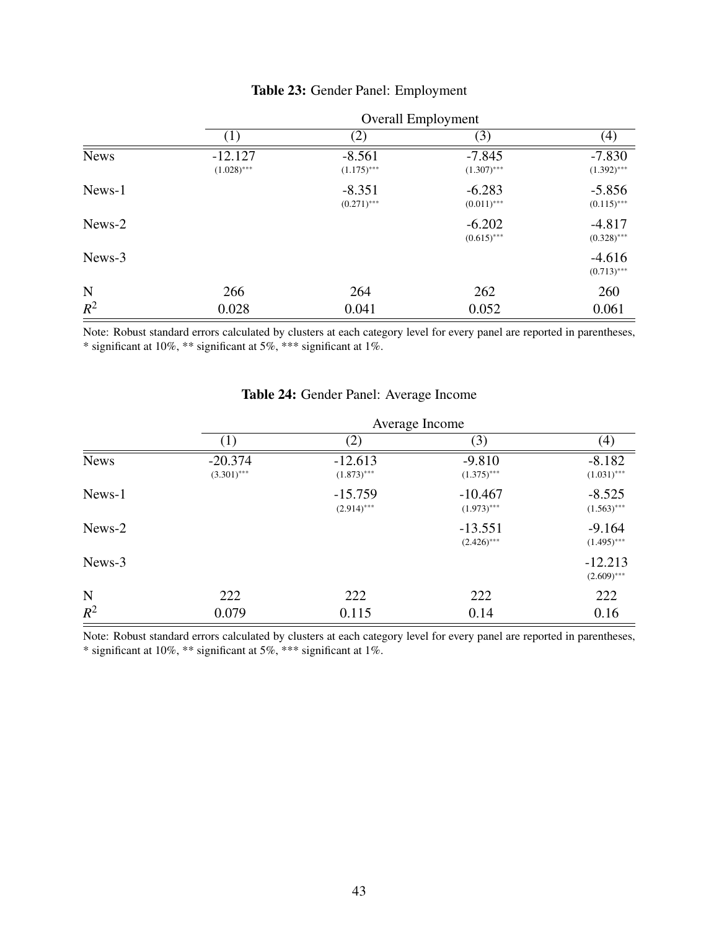|             | <b>Overall Employment</b>  |                           |                           |                           |  |
|-------------|----------------------------|---------------------------|---------------------------|---------------------------|--|
|             | $\left(1\right)$           | (2)                       | (3)                       | $\left( 4\right)$         |  |
| <b>News</b> | $-12.127$<br>$(1.028)$ *** | $-8.561$<br>$(1.175)$ *** | $-7.845$<br>$(1.307)$ *** | $-7.830$<br>$(1.392)$ *** |  |
| News-1      |                            | $-8.351$<br>$(0.271)$ *** | $-6.283$<br>$(0.011)$ *** | $-5.856$<br>$(0.115)$ *** |  |
| News-2      |                            |                           | $-6.202$<br>$(0.615)$ *** | $-4.817$<br>$(0.328)$ *** |  |
| News-3      |                            |                           |                           | $-4.616$<br>$(0.713)$ *** |  |
| N           | 266                        | 264                       | 262                       | 260                       |  |
| $R^2$       | 0.028                      | 0.041                     | 0.052                     | 0.061                     |  |

#### Table 23: Gender Panel: Employment

Note: Robust standard errors calculated by clusters at each category level for every panel are reported in parentheses, \* significant at 10%, \*\* significant at 5%, \*\*\* significant at 1%.

|             |                            | Average Income             |                            |                            |  |  |
|-------------|----------------------------|----------------------------|----------------------------|----------------------------|--|--|
|             | $\left(1\right)$           | (2)                        | (3)                        | (4)                        |  |  |
| <b>News</b> | $-20.374$<br>$(3.301)$ *** | $-12.613$<br>$(1.873)$ *** | $-9.810$<br>$(1.375)$ ***  | $-8.182$<br>$(1.031)$ ***  |  |  |
| News-1      |                            | $-15.759$<br>$(2.914)$ *** | $-10.467$<br>$(1.973)$ *** | $-8.525$<br>$(1.563)$ ***  |  |  |
| News-2      |                            |                            | $-13.551$<br>$(2.426)$ *** | $-9.164$<br>$(1.495)$ ***  |  |  |
| News-3      |                            |                            |                            | $-12.213$<br>$(2.609)$ *** |  |  |
| N           | 222                        | 222                        | 222                        | 222                        |  |  |
| $R^2$       | 0.079                      | 0.115                      | 0.14                       | 0.16                       |  |  |

### Table 24: Gender Panel: Average Income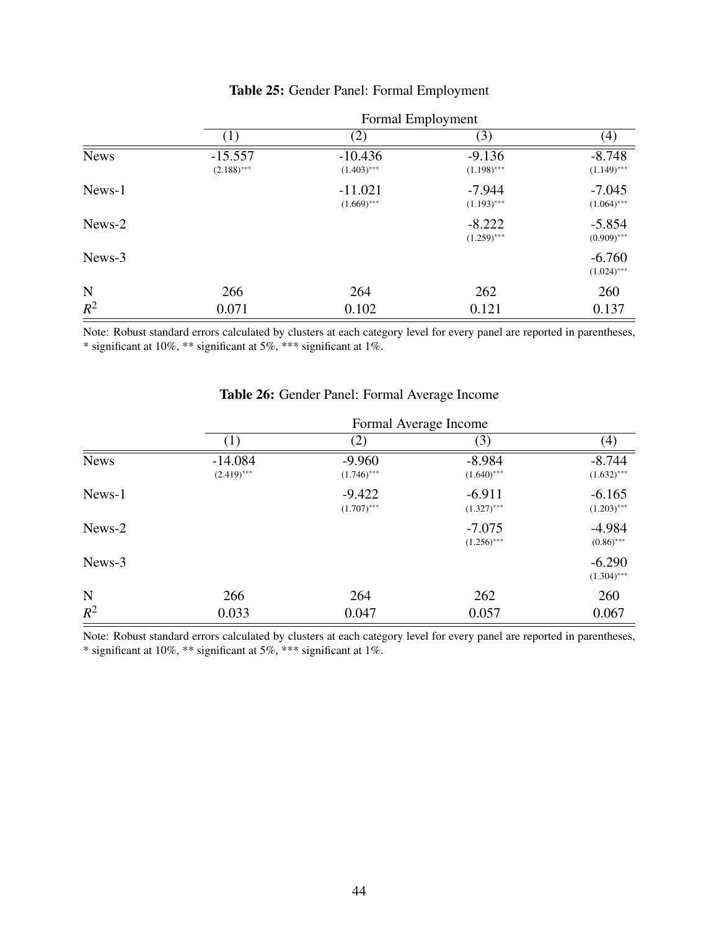|             | Formal Employment          |                            |                           |                           |  |
|-------------|----------------------------|----------------------------|---------------------------|---------------------------|--|
|             | (1)                        | (2)                        | (3)                       | $\left( 4\right)$         |  |
| <b>News</b> | $-15.557$<br>$(2.188)$ *** | $-10.436$<br>$(1.403)$ *** | $-9.136$<br>$(1.198)$ *** | $-8.748$<br>$(1.149)$ *** |  |
| News-1      |                            | $-11.021$<br>$(1.669)$ *** | $-7.944$<br>$(1.193)$ *** | $-7.045$<br>$(1.064)$ *** |  |
| News-2      |                            |                            | $-8.222$<br>$(1.259)$ *** | $-5.854$<br>$(0.909)$ *** |  |
| News-3      |                            |                            |                           | $-6.760$<br>$(1.024)$ *** |  |
| N           | 266                        | 264                        | 262                       | 260                       |  |
| $R^2$       | 0.071                      | 0.102                      | 0.121                     | 0.137                     |  |

#### Table 25: Gender Panel: Formal Employment

Note: Robust standard errors calculated by clusters at each category level for every panel are reported in parentheses, \* significant at 10%, \*\* significant at 5%, \*\*\* significant at 1%.

|             | Formal Average Income      |                           |                           |                           |  |
|-------------|----------------------------|---------------------------|---------------------------|---------------------------|--|
|             | $\left(1\right)$           | (2)                       | (3)                       | $\left( 4\right)$         |  |
| <b>News</b> | $-14.084$<br>$(2.419)$ *** | $-9.960$<br>$(1.746)$ *** | $-8.984$<br>$(1.640)$ *** | $-8.744$<br>$(1.632)$ *** |  |
| News-1      |                            | $-9.422$<br>$(1.707)$ *** | $-6.911$<br>$(1.327)$ *** | $-6.165$<br>$(1.203)$ *** |  |
| News-2      |                            |                           | $-7.075$<br>$(1.256)$ *** | $-4.984$<br>$(0.86)$ ***  |  |
| News-3      |                            |                           |                           | $-6.290$<br>$(1.304)$ *** |  |
| $\mathbf N$ | 266                        | 264                       | 262                       | 260                       |  |
| $R^2$       | 0.033                      | 0.047                     | 0.057                     | 0.067                     |  |

### Table 26: Gender Panel: Formal Average Income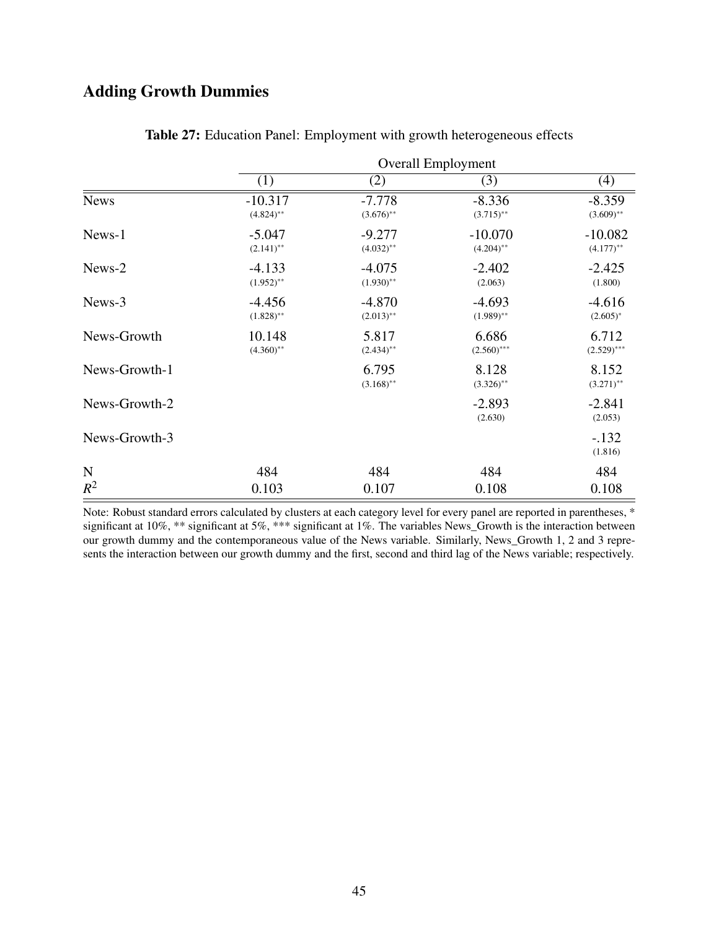# Adding Growth Dummies

|               | <b>Overall Employment</b> |                          |                           |                           |
|---------------|---------------------------|--------------------------|---------------------------|---------------------------|
|               | (1)                       | (2)                      | (3)                       | (4)                       |
| <b>News</b>   | $-10.317$<br>$(4.824)$ ** | $-7.778$<br>$(3.676)$ ** | $-8.336$<br>$(3.715)$ **  | $-8.359$<br>$(3.609)$ **  |
| News-1        | $-5.047$<br>$(2.141)$ **  | $-9.277$<br>$(4.032)$ ** | $-10.070$<br>$(4.204)$ ** | $-10.082$<br>$(4.177)$ ** |
| News-2        | $-4.133$<br>$(1.952)$ **  | $-4.075$<br>$(1.930)$ ** | $-2.402$<br>(2.063)       | $-2.425$<br>(1.800)       |
| News-3        | $-4.456$<br>$(1.828)$ **  | $-4.870$<br>$(2.013)$ ** | $-4.693$<br>$(1.989)$ **  | $-4.616$<br>$(2.605)^*$   |
| News-Growth   | 10.148<br>$(4.360)$ **    | 5.817<br>$(2.434)$ **    | 6.686<br>$(2.560)$ ***    | 6.712<br>$(2.529)$ ***    |
| News-Growth-1 |                           | 6.795<br>$(3.168)$ **    | 8.128<br>$(3.326)$ **     | 8.152<br>$(3.271)$ **     |
| News-Growth-2 |                           |                          | $-2.893$<br>(2.630)       | $-2.841$<br>(2.053)       |
| News-Growth-3 |                           |                          |                           | $-.132$<br>(1.816)        |
| N             | 484                       | 484                      | 484                       | 484                       |
| $R^2$         | 0.103                     | 0.107                    | 0.108                     | 0.108                     |

| Table 27: Education Panel: Employment with growth heterogeneous effects |  |  |  |
|-------------------------------------------------------------------------|--|--|--|
|-------------------------------------------------------------------------|--|--|--|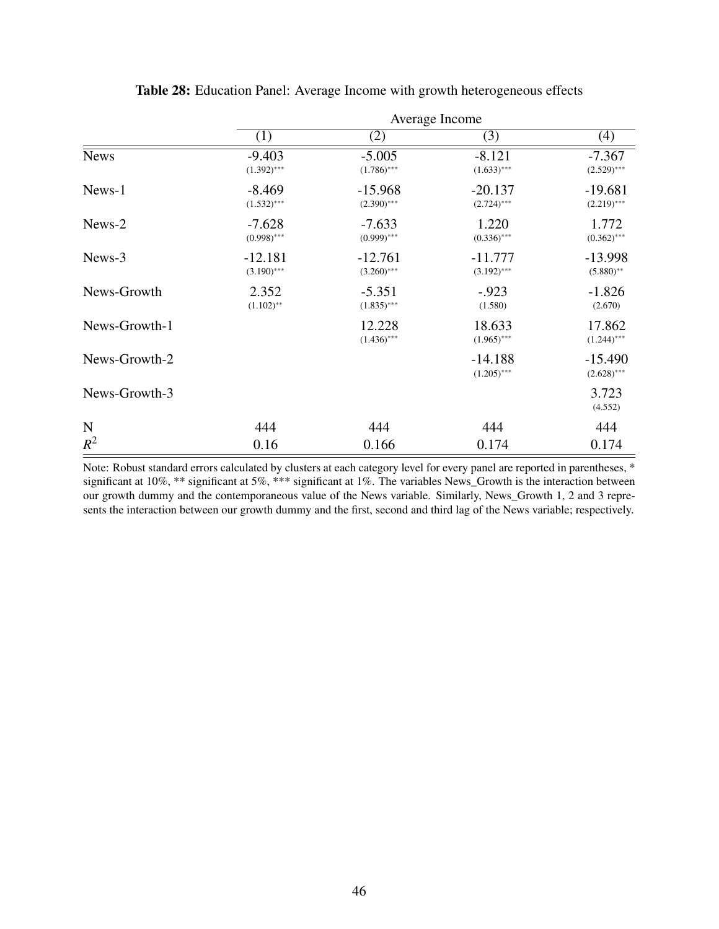|               | Average Income             |                            |                            |                            |  |
|---------------|----------------------------|----------------------------|----------------------------|----------------------------|--|
|               | (1)                        | (2)                        | (3)                        | (4)                        |  |
| <b>News</b>   | $-9.403$<br>$(1.392)$ ***  | $-5.005$<br>$(1.786)$ ***  | $-8.121$<br>$(1.633)$ ***  | $-7.367$<br>$(2.529)$ ***  |  |
| News-1        | $-8.469$<br>$(1.532)$ ***  | $-15.968$<br>$(2.390)$ *** | $-20.137$<br>$(2.724)$ *** | $-19.681$<br>$(2.219)$ *** |  |
| News-2        | $-7.628$<br>$(0.998)$ ***  | $-7.633$<br>$(0.999)$ ***  | 1.220<br>$(0.336)$ ***     | 1.772<br>$(0.362)$ ***     |  |
| News-3        | $-12.181$<br>$(3.190)$ *** | $-12.761$<br>$(3.260)$ *** | $-11.777$<br>$(3.192)$ *** | $-13.998$<br>$(5.880)$ **  |  |
| News-Growth   | 2.352<br>$(1.102)$ **      | $-5.351$<br>$(1.835)$ ***  | $-.923$<br>(1.580)         | $-1.826$<br>(2.670)        |  |
| News-Growth-1 |                            | 12.228<br>$(1.436)$ ***    | 18.633<br>$(1.965)$ ***    | 17.862<br>$(1.244)$ ***    |  |
| News-Growth-2 |                            |                            | $-14.188$<br>$(1.205)$ *** | $-15.490$<br>$(2.628)$ *** |  |
| News-Growth-3 |                            |                            |                            | 3.723<br>(4.552)           |  |
| $\mathbf N$   | 444                        | 444                        | 444                        | 444                        |  |
| $R^2$         | 0.16                       | 0.166                      | 0.174                      | 0.174                      |  |

Table 28: Education Panel: Average Income with growth heterogeneous effects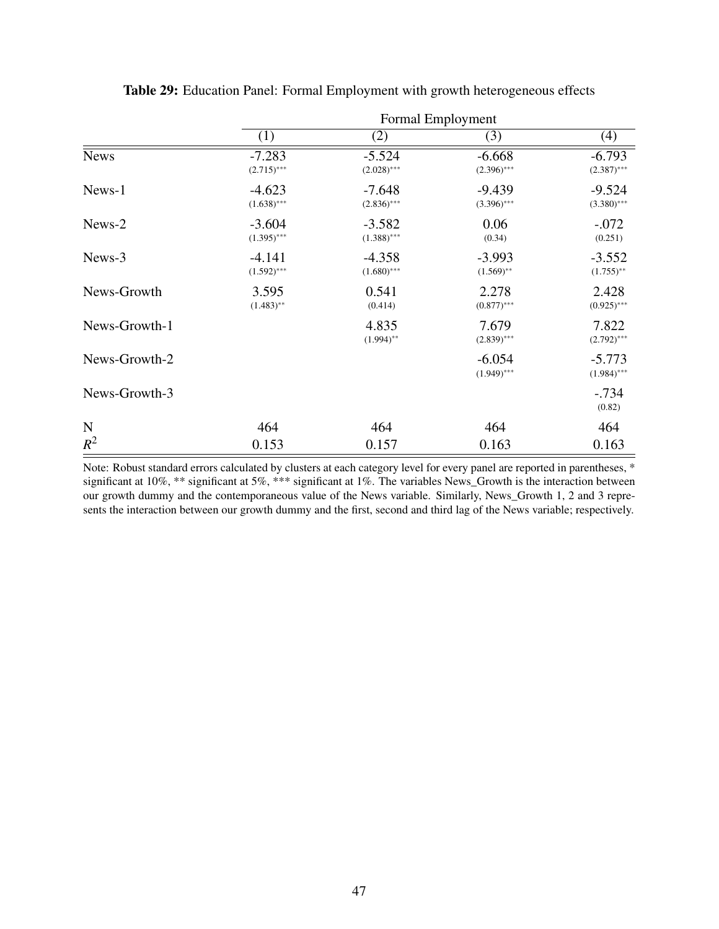|               | Formal Employment         |                           |                           |                            |  |
|---------------|---------------------------|---------------------------|---------------------------|----------------------------|--|
|               | (1)                       | (2)                       | (3)                       | (4)                        |  |
| <b>News</b>   | $-7.283$<br>$(2.715)$ *** | $-5.524$<br>$(2.028)$ *** | $-6.668$<br>$(2.396)$ *** | $-6.793$<br>$(2.387)$ ***  |  |
| News-1        | $-4.623$<br>$(1.638)$ *** | $-7.648$<br>$(2.836)$ *** | $-9.439$<br>$(3.396)$ *** | $-9.524$<br>$(3.380)$ ***  |  |
| News-2        | $-3.604$<br>$(1.395)$ *** | $-3.582$<br>$(1.388)$ *** | 0.06<br>(0.34)            | $-.072$<br>(0.251)         |  |
| News-3        | $-4.141$<br>$(1.592)$ *** | $-4.358$<br>$(1.680)$ *** | $-3.993$<br>$(1.569)$ **  | $-3.552$<br>$(1.755)^{**}$ |  |
| News-Growth   | 3.595<br>$(1.483)$ **     | 0.541<br>(0.414)          | 2.278<br>$(0.877)$ ***    | 2.428<br>$(0.925)$ ***     |  |
| News-Growth-1 |                           | 4.835<br>$(1.994)$ **     | 7.679<br>$(2.839)$ ***    | 7.822<br>$(2.792)$ ***     |  |
| News-Growth-2 |                           |                           | $-6.054$<br>$(1.949)$ *** | $-5.773$<br>$(1.984)$ ***  |  |
| News-Growth-3 |                           |                           |                           | $-.734$<br>(0.82)          |  |
| $\mathbf N$   | 464                       | 464                       | 464                       | 464                        |  |
| $R^2$         | 0.153                     | 0.157                     | 0.163                     | 0.163                      |  |

Table 29: Education Panel: Formal Employment with growth heterogeneous effects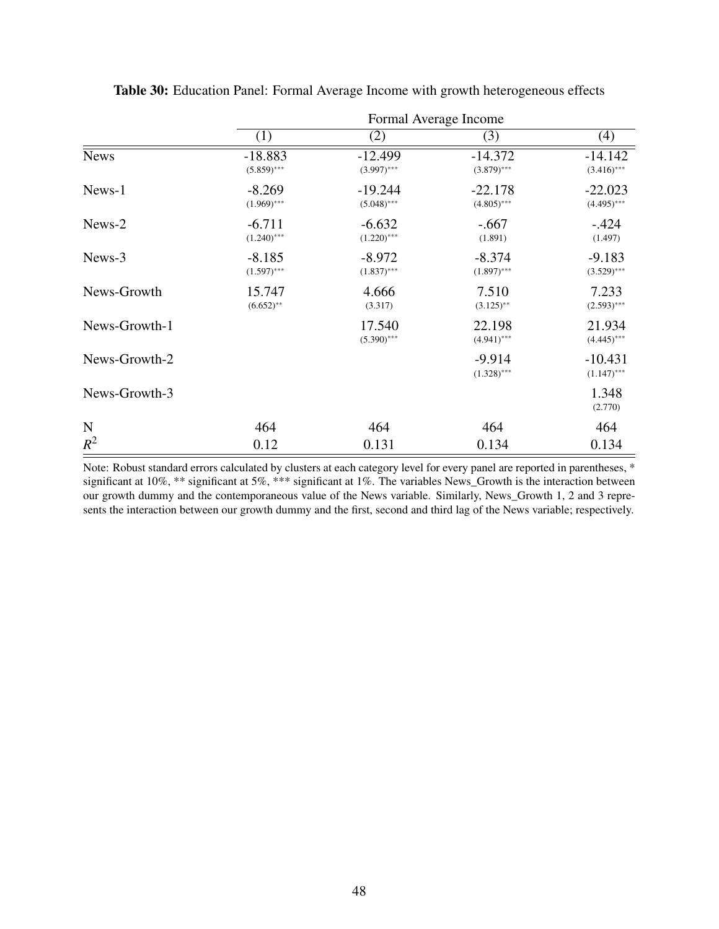|               | Formal Average Income      |                            |                            |                            |  |
|---------------|----------------------------|----------------------------|----------------------------|----------------------------|--|
|               | (1)                        | (2)                        | (3)                        | (4)                        |  |
| <b>News</b>   | $-18.883$<br>$(5.859)$ *** | $-12.499$<br>$(3.997)$ *** | $-14.372$<br>$(3.879)$ *** | $-14.142$<br>$(3.416)$ *** |  |
| News-1        | $-8.269$<br>$(1.969)$ ***  | $-19.244$<br>$(5.048)$ *** | $-22.178$<br>$(4.805)$ *** | $-22.023$<br>$(4.495)$ *** |  |
| News-2        | $-6.711$<br>$(1.240)$ ***  | $-6.632$<br>$(1.220)$ ***  | $-.667$<br>(1.891)         | $-.424$<br>(1.497)         |  |
| News-3        | $-8.185$<br>$(1.597)$ ***  | $-8.972$<br>$(1.837)$ ***  | $-8.374$<br>$(1.897)$ ***  | $-9.183$<br>$(3.529)$ ***  |  |
| News-Growth   | 15.747<br>$(6.652)$ **     | 4.666<br>(3.317)           | 7.510<br>$(3.125)$ **      | 7.233<br>$(2.593)$ ***     |  |
| News-Growth-1 |                            | 17.540<br>$(5.390)$ ***    | 22.198<br>$(4.941)$ ***    | 21.934<br>$(4.445)$ ***    |  |
| News-Growth-2 |                            |                            | $-9.914$<br>$(1.328)$ ***  | $-10.431$<br>$(1.147)$ *** |  |
| News-Growth-3 |                            |                            |                            | 1.348<br>(2.770)           |  |
| $\mathbf N$   | 464                        | 464                        | 464                        | 464                        |  |
| $R^2$         | 0.12                       | 0.131                      | 0.134                      | 0.134                      |  |

Table 30: Education Panel: Formal Average Income with growth heterogeneous effects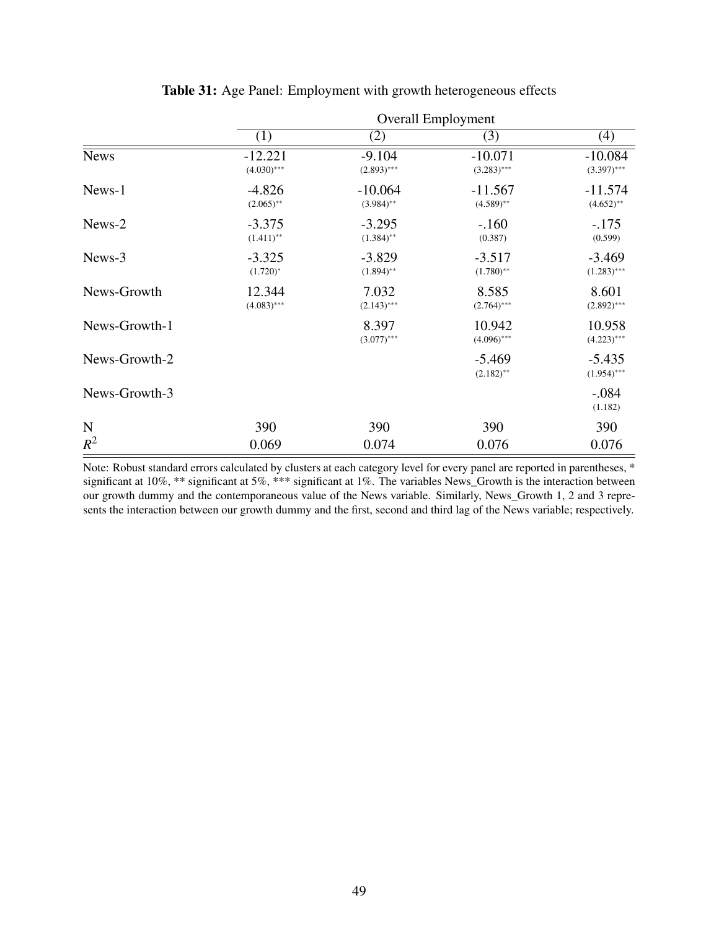|               | <b>Overall Employment</b>  |                           |                            |                            |  |
|---------------|----------------------------|---------------------------|----------------------------|----------------------------|--|
|               | (1)                        | (2)                       | (3)                        | (4)                        |  |
| <b>News</b>   | $-12.221$<br>$(4.030)$ *** | $-9.104$<br>$(2.893)$ *** | $-10.071$<br>$(3.283)$ *** | $-10.084$<br>$(3.397)$ *** |  |
| News-1        | $-4.826$<br>$(2.065)$ **   | $-10.064$<br>$(3.984)$ ** | $-11.567$<br>$(4.589)$ **  | $-11.574$<br>$(4.652)$ **  |  |
| News-2        | $-3.375$<br>$(1.411)$ **   | $-3.295$<br>$(1.384)$ **  | $-.160$<br>(0.387)         | $-.175$<br>(0.599)         |  |
| News-3        | $-3.325$<br>$(1.720)^{*}$  | $-3.829$<br>$(1.894)$ **  | $-3.517$<br>$(1.780)$ **   | $-3.469$<br>$(1.283)$ ***  |  |
| News-Growth   | 12.344<br>$(4.083)$ ***    | 7.032<br>$(2.143)$ ***    | 8.585<br>$(2.764)$ ***     | 8.601<br>$(2.892)$ ***     |  |
| News-Growth-1 |                            | 8.397<br>$(3.077)$ ***    | 10.942<br>$(4.096)$ ***    | 10.958<br>$(4.223)$ ***    |  |
| News-Growth-2 |                            |                           | $-5.469$<br>$(2.182)$ **   | $-5.435$<br>$(1.954)$ ***  |  |
| News-Growth-3 |                            |                           |                            | $-.084$<br>(1.182)         |  |
| $\mathbf N$   | 390                        | 390                       | 390                        | 390                        |  |
| $R^2$         | 0.069                      | 0.074                     | 0.076                      | 0.076                      |  |

| Table 31: Age Panel: Employment with growth heterogeneous effects |  |  |
|-------------------------------------------------------------------|--|--|
|                                                                   |  |  |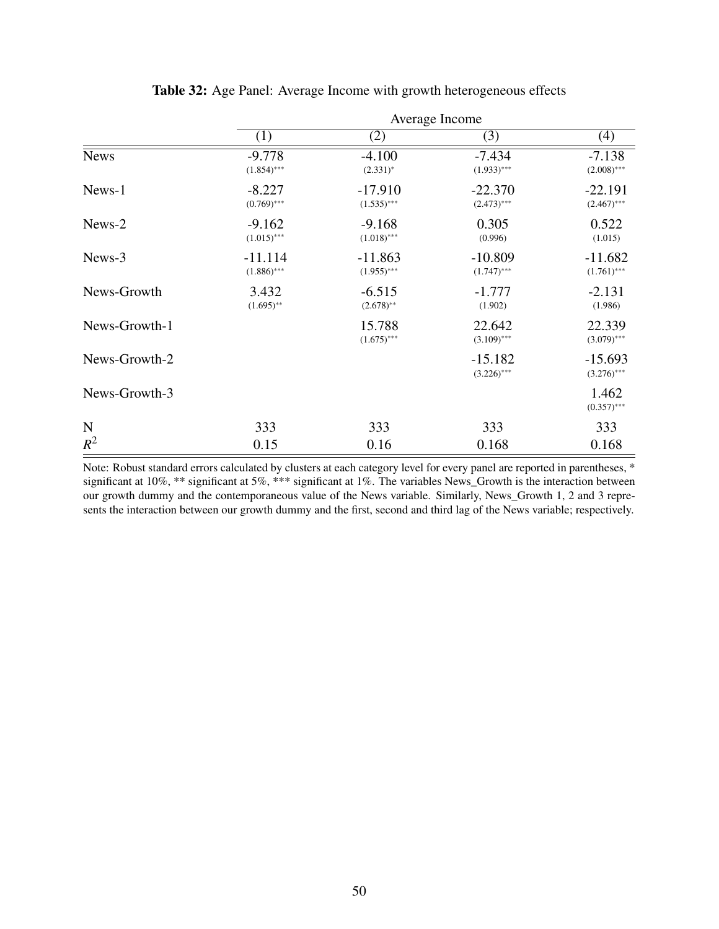|               | Average Income             |                            |                            |                            |  |
|---------------|----------------------------|----------------------------|----------------------------|----------------------------|--|
|               | (1)                        | (2)                        | (3)                        | (4)                        |  |
| <b>News</b>   | $-9.778$<br>$(1.854)$ ***  | $-4.100$<br>$(2.331)^*$    | $-7.434$<br>$(1.933)$ ***  | $-7.138$<br>$(2.008)$ ***  |  |
| News-1        | $-8.227$<br>$(0.769)$ ***  | $-17.910$<br>$(1.535)$ *** | $-22.370$<br>$(2.473)$ *** | $-22.191$<br>$(2.467)$ *** |  |
| News-2        | $-9.162$<br>$(1.015)$ ***  | $-9.168$<br>$(1.018)$ ***  | 0.305<br>(0.996)           | 0.522<br>(1.015)           |  |
| News-3        | $-11.114$<br>$(1.886)$ *** | $-11.863$<br>$(1.955)$ *** | $-10.809$<br>$(1.747)$ *** | $-11.682$<br>$(1.761)$ *** |  |
| News-Growth   | 3.432<br>$(1.695)$ **      | $-6.515$<br>$(2.678)$ **   | $-1.777$<br>(1.902)        | $-2.131$<br>(1.986)        |  |
| News-Growth-1 |                            | 15.788<br>$(1.675)$ ***    | 22.642<br>$(3.109)$ ***    | 22.339<br>$(3.079)$ ***    |  |
| News-Growth-2 |                            |                            | $-15.182$<br>$(3.226)$ *** | $-15.693$<br>$(3.276)$ *** |  |
| News-Growth-3 |                            |                            |                            | 1.462<br>$(0.357)$ ***     |  |
| $\mathbf N$   | 333                        | 333                        | 333                        | 333                        |  |
| $R^2$         | 0.15                       | 0.16                       | 0.168                      | 0.168                      |  |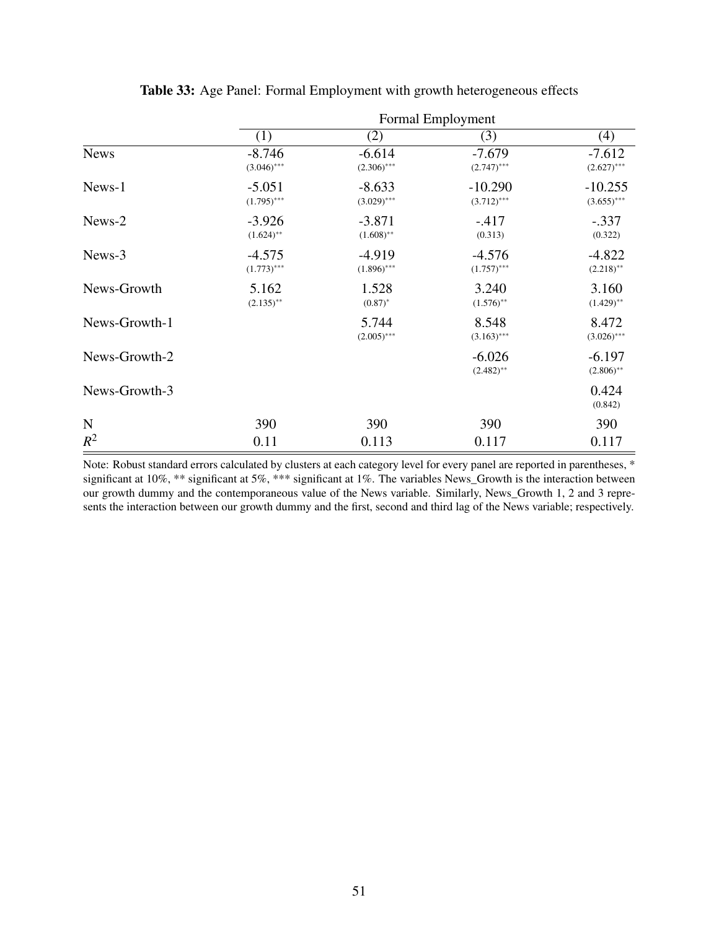|               | Formal Employment         |                           |                            |                            |  |  |
|---------------|---------------------------|---------------------------|----------------------------|----------------------------|--|--|
|               | (1)                       | (2)                       | (3)                        | (4)                        |  |  |
| <b>News</b>   | $-8.746$<br>$(3.046)$ *** | $-6.614$<br>$(2.306)$ *** | $-7.679$<br>$(2.747)$ ***  | $-7.612$<br>$(2.627)$ ***  |  |  |
| News-1        | $-5.051$<br>$(1.795)$ *** | $-8.633$<br>$(3.029)$ *** | $-10.290$<br>$(3.712)$ *** | $-10.255$<br>$(3.655)$ *** |  |  |
| News-2        | $-3.926$<br>$(1.624)$ **  | $-3.871$<br>$(1.608)$ **  | $-.417$<br>(0.313)         | $-.337$<br>(0.322)         |  |  |
| News-3        | $-4.575$<br>$(1.773)$ *** | $-4.919$<br>$(1.896)$ *** | $-4.576$<br>$(1.757)$ ***  | $-4.822$<br>$(2.218)$ **   |  |  |
| News-Growth   | 5.162<br>$(2.135)$ **     | 1.528<br>$(0.87)^*$       | 3.240<br>$(1.576)$ **      | 3.160<br>$(1.429)$ **      |  |  |
| News-Growth-1 |                           | 5.744<br>$(2.005)$ ***    | 8.548<br>$(3.163)$ ***     | 8.472<br>$(3.026)$ ***     |  |  |
| News-Growth-2 |                           |                           | $-6.026$<br>$(2.482)$ **   | $-6.197$<br>$(2.806)$ **   |  |  |
| News-Growth-3 |                           |                           |                            | 0.424<br>(0.842)           |  |  |
| $\mathbf N$   | 390                       | 390                       | 390                        | 390                        |  |  |
| $R^2$         | 0.11                      | 0.113                     | 0.117                      | 0.117                      |  |  |

Table 33: Age Panel: Formal Employment with growth heterogeneous effects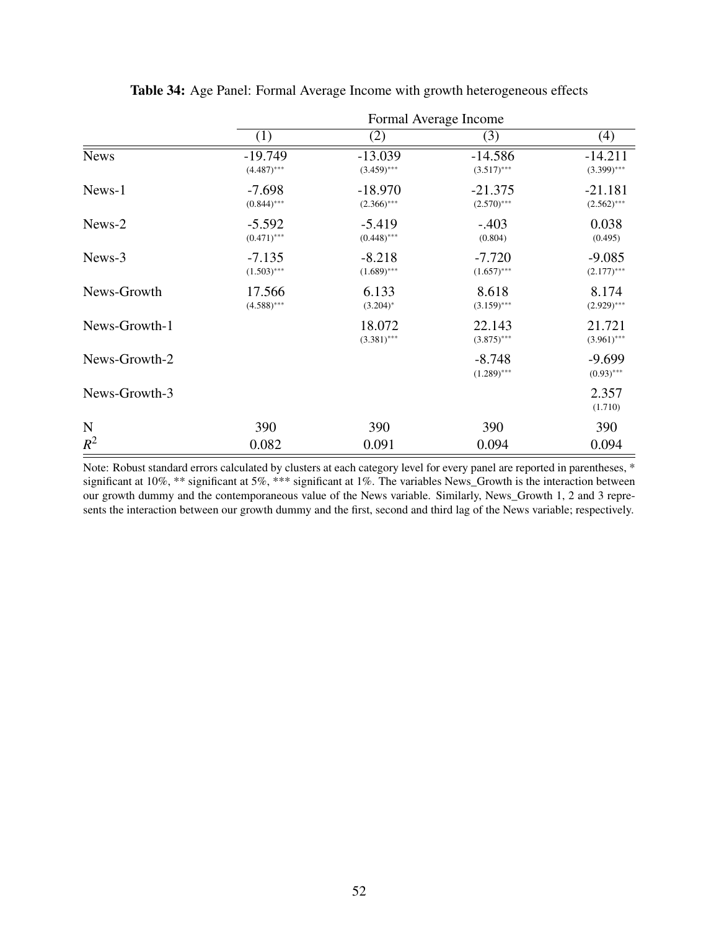|               |                            |                            | Formal Average Income      |                            |
|---------------|----------------------------|----------------------------|----------------------------|----------------------------|
|               | (1)                        | (2)                        | (3)                        | (4)                        |
| <b>News</b>   | $-19.749$<br>$(4.487)$ *** | $-13.039$<br>$(3.459)$ *** | $-14.586$<br>$(3.517)$ *** | $-14.211$<br>$(3.399)$ *** |
| News-1        | $-7.698$<br>$(0.844)$ ***  | $-18.970$<br>$(2.366)$ *** | $-21.375$<br>$(2.570)$ *** | $-21.181$<br>$(2.562)$ *** |
| News-2        | $-5.592$<br>$(0.471)$ ***  | $-5.419$<br>$(0.448)$ ***  | $-.403$<br>(0.804)         | 0.038<br>(0.495)           |
| News-3        | $-7.135$<br>$(1.503)$ ***  | $-8.218$<br>$(1.689)$ ***  | $-7.720$<br>$(1.657)$ ***  | $-9.085$<br>$(2.177)$ ***  |
| News-Growth   | 17.566<br>$(4.588)$ ***    | 6.133<br>$(3.204)^*$       | 8.618<br>$(3.159)$ ***     | 8.174<br>$(2.929)$ ***     |
| News-Growth-1 |                            | 18.072<br>$(3.381)$ ***    | 22.143<br>$(3.875)$ ***    | 21.721<br>$(3.961)$ ***    |
| News-Growth-2 |                            |                            | $-8.748$<br>$(1.289)$ ***  | $-9.699$<br>$(0.93)$ ***   |
| News-Growth-3 |                            |                            |                            | 2.357<br>(1.710)           |
| $\mathbf N$   | 390                        | 390                        | 390                        | 390                        |
| $R^2$         | 0.082                      | 0.091                      | 0.094                      | 0.094                      |

Table 34: Age Panel: Formal Average Income with growth heterogeneous effects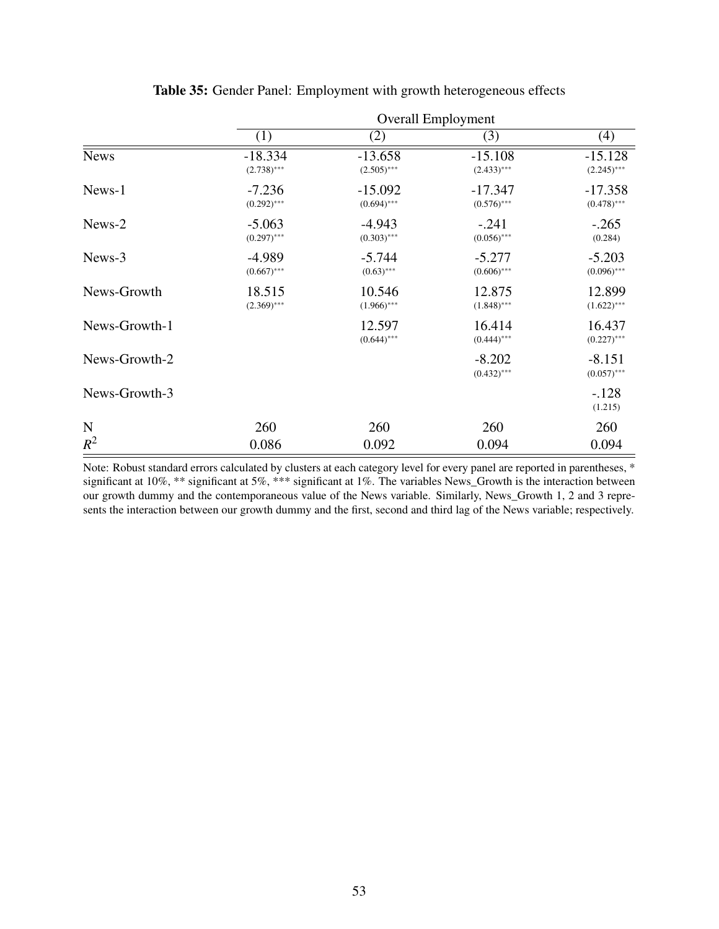|               |                            |                            | <b>Overall Employment</b>  |                            |
|---------------|----------------------------|----------------------------|----------------------------|----------------------------|
|               | (1)                        | (2)                        | (3)                        | (4)                        |
| <b>News</b>   | $-18.334$<br>$(2.738)$ *** | $-13.658$<br>$(2.505)$ *** | $-15.108$<br>$(2.433)$ *** | $-15.128$<br>$(2.245)$ *** |
| News-1        | $-7.236$<br>$(0.292)$ ***  | $-15.092$<br>$(0.694)$ *** | $-17.347$<br>$(0.576)$ *** | $-17.358$<br>$(0.478)$ *** |
| News-2        | $-5.063$<br>$(0.297)$ ***  | $-4.943$<br>$(0.303)$ ***  | $-.241$<br>$(0.056)$ ***   | $-.265$<br>(0.284)         |
| News-3        | $-4.989$<br>$(0.667)$ ***  | $-5.744$<br>$(0.63)$ ***   | $-5.277$<br>$(0.606)$ ***  | $-5.203$<br>$(0.096)$ ***  |
| News-Growth   | 18.515<br>$(2.369)$ ***    | 10.546<br>$(1.966)$ ***    | 12.875<br>$(1.848)$ ***    | 12.899<br>$(1.622)$ ***    |
| News-Growth-1 |                            | 12.597<br>$(0.644)$ ***    | 16.414<br>$(0.444)$ ***    | 16.437<br>$(0.227)$ ***    |
| News-Growth-2 |                            |                            | $-8.202$<br>$(0.432)$ ***  | $-8.151$<br>$(0.057)$ ***  |
| News-Growth-3 |                            |                            |                            | $-.128$<br>(1.215)         |
| $\mathbf N$   | 260                        | 260                        | 260                        | 260                        |
| $R^2$         | 0.086                      | 0.092                      | 0.094                      | 0.094                      |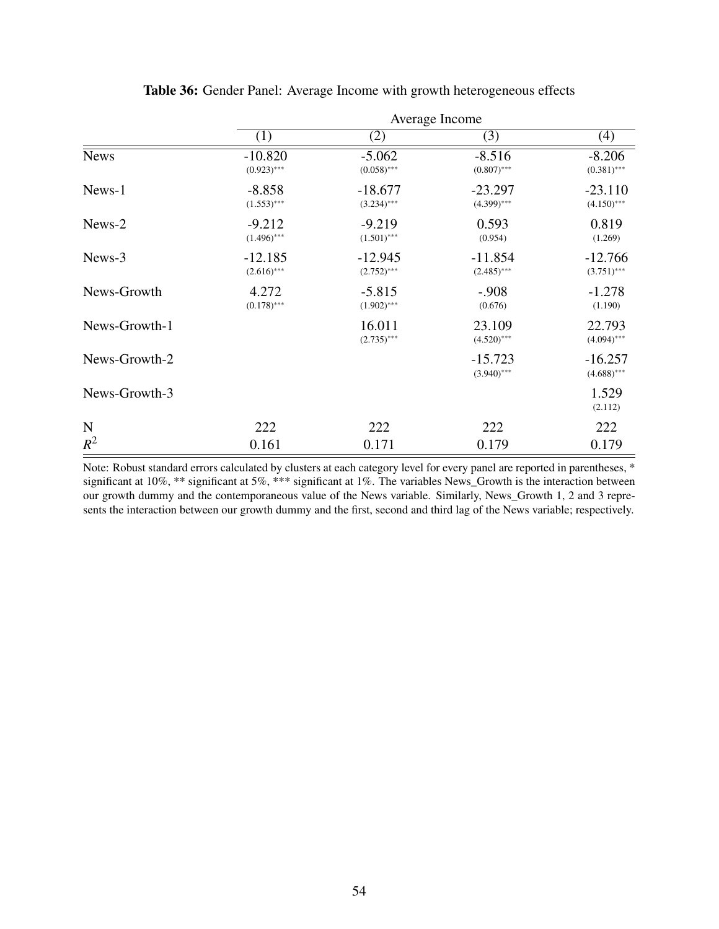|               |                            |                            | Average Income                             |                            |
|---------------|----------------------------|----------------------------|--------------------------------------------|----------------------------|
|               | (1)                        | (2)                        | (3)                                        | (4)                        |
| <b>News</b>   | $-10.820$<br>$(0.923)$ *** | $-5.062$<br>$(0.058)$ ***  | $-8.516$<br>$(0.807)$ ***                  | $-8.206$<br>$(0.381)$ ***  |
| News-1        | $-8.858$<br>$(1.553)$ ***  | $-18.677$<br>$(3.234)$ *** | $-23.297$<br>$(4.399)$ ***                 | $-23.110$<br>$(4.150)$ *** |
| News-2        | $-9.212$<br>$(1.496)$ ***  | $-9.219$<br>$(1.501)$ ***  | 0.593<br>(0.954)<br>$-12.945$<br>$-11.854$ |                            |
| News-3        | $-12.185$<br>$(2.616)$ *** | $(2.752)$ ***              | $(2.485)$ ***                              | $-12.766$<br>$(3.751)$ *** |
| News-Growth   | 4.272<br>$(0.178)$ ***     | $-5.815$<br>$(1.902)$ ***  | $-.908$<br>(0.676)                         | $-1.278$<br>(1.190)        |
| News-Growth-1 |                            | 16.011<br>$(2.735)$ ***    | 23.109<br>$(4.520)$ ***                    | 22.793<br>$(4.094)$ ***    |
| News-Growth-2 |                            |                            | $-15.723$<br>$(3.940)$ ***                 | $-16.257$<br>$(4.688)$ *** |
| News-Growth-3 |                            |                            |                                            | 1.529<br>(2.112)           |
| $\mathbf N$   | 222                        | 222                        | 222                                        | 222                        |
| $R^2$         | 0.161                      | 0.171                      | 0.179                                      | 0.179                      |

Table 36: Gender Panel: Average Income with growth heterogeneous effects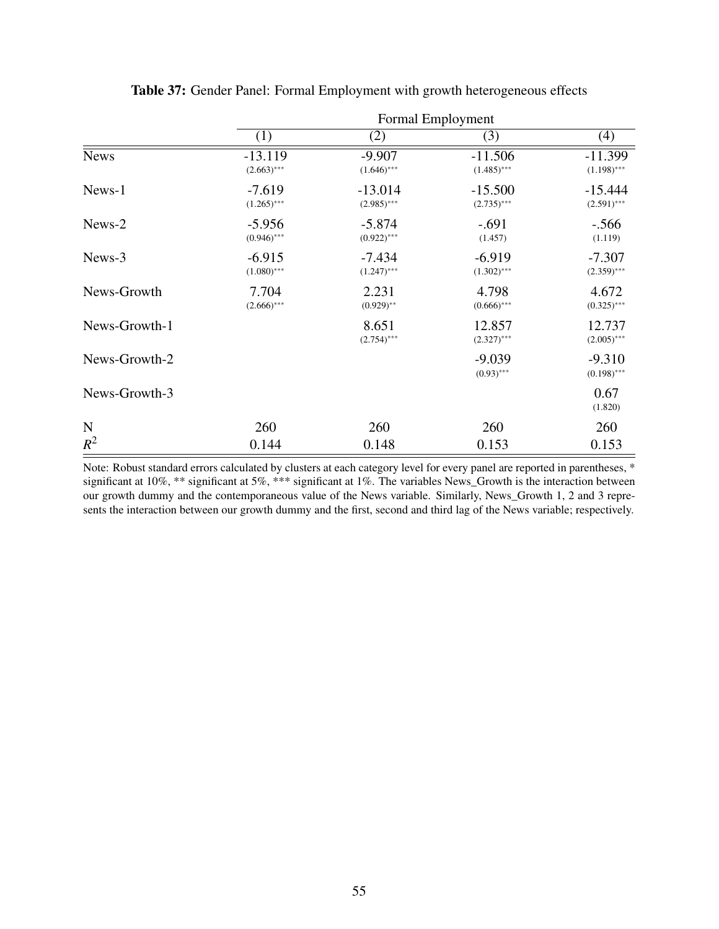|               |                                                         |                           | Formal Employment          |                            |
|---------------|---------------------------------------------------------|---------------------------|----------------------------|----------------------------|
|               | (1)                                                     | (2)                       | (3)                        | (4)                        |
| <b>News</b>   | $-13.119$<br>$(2.663)$ ***                              | $-9.907$<br>$(1.646)$ *** | $-11.506$<br>$(1.485)$ *** | $-11.399$<br>$(1.198)$ *** |
| News-1        | $-7.619$<br>$-13.014$<br>$(1.265)$ ***<br>$(2.985)$ *** |                           | $-15.500$<br>$(2.735)$ *** | $-15.444$<br>$(2.591)$ *** |
| News-2        | $-5.956$<br>$(0.946)$ ***                               | $-5.874$<br>$(0.922)$ *** | $-.691$<br>(1.457)         | $-.566$<br>(1.119)         |
| News-3        | $-6.915$<br>$(1.080)$ ***                               | $-7.434$<br>$(1.247)$ *** | $-6.919$<br>$(1.302)$ ***  | $-7.307$<br>$(2.359)$ ***  |
| News-Growth   | 7.704<br>$(2.666)^{***}$                                | 2.231<br>$(0.929)$ **     | 4.798<br>$(0.666)$ ***     | 4.672<br>$(0.325)$ ***     |
| News-Growth-1 |                                                         | 8.651<br>$(2.754)$ ***    | 12.857<br>$(2.327)$ ***    | 12.737<br>$(2.005)$ ***    |
| News-Growth-2 |                                                         |                           | $-9.039$<br>$(0.93)$ ***   | $-9.310$<br>$(0.198)$ ***  |
| News-Growth-3 |                                                         |                           |                            | 0.67<br>(1.820)            |
| $\mathbf N$   | 260                                                     | 260                       | 260                        | 260                        |
| $R^2$         | 0.144                                                   | 0.148                     | 0.153                      | 0.153                      |

Table 37: Gender Panel: Formal Employment with growth heterogeneous effects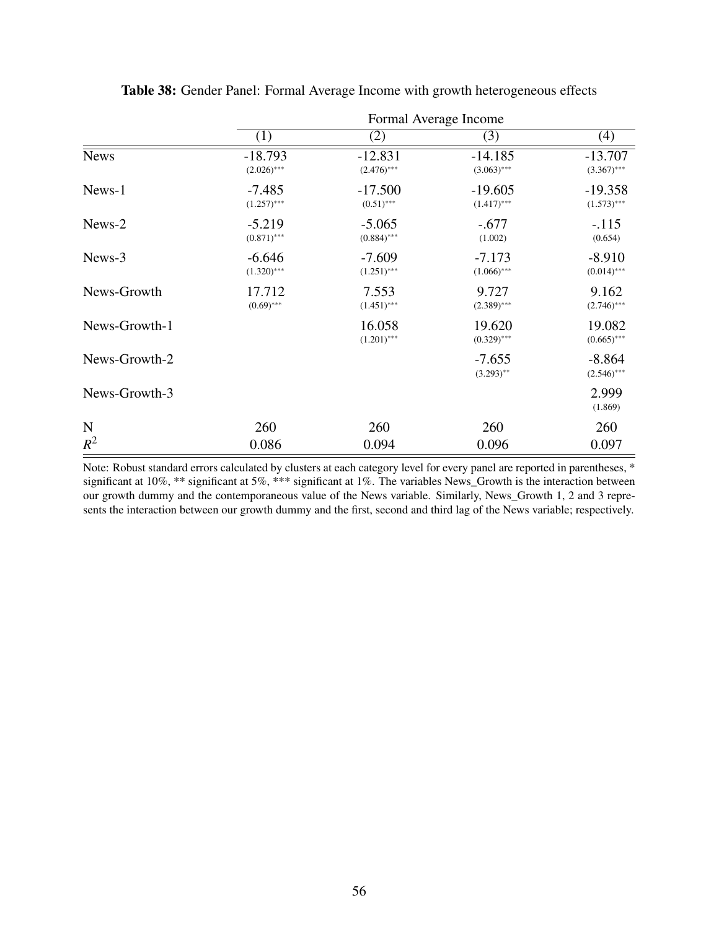|               | Formal Average Income      |                            |                            |                            |  |  |
|---------------|----------------------------|----------------------------|----------------------------|----------------------------|--|--|
|               | (1)                        | (2)                        | (3)                        | (4)                        |  |  |
| <b>News</b>   | $-18.793$<br>$(2.026)$ *** | $-12.831$<br>$(2.476)$ *** | $-14.185$<br>$(3.063)$ *** | $-13.707$<br>$(3.367)$ *** |  |  |
| News-1        | $-7.485$<br>$(1.257)$ ***  | $-17.500$<br>$(0.51)$ ***  | $-19.605$<br>$(1.417)$ *** | $-19.358$<br>$(1.573)$ *** |  |  |
| News-2        | $-5.219$<br>$(0.871)$ ***  | $-5.065$<br>$(0.884)$ ***  | $-.677$<br>(1.002)         | $-.115$<br>(0.654)         |  |  |
| News-3        | $-6.646$<br>$(1.320)$ ***  | $-7.609$<br>$(1.251)$ ***  | $-7.173$<br>$(1.066)$ ***  | $-8.910$<br>$(0.014)$ ***  |  |  |
| News-Growth   | 17.712<br>$(0.69)$ ***     | 7.553<br>$(1.451)$ ***     | 9.727<br>$(2.389)$ ***     | 9.162<br>$(2.746)$ ***     |  |  |
| News-Growth-1 |                            | 16.058<br>$(1.201)$ ***    | 19.620<br>$(0.329)$ ***    | 19.082<br>$(0.665)$ ***    |  |  |
| News-Growth-2 |                            |                            | $-7.655$<br>$(3.293)$ **   | $-8.864$<br>$(2.546)$ ***  |  |  |
| News-Growth-3 |                            |                            |                            | 2.999<br>(1.869)           |  |  |
| N             | 260                        | 260                        | 260                        | 260                        |  |  |
| $R^2$         | 0.086                      | 0.094                      | 0.096                      | 0.097                      |  |  |

Table 38: Gender Panel: Formal Average Income with growth heterogeneous effects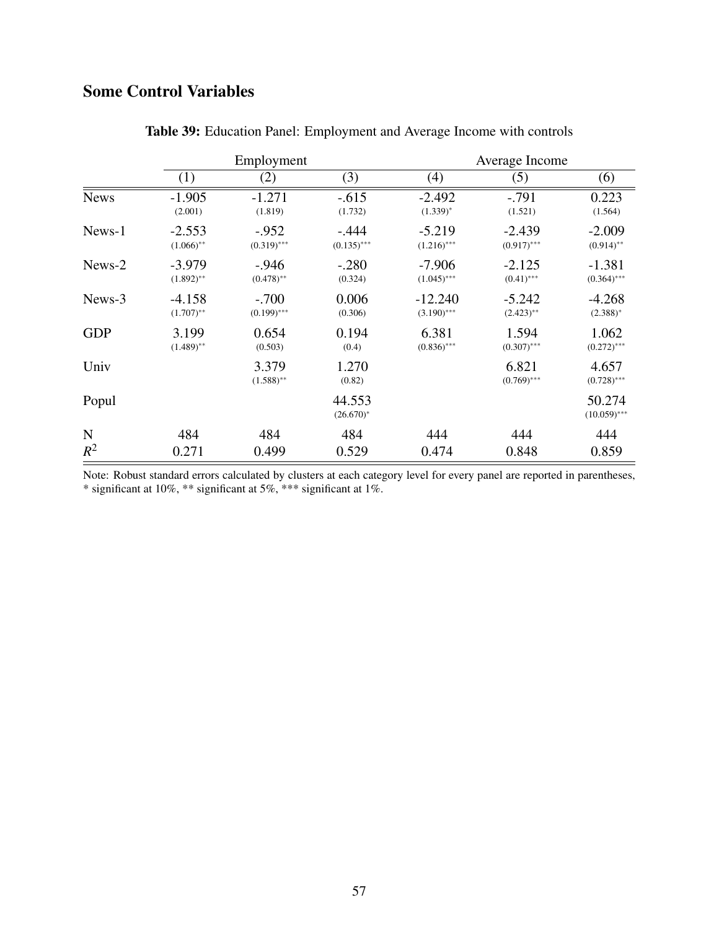# Some Control Variables

|             | Employment               |                          |                          |                            | Average Income            |                           |  |  |
|-------------|--------------------------|--------------------------|--------------------------|----------------------------|---------------------------|---------------------------|--|--|
|             | (1)                      | (2)                      | (3)                      | (4)                        | (5)                       | (6)                       |  |  |
| <b>News</b> | $-1.905$<br>(2.001)      | $-1.271$<br>(1.819)      | $-.615$<br>(1.732)       | $-2.492$<br>$(1.339)^{*}$  | $-.791$<br>(1.521)        | 0.223<br>(1.564)          |  |  |
| News-1      | $-2.553$<br>$(1.066)$ ** | $-.952$<br>$(0.319)$ *** | $-.444$<br>$(0.135)$ *** | $-5.219$<br>$(1.216)$ ***  | $-2.439$<br>$(0.917)$ *** | $-2.009$<br>$(0.914)$ **  |  |  |
| News-2      | $-3.979$<br>$(1.892)$ ** | $-0.946$<br>$(0.478)$ ** | $-.280$<br>(0.324)       | $-7.906$<br>$(1.045)$ ***  | $-2.125$<br>$(0.41)$ ***  | $-1.381$<br>$(0.364)$ *** |  |  |
| News-3      | $-4.158$<br>$(1.707)$ ** | $-.700$<br>$(0.199)$ *** | 0.006<br>(0.306)         | $-12.240$<br>$(3.190)$ *** | $-5.242$<br>$(2.423)$ **  | $-4.268$<br>$(2.388)^*$   |  |  |
| <b>GDP</b>  | 3.199<br>$(1.489)$ **    | 0.654<br>(0.503)         | 0.194<br>(0.4)           | 6.381<br>$(0.836)$ ***     | 1.594<br>$(0.307)$ ***    | 1.062<br>$(0.272)$ ***    |  |  |
| Univ        |                          | 3.379<br>$(1.588)$ **    | 1.270<br>(0.82)          |                            | 6.821<br>$(0.769)$ ***    | 4.657<br>$(0.728)$ ***    |  |  |
| Popul       |                          |                          | 44.553<br>$(26.670)^*$   |                            |                           | 50.274<br>$(10.059)$ ***  |  |  |
| $\mathbf N$ | 484                      | 484                      | 484                      | 444                        | 444                       | 444                       |  |  |
| $R^2$       | 0.271                    | 0.499                    | 0.529                    | 0.474                      | 0.848                     | 0.859                     |  |  |

Table 39: Education Panel: Employment and Average Income with controls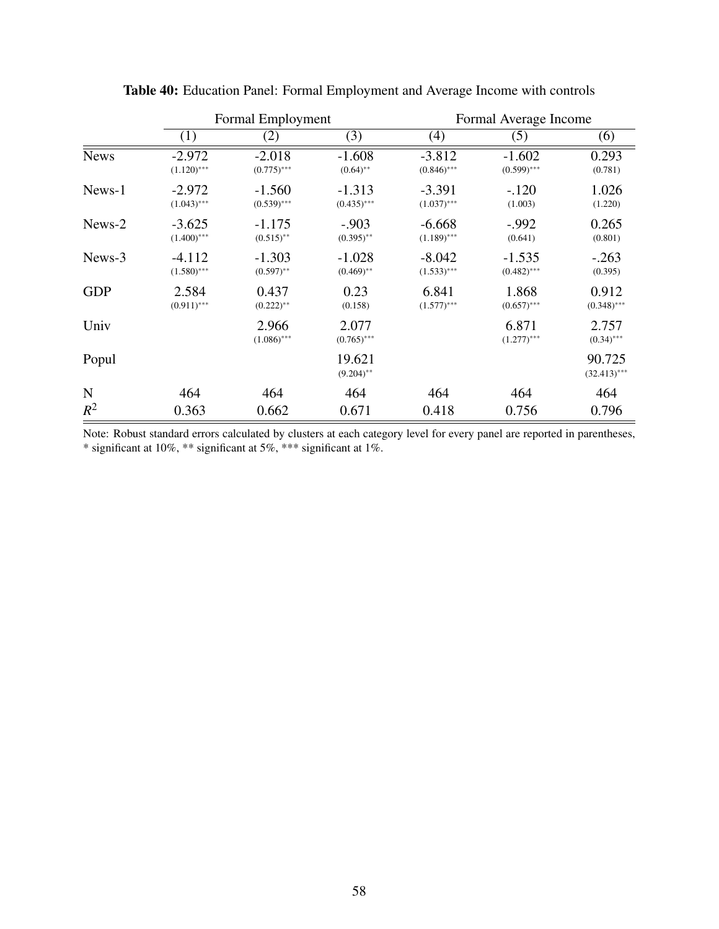|             | Formal Employment         |                           |                           | Formal Average Income     |                           |                          |
|-------------|---------------------------|---------------------------|---------------------------|---------------------------|---------------------------|--------------------------|
|             | (1)                       | (2)                       | (3)                       | (4)                       | (5)                       | (6)                      |
| <b>News</b> | $-2.972$<br>$(1.120)$ *** | $-2.018$<br>$(0.775)$ *** | $-1.608$<br>$(0.64)$ **   | $-3.812$<br>$(0.846)$ *** | $-1.602$<br>$(0.599)$ *** | 0.293<br>(0.781)         |
| News-1      | $-2.972$<br>$(1.043)$ *** | $-1.560$<br>$(0.539)$ *** | $-1.313$<br>$(0.435)$ *** | $-3.391$<br>$(1.037)$ *** | $-.120$<br>(1.003)        | 1.026<br>(1.220)         |
| News-2      | $-3.625$<br>$(1.400)$ *** | $-1.175$<br>$(0.515)$ **  | $-.903$<br>$(0.395)$ **   | $-6.668$<br>$(1.189)$ *** | $-0.992$<br>(0.641)       | 0.265<br>(0.801)         |
| News-3      | $-4.112$<br>$(1.580)$ *** | $-1.303$<br>$(0.597)$ **  | $-1.028$<br>$(0.469)$ **  | $-8.042$<br>$(1.533)$ *** | $-1.535$<br>$(0.482)$ *** | $-.263$<br>(0.395)       |
| <b>GDP</b>  | 2.584<br>$(0.911)$ ***    | 0.437<br>$(0.222)$ **     | 0.23<br>(0.158)           | 6.841<br>$(1.577)$ ***    | 1.868<br>$(0.657)$ ***    | 0.912<br>$(0.348)$ ***   |
| Univ        |                           | 2.966<br>$(1.086)$ ***    | 2.077<br>$(0.765)$ ***    |                           | 6.871<br>$(1.277)$ ***    | 2.757<br>$(0.34)$ ***    |
| Popul       |                           |                           | 19.621<br>$(9.204)$ **    |                           |                           | 90.725<br>$(32.413)$ *** |
| N           | 464                       | 464                       | 464                       | 464                       | 464                       | 464                      |
| $R^2$       | 0.363                     | 0.662                     | 0.671                     | 0.418                     | 0.756                     | 0.796                    |

Table 40: Education Panel: Formal Employment and Average Income with controls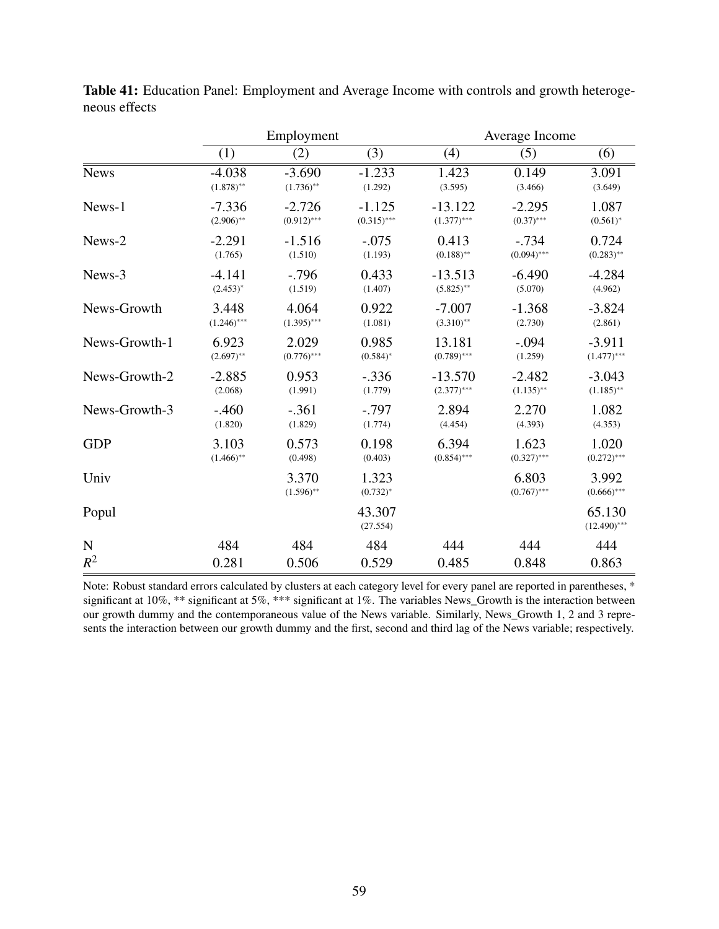|               | Employment    |                       |                        | Average Income |                        |                          |
|---------------|---------------|-----------------------|------------------------|----------------|------------------------|--------------------------|
|               | (1)           | (2)                   | (3)                    | (4)            | (5)                    | (6)                      |
| <b>News</b>   | $-4.038$      | $-3.690$              | $-1.233$               | 1.423          | 0.149                  | 3.091                    |
|               | $(1.878)$ **  | $(1.736)$ **          | (1.292)                | (3.595)        | (3.466)                | (3.649)                  |
| News-1        | $-7.336$      | $-2.726$              | $-1.125$               | $-13.122$      | $-2.295$               | 1.087                    |
|               | $(2.906)$ **  | $(0.912)$ ***         | $(0.315)$ ***          | $(1.377)$ ***  | $(0.37)$ ***           | $(0.561)^*$              |
| News-2        | $-2.291$      | $-1.516$              | $-.075$                | 0.413          | $-.734$                | 0.724                    |
|               | (1.765)       | (1.510)               | (1.193)                | $(0.188)$ **   | $(0.094)$ ***          | $(0.283)$ **             |
| News-3        | $-4.141$      | $-.796$               | 0.433                  | $-13.513$      | $-6.490$               | $-4.284$                 |
|               | $(2.453)^*$   | (1.519)               | (1.407)                | $(5.825)$ **   | (5.070)                | (4.962)                  |
| News-Growth   | 3.448         | 4.064                 | 0.922                  | $-7.007$       | $-1.368$               | $-3.824$                 |
|               | $(1.246)$ *** | $(1.395)$ ***         | (1.081)                | $(3.310)$ **   | (2.730)                | (2.861)                  |
| News-Growth-1 | 6.923         | 2.029                 | 0.985                  | 13.181         | $-.094$                | $-3.911$                 |
|               | $(2.697)$ **  | $(0.776)$ ***         | $(0.584)^*$            | $(0.789)$ ***  | (1.259)                | $(1.477)$ ***            |
| News-Growth-2 | $-2.885$      | 0.953                 | $-.336$                | $-13.570$      | $-2.482$               | $-3.043$                 |
|               | (2.068)       | (1.991)               | (1.779)                | $(2.377)$ ***  | $(1.135)$ **           | $(1.185)$ **             |
| News-Growth-3 | $-.460$       | $-.361$               | $-.797$                | 2.894          | 2.270                  | 1.082                    |
|               | (1.820)       | (1.829)               | (1.774)                | (4.454)        | (4.393)                | (4.353)                  |
| <b>GDP</b>    | 3.103         | 0.573                 | 0.198                  | 6.394          | 1.623                  | 1.020                    |
|               | $(1.466)$ **  | (0.498)               | (0.403)                | $(0.854)$ ***  | $(0.327)$ ***          | $(0.272)$ ***            |
| Univ          |               | 3.370<br>$(1.596)$ ** | 1.323<br>$(0.732)^{*}$ |                | 6.803<br>$(0.767)$ *** | 3.992<br>$(0.666)$ ***   |
| Popul         |               |                       | 43.307<br>(27.554)     |                |                        | 65.130<br>$(12.490)$ *** |
| ${\bf N}$     | 484           | 484                   | 484                    | 444            | 444                    | 444                      |
| $R^2$         | 0.281         | 0.506                 | 0.529                  | 0.485          | 0.848                  | 0.863                    |

Table 41: Education Panel: Employment and Average Income with controls and growth heterogeneous effects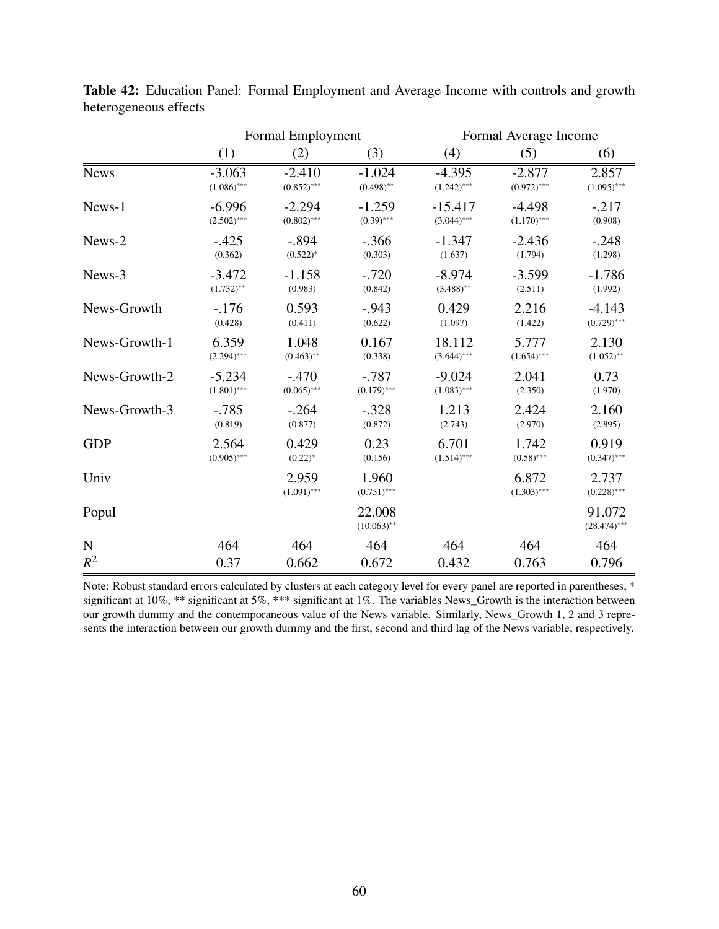|               |               | Formal Employment      |                         |               | Formal Average Income  |                          |  |
|---------------|---------------|------------------------|-------------------------|---------------|------------------------|--------------------------|--|
|               | (1)           | (2)                    | $\overline{(3)}$        | (4)           | (5)                    | $\overline{(6)}$         |  |
| <b>News</b>   | $-3.063$      | $-2.410$               | $-1.024$                | $-4.395$      | $-2.877$               | 2.857                    |  |
|               | $(1.086)$ *** | $(0.852)$ ***          | $(0.498)$ **            | $(1.242)$ *** | $(0.972)$ ***          | $(1.095)$ ***            |  |
| News-1        | $-6.996$      | $-2.294$               | $-1.259$                | $-15.417$     | $-4.498$               | $-.217$                  |  |
|               | $(2.502)$ *** | $(0.802)$ ***          | $(0.39)$ ***            | $(3.044)$ *** | $(1.170)$ ***          | (0.908)                  |  |
| News-2        | $-.425$       | $-.894$                | $-.366$                 | $-1.347$      | $-2.436$               | $-.248$                  |  |
|               | (0.362)       | $(0.522)^*$            | (0.303)                 | (1.637)       | (1.794)                | (1.298)                  |  |
| News-3        | $-3.472$      | $-1.158$               | $-.720$                 | $-8.974$      | $-3.599$               | $-1.786$                 |  |
|               | $(1.732)$ **  | (0.983)                | (0.842)                 | $(3.488)$ **  | (2.511)                | (1.992)                  |  |
| News-Growth   | $-.176$       | 0.593                  | $-.943$                 | 0.429         | 2.216                  | $-4.143$                 |  |
|               | (0.428)       | (0.411)                | (0.622)                 | (1.097)       | (1.422)                | $(0.729)$ ***            |  |
| News-Growth-1 | 6.359         | 1.048                  | 0.167                   | 18.112        | 5.777                  | 2.130                    |  |
|               | $(2.294)$ *** | $(0.463)$ **           | (0.338)                 | $(3.644)$ *** | $(1.654)$ ***          | $(1.052)$ **             |  |
| News-Growth-2 | $-5.234$      | $-.470$                | $-.787$                 | $-9.024$      | 2.041                  | 0.73                     |  |
|               | $(1.801)$ *** | $(0.065)$ ***          | $(0.179)$ ***           | $(1.083)$ *** | (2.350)                | (1.970)                  |  |
| News-Growth-3 | $-.785$       | $-.264$                | $-.328$                 | 1.213         | 2.424                  | 2.160                    |  |
|               | (0.819)       | (0.877)                | (0.872)                 | (2.743)       | (2.970)                | (2.895)                  |  |
| <b>GDP</b>    | 2.564         | 0.429                  | 0.23                    | 6.701         | 1.742                  | 0.919                    |  |
|               | $(0.905)$ *** | $(0.22)^*$             | (0.156)                 | $(1.514)$ *** | $(0.58)$ ***           | $(0.347)$ ***            |  |
| Univ          |               | 2.959<br>$(1.091)$ *** | 1.960<br>$(0.751)$ ***  |               | 6.872<br>$(1.303)$ *** | 2.737<br>$(0.228)$ ***   |  |
| Popul         |               |                        | 22.008<br>$(10.063)$ ** |               |                        | 91.072<br>$(28.474)$ *** |  |
| $\mathbf N$   | 464           | 464                    | 464                     | 464           | 464                    | 464                      |  |
| $R^2$         | 0.37          | 0.662                  | 0.672                   | 0.432         | 0.763                  | 0.796                    |  |

Table 42: Education Panel: Formal Employment and Average Income with controls and growth heterogeneous effects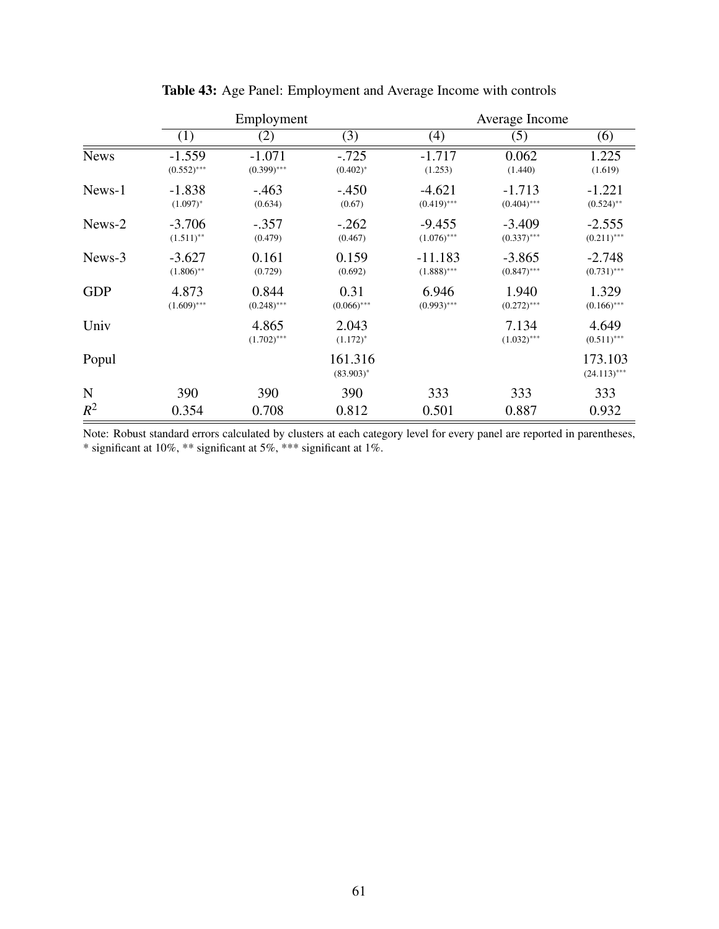|             | Employment                 |                           |                         | Average Income             |                           |                           |  |
|-------------|----------------------------|---------------------------|-------------------------|----------------------------|---------------------------|---------------------------|--|
|             | (1)                        | (2)                       | (3)                     | (4)                        | (5)                       | (6)                       |  |
| <b>News</b> | $-1.559$<br>$(0.552)$ ***  | $-1.071$<br>$(0.399)$ *** | $-.725$<br>$(0.402)^*$  | $-1.717$<br>(1.253)        | 0.062<br>(1.440)          | 1.225<br>(1.619)          |  |
| News-1      | $-1.838$<br>$(1.097)^{*}$  | $-.463$<br>(0.634)        | $-.450$<br>(0.67)       | $-4.621$<br>$(0.419)$ ***  | $-1.713$<br>$(0.404)$ *** | $-1.221$<br>$(0.524)$ **  |  |
| News-2      | $-3.706$<br>$(1.511)^{**}$ | $-.357$<br>(0.479)        | $-.262$<br>(0.467)      | $-9.455$<br>$(1.076)$ ***  | $-3.409$<br>$(0.337)$ *** | $-2.555$<br>$(0.211)$ *** |  |
| News-3      | $-3.627$<br>$(1.806)$ **   | 0.161<br>(0.729)          | 0.159<br>(0.692)        | $-11.183$<br>$(1.888)$ *** | $-3.865$<br>$(0.847)$ *** | $-2.748$<br>$(0.731)$ *** |  |
| <b>GDP</b>  | 4.873<br>$(1.609)$ ***     | 0.844<br>$(0.248)$ ***    | 0.31<br>$(0.066)$ ***   | 6.946<br>$(0.993)$ ***     | 1.940<br>$(0.272)$ ***    | 1.329<br>$(0.166)$ ***    |  |
| Univ        |                            | 4.865<br>$(1.702)$ ***    | 2.043<br>$(1.172)^{*}$  |                            | 7.134<br>$(1.032)$ ***    | 4.649<br>$(0.511)$ ***    |  |
| Popul       |                            |                           | 161.316<br>$(83.903)^*$ |                            |                           | 173.103<br>$(24.113)$ *** |  |
| $\mathbf N$ | 390                        | 390                       | 390                     | 333                        | 333                       | 333                       |  |
| $R^2$       | 0.354                      | 0.708                     | 0.812                   | 0.501                      | 0.887                     | 0.932                     |  |

Table 43: Age Panel: Employment and Average Income with controls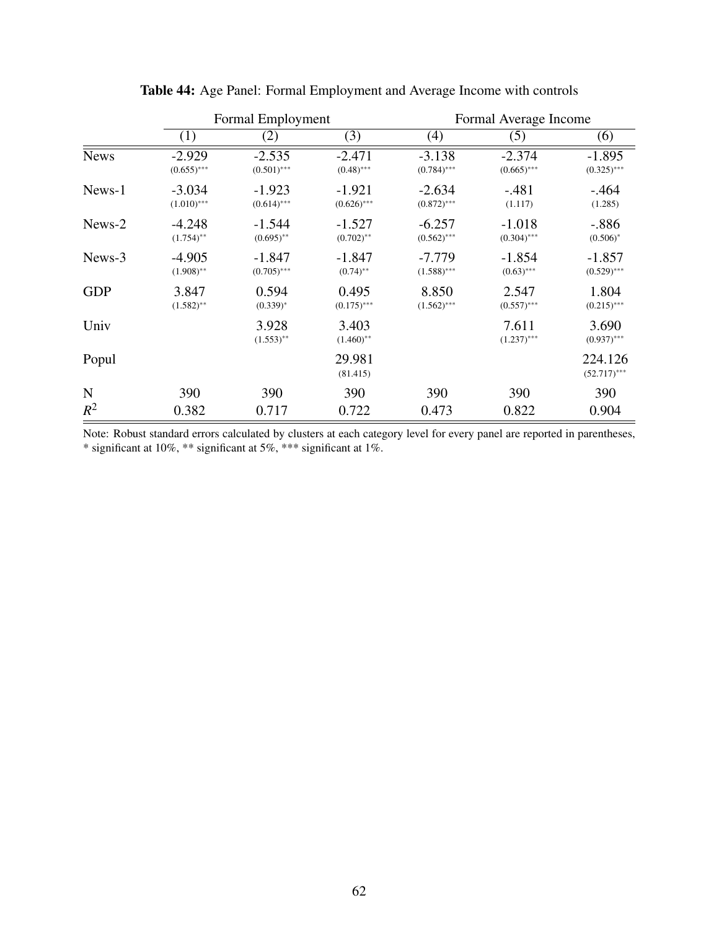|             |                           | Formal Employment         |                           | Formal Average Income     |                           |                           |
|-------------|---------------------------|---------------------------|---------------------------|---------------------------|---------------------------|---------------------------|
|             | (1)                       | (2)                       | (3)                       | (4)                       | (5)                       | (6)                       |
| <b>News</b> | $-2.929$<br>$(0.655)$ *** | $-2.535$<br>$(0.501)$ *** | $-2.471$<br>$(0.48)$ ***  | $-3.138$<br>$(0.784)$ *** | $-2.374$<br>$(0.665)$ *** | $-1.895$<br>$(0.325)$ *** |
| News-1      | $-3.034$<br>$(1.010)$ *** | $-1.923$<br>$(0.614)$ *** | $-1.921$<br>$(0.626)$ *** | $-2.634$<br>$(0.872)$ *** | $-.481$<br>(1.117)        | $-0.464$<br>(1.285)       |
| News-2      | $-4.248$<br>$(1.754)$ **  | $-1.544$<br>$(0.695)$ **  | $-1.527$<br>$(0.702)$ **  | $-6.257$<br>$(0.562)$ *** | $-1.018$<br>$(0.304)$ *** | $-.886$<br>$(0.506)^*$    |
| News-3      | $-4.905$<br>$(1.908)$ **  | $-1.847$<br>$(0.705)$ *** | $-1.847$<br>$(0.74)$ **   | $-7.779$<br>$(1.588)$ *** | $-1.854$<br>$(0.63)$ ***  | $-1.857$<br>$(0.529)$ *** |
| <b>GDP</b>  | 3.847<br>$(1.582)$ **     | 0.594<br>$(0.339)^*$      | 0.495<br>$(0.175)$ ***    | 8.850<br>$(1.562)$ ***    | 2.547<br>$(0.557)$ ***    | 1.804<br>$(0.215)$ ***    |
| Univ        |                           | 3.928<br>$(1.553)$ **     | 3.403<br>$(1.460)$ **     |                           | 7.611<br>$(1.237)$ ***    | 3.690<br>$(0.937)$ ***    |
| Popul       |                           |                           | 29.981<br>(81.415)        |                           |                           | 224.126<br>$(52.717)$ *** |
| $\mathbf N$ | 390                       | 390                       | 390                       | 390                       | 390                       | 390                       |
| $R^2$       | 0.382                     | 0.717                     | 0.722                     | 0.473                     | 0.822                     | 0.904                     |

Table 44: Age Panel: Formal Employment and Average Income with controls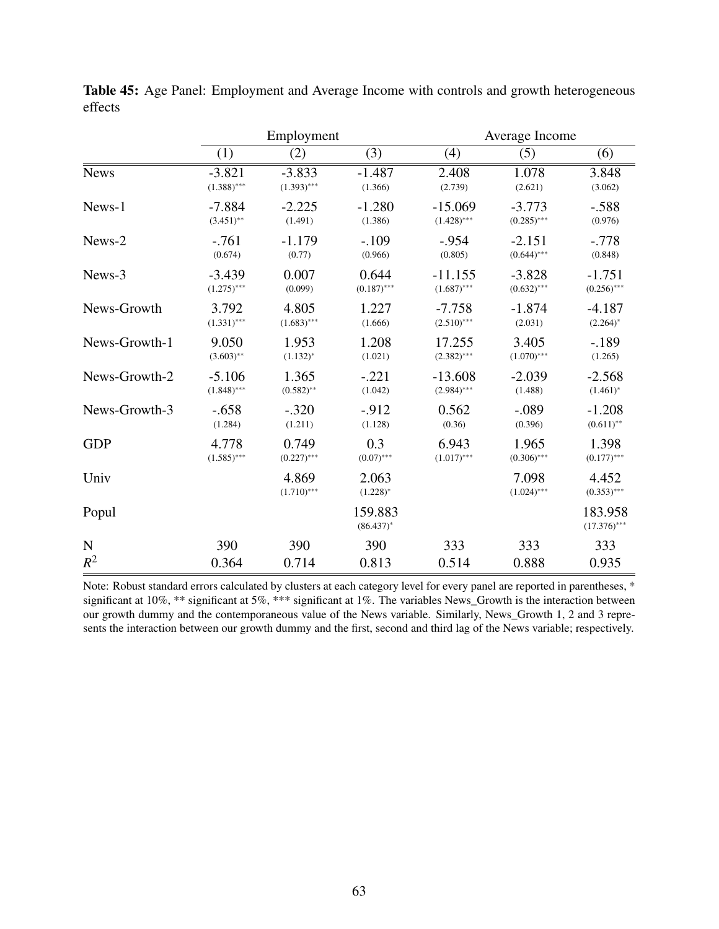|               |               | Employment             |                         |               | Average Income         |                           |  |
|---------------|---------------|------------------------|-------------------------|---------------|------------------------|---------------------------|--|
|               | (1)           | (2)                    | $\overline{(3)}$        | (4)           | (5)                    | (6)                       |  |
| <b>News</b>   | $-3.821$      | $-3.833$               | $-1.487$                | 2.408         | 1.078                  | 3.848                     |  |
|               | $(1.388)$ *** | $(1.393)$ ***          | (1.366)                 | (2.739)       | (2.621)                | (3.062)                   |  |
| News-1        | $-7.884$      | $-2.225$               | $-1.280$                | $-15.069$     | $-3.773$               | $-.588$                   |  |
|               | $(3.451)$ **  | (1.491)                | (1.386)                 | $(1.428)$ *** | $(0.285)$ ***          | (0.976)                   |  |
| News-2        | $-761$        | $-1.179$               | $-.109$                 | $-.954$       | $-2.151$               | $-.778$                   |  |
|               | (0.674)       | (0.77)                 | (0.966)                 | (0.805)       | $(0.644)$ ***          | (0.848)                   |  |
| News-3        | $-3.439$      | 0.007                  | 0.644                   | $-11.155$     | $-3.828$               | $-1.751$                  |  |
|               | $(1.275)$ *** | (0.099)                | $(0.187)$ ***           | $(1.687)$ *** | $(0.632)$ ***          | $(0.256)$ ***             |  |
| News-Growth   | 3.792         | 4.805                  | 1.227                   | $-7.758$      | $-1.874$               | $-4.187$                  |  |
|               | $(1.331)$ *** | $(1.683)$ ***          | (1.666)                 | $(2.510)$ *** | (2.031)                | $(2.264)^*$               |  |
| News-Growth-1 | 9.050         | 1.953                  | 1.208                   | 17.255        | 3.405                  | $-189$                    |  |
|               | $(3.603)$ **  | $(1.132)^{*}$          | (1.021)                 | $(2.382)$ *** | $(1.070)$ ***          | (1.265)                   |  |
| News-Growth-2 | $-5.106$      | 1.365                  | $-.221$                 | $-13.608$     | $-2.039$               | $-2.568$                  |  |
|               | $(1.848)$ *** | $(0.582)$ **           | (1.042)                 | $(2.984)$ *** | (1.488)                | $(1.461)^*$               |  |
| News-Growth-3 | $-.658$       | $-.320$                | $-.912$                 | 0.562         | $-.089$                | $-1.208$                  |  |
|               | (1.284)       | (1.211)                | (1.128)                 | (0.36)        | (0.396)                | $(0.611)$ **              |  |
| <b>GDP</b>    | 4.778         | 0.749                  | 0.3                     | 6.943         | 1.965                  | 1.398                     |  |
|               | $(1.585)$ *** | $(0.227)$ ***          | $(0.07)$ ***            | $(1.017)$ *** | $(0.306)$ ***          | $(0.177)$ ***             |  |
| Univ          |               | 4.869<br>$(1.710)$ *** | 2.063<br>$(1.228)^{*}$  |               | 7.098<br>$(1.024)$ *** | 4.452<br>$(0.353)$ ***    |  |
| Popul         |               |                        | 159.883<br>$(86.437)^*$ |               |                        | 183.958<br>$(17.376)$ *** |  |
| ${\bf N}$     | 390           | 390                    | 390                     | 333           | 333                    | 333                       |  |
| $R^2$         | 0.364         | 0.714                  | 0.813                   | 0.514         | 0.888                  | 0.935                     |  |

Table 45: Age Panel: Employment and Average Income with controls and growth heterogeneous effects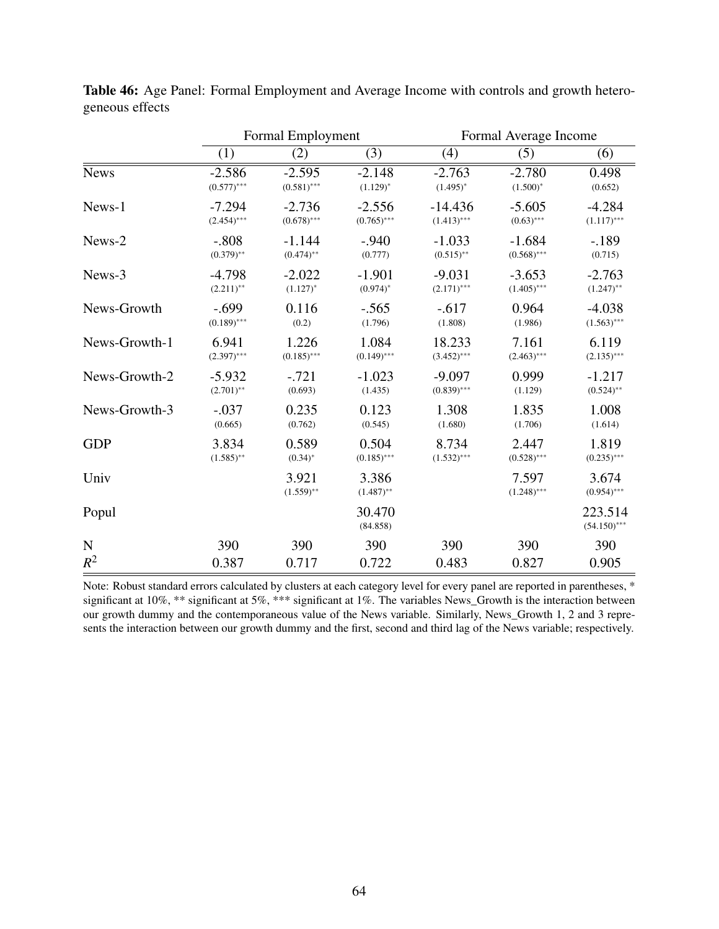|               | Formal Employment |                       |                       | Formal Average Income |                        |                           |
|---------------|-------------------|-----------------------|-----------------------|-----------------------|------------------------|---------------------------|
|               | (1)               | (2)                   | (3)                   | (4)                   | (5)                    | $\overline{(6)}$          |
| <b>News</b>   | $-2.586$          | $-2.595$              | $-2.148$              | $-2.763$              | $-2.780$               | 0.498                     |
|               | $(0.577)$ ***     | $(0.581)$ ***         | $(1.129)^{*}$         | $(1.495)^*$           | $(1.500)^{*}$          | (0.652)                   |
| News-1        | $-7.294$          | $-2.736$              | $-2.556$              | $-14.436$             | $-5.605$               | $-4.284$                  |
|               | $(2.454)$ ***     | $(0.678)$ ***         | $(0.765)$ ***         | $(1.413)$ ***         | $(0.63)$ ***           | $(1.117)$ ***             |
| News-2        | $-.808$           | $-1.144$              | $-.940$               | $-1.033$              | $-1.684$               | $-189$                    |
|               | $(0.379)$ **      | $(0.474)$ **          | (0.777)               | $(0.515)$ **          | $(0.568)$ ***          | (0.715)                   |
| News-3        | $-4.798$          | $-2.022$              | $-1.901$              | $-9.031$              | $-3.653$               | $-2.763$                  |
|               | $(2.211)$ **      | $(1.127)^{*}$         | $(0.974)^*$           | $(2.171)$ ***         | $(1.405)$ ***          | $(1.247)$ **              |
| News-Growth   | $-.699$           | 0.116                 | $-.565$               | $-.617$               | 0.964                  | $-4.038$                  |
|               | $(0.189)$ ***     | (0.2)                 | (1.796)               | (1.808)               | (1.986)                | $(1.563)$ ***             |
| News-Growth-1 | 6.941             | 1.226                 | 1.084                 | 18.233                | 7.161                  | 6.119                     |
|               | $(2.397)$ ***     | $(0.185)$ ***         | $(0.149)$ ***         | $(3.452)$ ***         | $(2.463)$ ***          | $(2.135)$ ***             |
| News-Growth-2 | $-5.932$          | $-.721$               | $-1.023$              | $-9.097$              | 0.999                  | $-1.217$                  |
|               | $(2.701)$ **      | (0.693)               | (1.435)               | $(0.839)$ ***         | (1.129)                | $(0.524)$ **              |
| News-Growth-3 | $-.037$           | 0.235                 | 0.123                 | 1.308                 | 1.835                  | 1.008                     |
|               | (0.665)           | (0.762)               | (0.545)               | (1.680)               | (1.706)                | (1.614)                   |
| <b>GDP</b>    | 3.834             | 0.589                 | 0.504                 | 8.734                 | 2.447                  | 1.819                     |
|               | $(1.585)$ **      | $(0.34)$ *            | $(0.185)$ ***         | $(1.532)$ ***         | $(0.528)$ ***          | $(0.235)$ ***             |
| Univ          |                   | 3.921<br>$(1.559)$ ** | 3.386<br>$(1.487)$ ** |                       | 7.597<br>$(1.248)$ *** | 3.674<br>$(0.954)$ ***    |
| Popul         |                   |                       | 30.470<br>(84.858)    |                       |                        | 223.514<br>$(54.150)$ *** |
| ${\bf N}$     | 390               | 390                   | 390                   | 390                   | 390                    | 390                       |
| $R^2$         | 0.387             | 0.717                 | 0.722                 | 0.483                 | 0.827                  | 0.905                     |

Table 46: Age Panel: Formal Employment and Average Income with controls and growth heterogeneous effects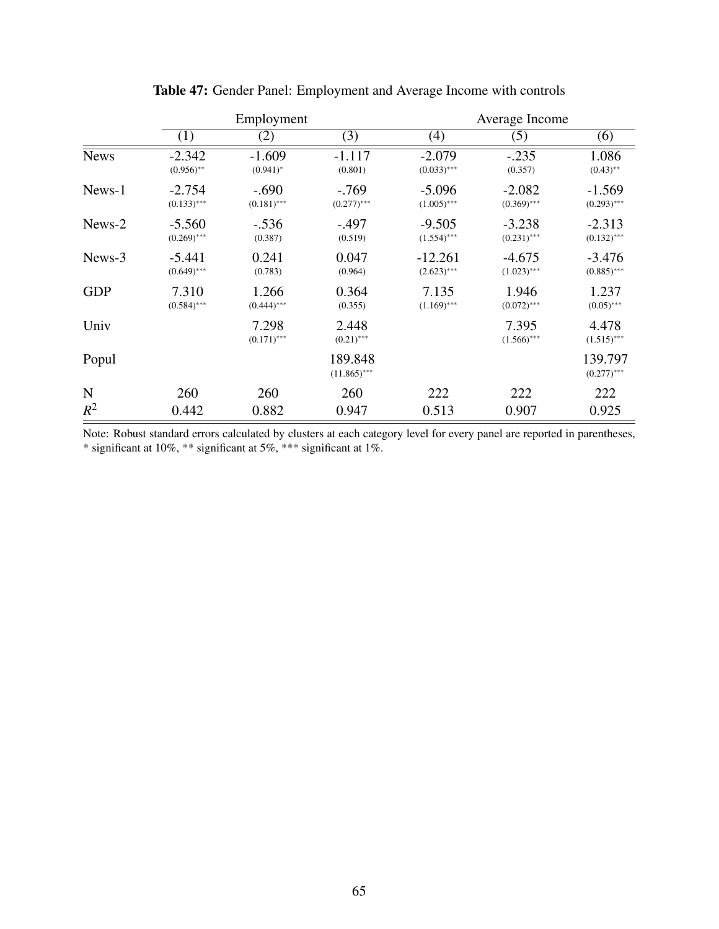|             | Employment                |                          |                           | Average Income             |                           |                           |  |
|-------------|---------------------------|--------------------------|---------------------------|----------------------------|---------------------------|---------------------------|--|
|             | (1)                       | (2)                      | (3)                       | (4)                        | (5)                       | (6)                       |  |
| <b>News</b> | $-2.342$<br>$(0.956)$ **  | $-1.609$<br>$(0.941)^*$  | $-1.117$<br>(0.801)       | $-2.079$<br>$(0.033)$ ***  | $-.235$<br>(0.357)        | 1.086<br>$(0.43)$ **      |  |
| News-1      | $-2.754$<br>$(0.133)$ *** | $-.690$<br>$(0.181)$ *** | $-.769$<br>$(0.277)$ ***  | $-5.096$<br>$(1.005)$ ***  | $-2.082$<br>$(0.369)$ *** | $-1.569$<br>$(0.293)$ *** |  |
| News-2      | $-5.560$<br>$(0.269)$ *** | $-.536$<br>(0.387)       | $-.497$<br>(0.519)        | $-9.505$<br>$(1.554)$ ***  | $-3.238$<br>$(0.231)$ *** | $-2.313$<br>$(0.132)$ *** |  |
| News-3      | $-5.441$<br>$(0.649)$ *** | 0.241<br>(0.783)         | 0.047<br>(0.964)          | $-12.261$<br>$(2.623)$ *** | $-4.675$<br>$(1.023)$ *** | $-3.476$<br>$(0.885)$ *** |  |
| <b>GDP</b>  | 7.310<br>$(0.584)$ ***    | 1.266<br>$(0.444)$ ***   | 0.364<br>(0.355)          | 7.135<br>$(1.169)$ ***     | 1.946<br>$(0.072)$ ***    | 1.237<br>$(0.05)$ ***     |  |
| Univ        |                           | 7.298<br>$(0.171)$ ***   | 2.448<br>$(0.21)$ ***     |                            | 7.395<br>$(1.566)$ ***    | 4.478<br>$(1.515)$ ***    |  |
| Popul       |                           |                          | 189.848<br>$(11.865)$ *** |                            |                           | 139.797<br>$(0.277)$ ***  |  |
| N           | 260                       | 260                      | 260                       | 222                        | 222                       | 222                       |  |
| $R^2$       | 0.442                     | 0.882                    | 0.947                     | 0.513                      | 0.907                     | 0.925                     |  |

Table 47: Gender Panel: Employment and Average Income with controls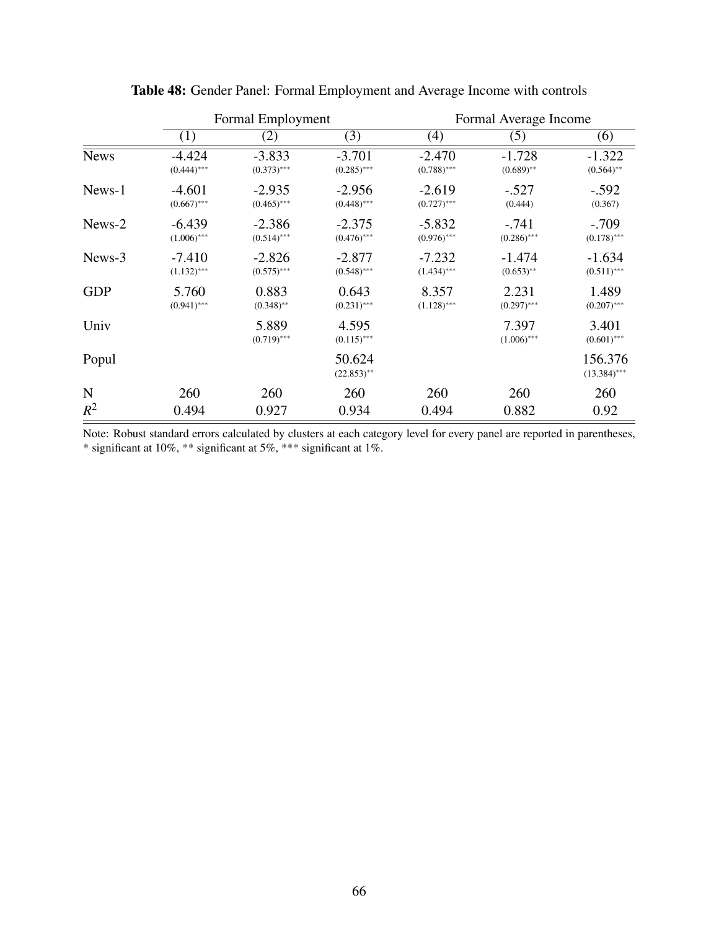|             |                           | Formal Employment         |                           | Formal Average Income     |                          |                           |
|-------------|---------------------------|---------------------------|---------------------------|---------------------------|--------------------------|---------------------------|
|             | (1)                       | (2)                       | (3)                       | (4)                       | (5)                      | (6)                       |
| <b>News</b> | $-4.424$<br>$(0.444)$ *** | $-3.833$<br>$(0.373)$ *** | $-3.701$<br>$(0.285)$ *** | $-2.470$<br>$(0.788)$ *** | $-1.728$<br>$(0.689)$ ** | $-1.322$<br>$(0.564)$ **  |
| News-1      | $-4.601$<br>$(0.667)$ *** | $-2.935$<br>$(0.465)$ *** | $-2.956$<br>$(0.448)$ *** | $-2.619$<br>$(0.727)$ *** | $-.527$<br>(0.444)       | $-.592$<br>(0.367)        |
| News-2      | $-6.439$<br>$(1.006)$ *** | $-2.386$<br>$(0.514)$ *** | $-2.375$<br>$(0.476)$ *** | $-5.832$<br>$(0.976)$ *** | $-.741$<br>$(0.286)$ *** | $-.709$<br>$(0.178)$ ***  |
| News-3      | $-7.410$<br>$(1.132)$ *** | $-2.826$<br>$(0.575)$ *** | $-2.877$<br>$(0.548)$ *** | $-7.232$<br>$(1.434)$ *** | $-1.474$<br>$(0.653)$ ** | $-1.634$<br>$(0.511)$ *** |
| <b>GDP</b>  | 5.760<br>$(0.941)$ ***    | 0.883<br>$(0.348)$ **     | 0.643<br>$(0.231)$ ***    | 8.357<br>$(1.128)$ ***    | 2.231<br>$(0.297)$ ***   | 1.489<br>$(0.207)$ ***    |
| Univ        |                           | 5.889<br>$(0.719)$ ***    | 4.595<br>$(0.115)$ ***    |                           | 7.397<br>$(1.006)$ ***   | 3.401<br>$(0.601)$ ***    |
| Popul       |                           |                           | 50.624<br>$(22.853)$ **   |                           |                          | 156.376<br>$(13.384)$ *** |
| N           | 260                       | 260                       | 260                       | 260                       | 260                      | 260                       |
| $R^2$       | 0.494                     | 0.927                     | 0.934                     | 0.494                     | 0.882                    | 0.92                      |

Table 48: Gender Panel: Formal Employment and Average Income with controls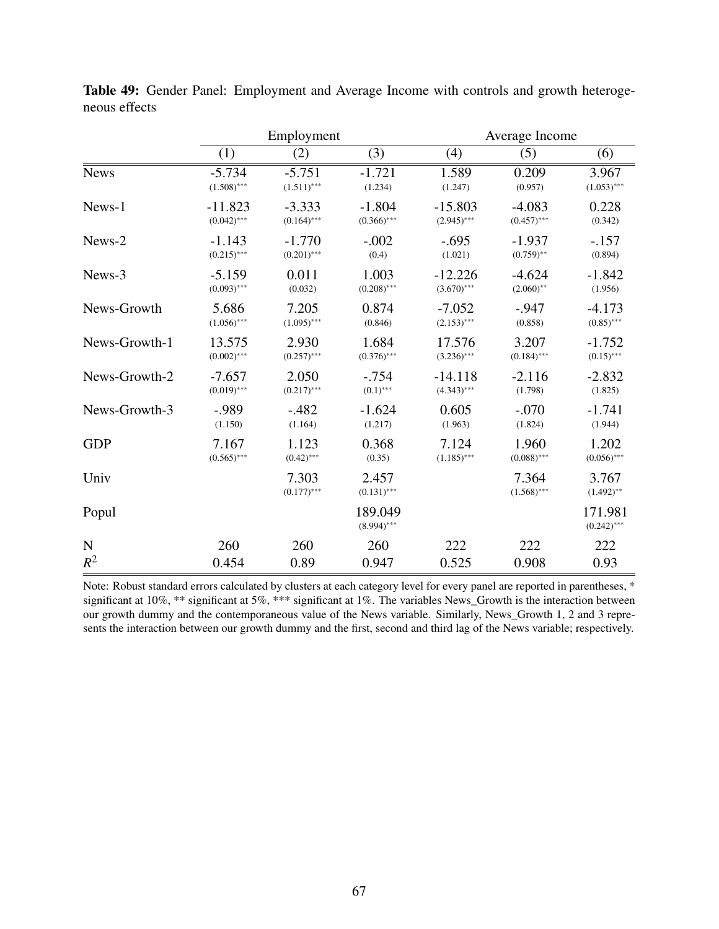|               | Employment    |                        |                          | Average Income |                        |                          |
|---------------|---------------|------------------------|--------------------------|----------------|------------------------|--------------------------|
|               | (1)           | (2)                    | (3)                      | (4)            | (5)                    | (6)                      |
| <b>News</b>   | $-5.734$      | $-5.751$               | $-1.721$                 | 1.589          | 0.209                  | 3.967                    |
|               | $(1.508)$ *** | $(1.511)$ ***          | (1.234)                  | (1.247)        | (0.957)                | $(1.053)$ ***            |
| News-1        | $-11.823$     | $-3.333$               | $-1.804$                 | $-15.803$      | $-4.083$               | 0.228                    |
|               | $(0.042)$ *** | $(0.164)$ ***          | $(0.366)$ ***            | $(2.945)$ ***  | $(0.457)$ ***          | (0.342)                  |
| News-2        | $-1.143$      | $-1.770$               | $-.002$                  | $-.695$        | $-1.937$               | $-.157$                  |
|               | $(0.215)$ *** | $(0.201)$ ***          | (0.4)                    | (1.021)        | $(0.759)$ **           | (0.894)                  |
| News-3        | $-5.159$      | 0.011                  | 1.003                    | $-12.226$      | $-4.624$               | $-1.842$                 |
|               | $(0.093)$ *** | (0.032)                | $(0.208)$ ***            | $(3.670)$ ***  | $(2.060)$ **           | (1.956)                  |
| News-Growth   | 5.686         | 7.205                  | 0.874                    | $-7.052$       | $-.947$                | $-4.173$                 |
|               | $(1.056)$ *** | $(1.095)$ ***          | (0.846)                  | $(2.153)$ ***  | (0.858)                | $(0.85)$ ***             |
| News-Growth-1 | 13.575        | 2.930                  | 1.684                    | 17.576         | 3.207                  | $-1.752$                 |
|               | $(0.002)$ *** | $(0.257)$ ***          | $(0.376)$ ***            | $(3.236)$ ***  | $(0.184)$ ***          | $(0.15)$ ***             |
| News-Growth-2 | $-7.657$      | 2.050                  | $-.754$                  | $-14.118$      | $-2.116$               | $-2.832$                 |
|               | $(0.019)$ *** | $(0.217)$ ***          | $(0.1)$ ***              | $(4.343)$ ***  | (1.798)                | (1.825)                  |
| News-Growth-3 | $-0.989$      | $-.482$                | $-1.624$                 | 0.605          | $-.070$                | $-1.741$                 |
|               | (1.150)       | (1.164)                | (1.217)                  | (1.963)        | (1.824)                | (1.944)                  |
| <b>GDP</b>    | 7.167         | 1.123                  | 0.368                    | 7.124          | 1.960                  | 1.202                    |
|               | $(0.565)$ *** | $(0.42)$ ***           | (0.35)                   | $(1.185)$ ***  | $(0.088)$ ***          | $(0.056)$ ***            |
| Univ          |               | 7.303<br>$(0.177)$ *** | 2.457<br>$(0.131)$ ***   |                | 7.364<br>$(1.568)$ *** | 3.767<br>$(1.492)$ **    |
| Popul         |               |                        | 189.049<br>$(8.994)$ *** |                |                        | 171.981<br>$(0.242)$ *** |
| $\mathbf N$   | 260           | 260                    | 260                      | 222            | 222                    | 222                      |
| $R^2$         | 0.454         | 0.89                   | 0.947                    | 0.525          | 0.908                  | 0.93                     |

Table 49: Gender Panel: Employment and Average Income with controls and growth heterogeneous effects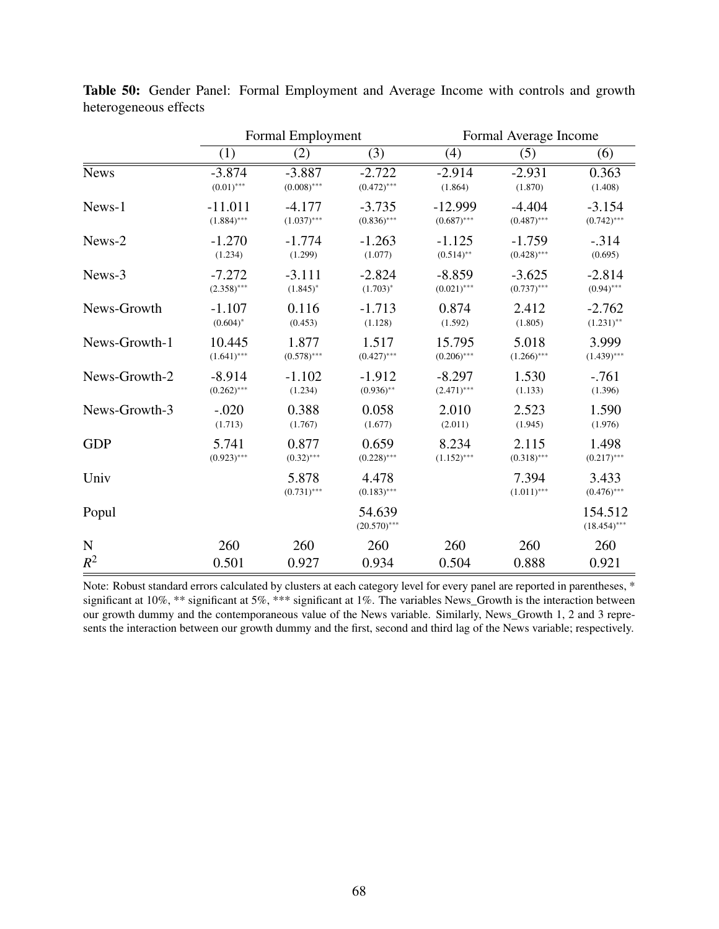|               | Formal Employment |                        |                          | Formal Average Income |                        |                           |
|---------------|-------------------|------------------------|--------------------------|-----------------------|------------------------|---------------------------|
|               | (1)               | (2)                    | (3)                      | (4)                   | (5)                    | (6)                       |
| <b>News</b>   | $-3.874$          | $-3.887$               | $-2.722$                 | $-2.914$              | $-2.931$               | 0.363                     |
|               | $(0.01)$ ***      | $(0.008)$ ***          | $(0.472)$ ***            | (1.864)               | (1.870)                | (1.408)                   |
| News-1        | $-11.011$         | $-4.177$               | $-3.735$                 | $-12.999$             | $-4.404$               | $-3.154$                  |
|               | $(1.884)$ ***     | $(1.037)$ ***          | $(0.836)$ ***            | $(0.687)$ ***         | $(0.487)$ ***          | $(0.742)$ ***             |
| News-2        | $-1.270$          | $-1.774$               | $-1.263$                 | $-1.125$              | $-1.759$               | $-.314$                   |
|               | (1.234)           | (1.299)                | (1.077)                  | $(0.514)$ **          | $(0.428)$ ***          | (0.695)                   |
| News-3        | $-7.272$          | $-3.111$               | $-2.824$                 | $-8.859$              | $-3.625$               | $-2.814$                  |
|               | $(2.358)$ ***     | $(1.845)^*$            | $(1.703)^*$              | $(0.021)$ ***         | $(0.737)$ ***          | $(0.94)$ ***              |
| News-Growth   | $-1.107$          | 0.116                  | $-1.713$                 | 0.874                 | 2.412                  | $-2.762$                  |
|               | $(0.604)^*$       | (0.453)                | (1.128)                  | (1.592)               | (1.805)                | $(1.231)$ **              |
| News-Growth-1 | 10.445            | 1.877                  | 1.517                    | 15.795                | 5.018                  | 3.999                     |
|               | $(1.641)$ ***     | $(0.578)$ ***          | $(0.427)$ ***            | $(0.206)$ ***         | $(1.266)$ ***          | $(1.439)$ ***             |
| News-Growth-2 | $-8.914$          | $-1.102$               | $-1.912$                 | $-8.297$              | 1.530                  | $-.761$                   |
|               | $(0.262)$ ***     | (1.234)                | $(0.936)$ **             | $(2.471)$ ***         | (1.133)                | (1.396)                   |
| News-Growth-3 | $-.020$           | 0.388                  | 0.058                    | 2.010                 | 2.523                  | 1.590                     |
|               | (1.713)           | (1.767)                | (1.677)                  | (2.011)               | (1.945)                | (1.976)                   |
| <b>GDP</b>    | 5.741             | 0.877                  | 0.659                    | 8.234                 | 2.115                  | 1.498                     |
|               | $(0.923)$ ***     | $(0.32)$ ***           | $(0.228)$ ***            | $(1.152)$ ***         | $(0.318)$ ***          | $(0.217)$ ***             |
| Univ          |                   | 5.878<br>$(0.731)$ *** | 4.478<br>$(0.183)$ ***   |                       | 7.394<br>$(1.011)$ *** | 3.433<br>$(0.476)$ ***    |
| Popul         |                   |                        | 54.639<br>$(20.570)$ *** |                       |                        | 154.512<br>$(18.454)$ *** |
| $\mathbf N$   | 260               | 260                    | 260                      | 260                   | 260                    | 260                       |
| $R^2$         | 0.501             | 0.927                  | 0.934                    | 0.504                 | 0.888                  | 0.921                     |

Table 50: Gender Panel: Formal Employment and Average Income with controls and growth heterogeneous effects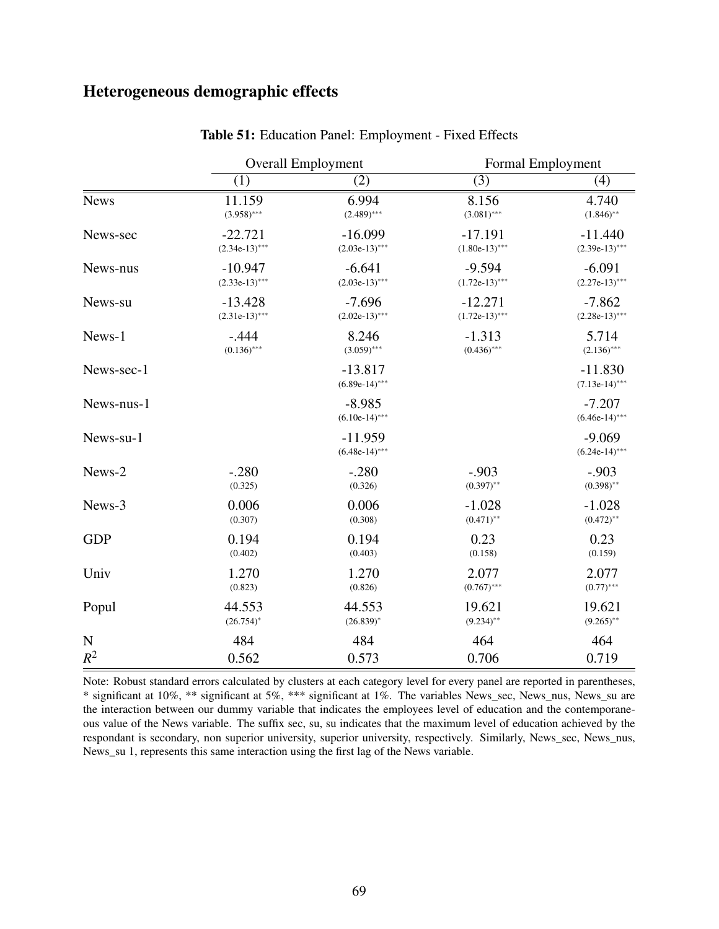### Heterogeneous demographic effects

|             |                  | <b>Overall Employment</b>     | Formal Employment |                               |  |
|-------------|------------------|-------------------------------|-------------------|-------------------------------|--|
|             | (1)              | (2)                           | (3)               | (4)                           |  |
| <b>News</b> | 11.159           | 6.994                         | 8.156             | 4.740                         |  |
|             | $(3.958)$ ***    | $(2.489)$ ***                 | $(3.081)$ ***     | $(1.846)$ **                  |  |
| News-sec    | $-22.721$        | $-16.099$                     | $-17.191$         | $-11.440$                     |  |
|             | $(2.34e-13)$ *** | $(2.03e-13)$ ***              | $(1.80e-13)$ ***  | $(2.39e-13)$ ***              |  |
| News-nus    | $-10.947$        | $-6.641$                      | $-9.594$          | $-6.091$                      |  |
|             | $(2.33e-13)$ *** | $(2.03e-13)$ ***              | $(1.72e-13)$ ***  | $(2.27e-13)$ ***              |  |
| News-su     | $-13.428$        | $-7.696$                      | $-12.271$         | $-7.862$                      |  |
|             | $(2.31e-13)$ *** | $(2.02e-13)$ ***              | $(1.72e-13)$ ***  | $(2.28e-13)$ ***              |  |
| News-1      | $-.444$          | 8.246                         | $-1.313$          | 5.714                         |  |
|             | $(0.136)$ ***    | $(3.059)$ ***                 | $(0.436)$ ***     | $(2.136)$ ***                 |  |
| News-sec-1  |                  | $-13.817$<br>$(6.89e-14)$ *** |                   | $-11.830$<br>$(7.13e-14)$ *** |  |
| News-nus-1  |                  | $-8.985$<br>$(6.10e-14)$ ***  |                   | $-7.207$<br>$(6.46e-14)$ ***  |  |
| News-su-1   |                  | $-11.959$<br>$(6.48e-14)$ *** |                   | $-9.069$<br>$(6.24e-14)$ ***  |  |
| News-2      | $-.280$          | $-.280$                       | $-.903$           | $-.903$                       |  |
|             | (0.325)          | (0.326)                       | $(0.397)$ **      | $(0.398)$ **                  |  |
| News-3      | 0.006            | 0.006                         | $-1.028$          | $-1.028$                      |  |
|             | (0.307)          | (0.308)                       | $(0.471)$ **      | $(0.472)$ **                  |  |
| <b>GDP</b>  | 0.194            | 0.194                         | 0.23              | 0.23                          |  |
|             | (0.402)          | (0.403)                       | (0.158)           | (0.159)                       |  |
| Univ        | 1.270            | 1.270                         | 2.077             | 2.077                         |  |
|             | (0.823)          | (0.826)                       | $(0.767)$ ***     | $(0.77)$ ***                  |  |
| Popul       | 44.553           | 44.553                        | 19.621            | 19.621                        |  |
|             | $(26.754)^*$     | $(26.839)^*$                  | $(9.234)$ **      | $(9.265)$ **                  |  |
| ${\bf N}$   | 484              | 484                           | 464               | 464                           |  |
| $R^2$       | 0.562            | 0.573                         | 0.706             | 0.719                         |  |

Table 51: Education Panel: Employment - Fixed Effects

Note: Robust standard errors calculated by clusters at each category level for every panel are reported in parentheses, \* significant at 10%, \*\* significant at 5%, \*\*\* significant at 1%. The variables News\_sec, News\_nus, News\_su are the interaction between our dummy variable that indicates the employees level of education and the contemporaneous value of the News variable. The suffix sec, su, su indicates that the maximum level of education achieved by the respondant is secondary, non superior university, superior university, respectively. Similarly, News\_sec, News\_nus, News\_su 1, represents this same interaction using the first lag of the News variable.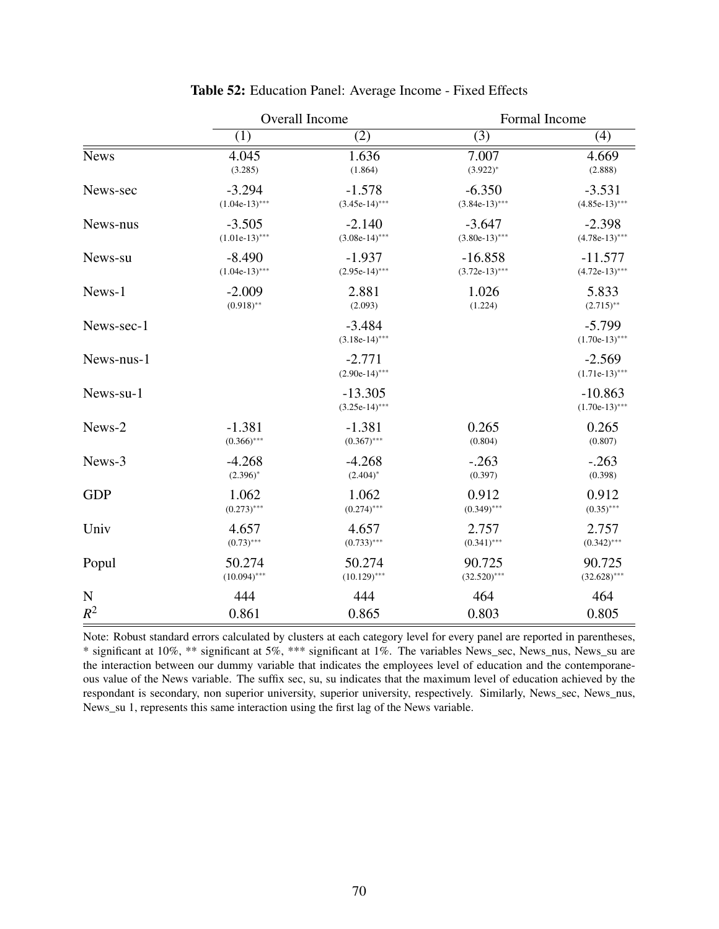|             |                  | Overall Income                | Formal Income    |                               |  |
|-------------|------------------|-------------------------------|------------------|-------------------------------|--|
|             | (1)              | (2)                           | (3)              | (4)                           |  |
| <b>News</b> | 4.045            | 1.636                         | 7.007            | 4.669                         |  |
|             | (3.285)          | (1.864)                       | $(3.922)^*$      | (2.888)                       |  |
| News-sec    | $-3.294$         | $-1.578$                      | $-6.350$         | $-3.531$                      |  |
|             | $(1.04e-13)$ *** | $(3.45e-14)$ ***              | $(3.84e-13)$ *** | $(4.85e-13)$ ***              |  |
| News-nus    | $-3.505$         | $-2.140$                      | $-3.647$         | $-2.398$                      |  |
|             | $(1.01e-13)$ *** | $(3.08e-14)$ ***              | $(3.80e-13)$ *** | $(4.78e-13)$ ***              |  |
| News-su     | $-8.490$         | $-1.937$                      | $-16.858$        | $-11.577$                     |  |
|             | $(1.04e-13)$ *** | $(2.95e-14)$ ***              | $(3.72e-13)$ *** | $(4.72e-13)$ ***              |  |
| News-1      | $-2.009$         | 2.881                         | 1.026            | 5.833                         |  |
|             | $(0.918)$ **     | (2.093)                       | (1.224)          | $(2.715)$ **                  |  |
| News-sec-1  |                  | $-3.484$<br>$(3.18e-14)$ ***  |                  | $-5.799$<br>$(1.70e-13)$ ***  |  |
| News-nus-1  |                  | $-2.771$<br>$(2.90e-14)$ ***  |                  | $-2.569$<br>$(1.71e-13)$ ***  |  |
| News-su-1   |                  | $-13.305$<br>$(3.25e-14)$ *** |                  | $-10.863$<br>$(1.70e-13)$ *** |  |
| News-2      | $-1.381$         | $-1.381$                      | 0.265            | 0.265                         |  |
|             | $(0.366)$ ***    | $(0.367)$ ***                 | (0.804)          | (0.807)                       |  |
| News-3      | $-4.268$         | $-4.268$                      | $-.263$          | $-.263$                       |  |
|             | $(2.396)^{*}$    | $(2.404)^{*}$                 | (0.397)          | (0.398)                       |  |
| <b>GDP</b>  | 1.062            | 1.062                         | 0.912            | 0.912                         |  |
|             | $(0.273)$ ***    | $(0.274)$ ***                 | $(0.349)$ ***    | $(0.35)$ ***                  |  |
| Univ        | 4.657            | 4.657                         | 2.757            | 2.757                         |  |
|             | $(0.73)$ ***     | $(0.733)$ ***                 | $(0.341)$ ***    | $(0.342)$ ***                 |  |
| Popul       | 50.274           | 50.274                        | 90.725           | 90.725                        |  |
|             | $(10.094)$ ***   | $(10.129)$ ***                | $(32.520)$ ***   | $(32.628)$ ***                |  |
| $\mathbf N$ | 444              | 444                           | 464              | 464                           |  |
| $R^2$       | 0.861            | 0.865                         | 0.803            | 0.805                         |  |

#### Table 52: Education Panel: Average Income - Fixed Effects

Note: Robust standard errors calculated by clusters at each category level for every panel are reported in parentheses, \* significant at 10%, \*\* significant at 5%, \*\*\* significant at 1%. The variables News\_sec, News\_nus, News\_su are the interaction between our dummy variable that indicates the employees level of education and the contemporaneous value of the News variable. The suffix sec, su, su indicates that the maximum level of education achieved by the respondant is secondary, non superior university, superior university, respectively. Similarly, News\_sec, News\_nus, News\_su 1, represents this same interaction using the first lag of the News variable.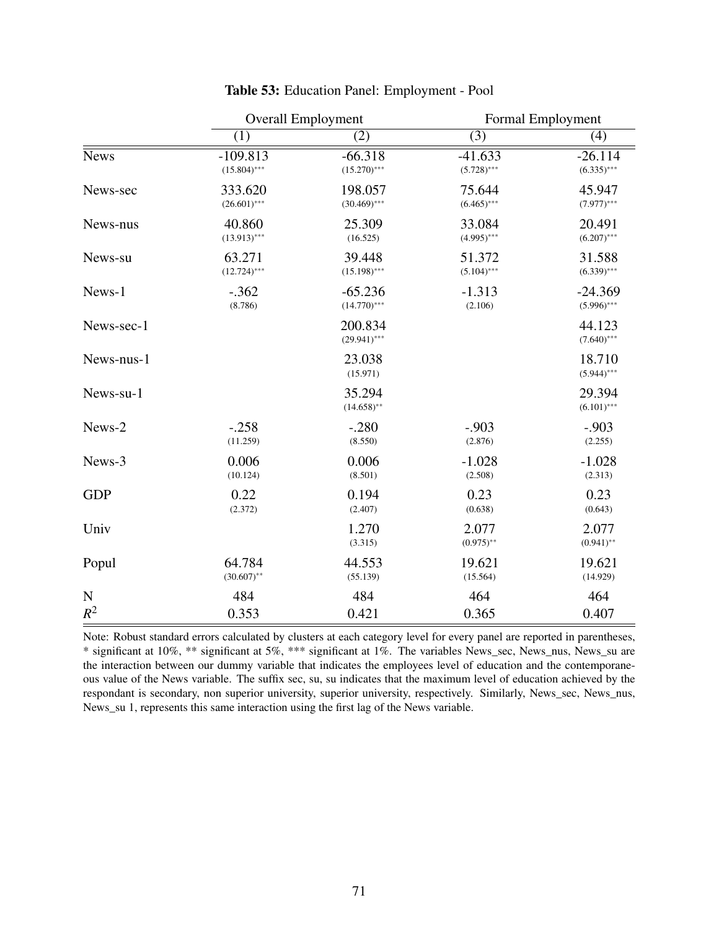|             | <b>Overall Employment</b> |                           | Formal Employment     |                         |
|-------------|---------------------------|---------------------------|-----------------------|-------------------------|
|             | (1)                       | (2)                       | $\overline{(3)}$      | (4)                     |
| <b>News</b> | $-109.813$                | $-66.318$                 | $-41.633$             | $-26.114$               |
|             | $(15.804)$ ***            | $(15.270)$ ***            | $(5.728)$ ***         | $(6.335)$ ***           |
| News-sec    | 333.620                   | 198.057                   | 75.644                | 45.947                  |
|             | $(26.601)$ ***            | $(30.469)$ ***            | $(6.465)$ ***         | $(7.977)$ ***           |
| News-nus    | 40.860                    | 25.309                    | 33.084                | 20.491                  |
|             | $(13.913)$ ***            | (16.525)                  | $(4.995)$ ***         | $(6.207)$ ***           |
| News-su     | 63.271                    | 39.448                    | 51.372                | 31.588                  |
|             | $(12.724)$ ***            | $(15.198)$ ***            | $(5.104)$ ***         | $(6.339)$ ***           |
| News-1      | $-.362$                   | $-65.236$                 | $-1.313$              | $-24.369$               |
|             | (8.786)                   | $(14.770)$ ***            | (2.106)               | $(5.996)$ ***           |
| News-sec-1  |                           | 200.834<br>$(29.941)$ *** |                       | 44.123<br>$(7.640)$ *** |
| News-nus-1  |                           | 23.038<br>(15.971)        |                       | 18.710<br>$(5.944)$ *** |
| News-su-1   |                           | 35.294<br>$(14.658)$ **   |                       | 29.394<br>$(6.101)$ *** |
| News-2      | $-.258$                   | $-.280$                   | $-.903$               | $-.903$                 |
|             | (11.259)                  | (8.550)                   | (2.876)               | (2.255)                 |
| News-3      | 0.006                     | 0.006                     | $-1.028$              | $-1.028$                |
|             | (10.124)                  | (8.501)                   | (2.508)               | (2.313)                 |
| <b>GDP</b>  | 0.22                      | 0.194                     | 0.23                  | 0.23                    |
|             | (2.372)                   | (2.407)                   | (0.638)               | (0.643)                 |
| Univ        |                           | 1.270<br>(3.315)          | 2.077<br>$(0.975)$ ** | 2.077<br>$(0.941)$ **   |
| Popul       | 64.784                    | 44.553                    | 19.621                | 19.621                  |
|             | $(30.607)$ **             | (55.139)                  | (15.564)              | (14.929)                |
| $\mathbf N$ | 484                       | 484                       | 464                   | 464                     |
| $R^2$       | 0.353                     | 0.421                     | 0.365                 | 0.407                   |

#### Table 53: Education Panel: Employment - Pool

Note: Robust standard errors calculated by clusters at each category level for every panel are reported in parentheses, \* significant at 10%, \*\* significant at 5%, \*\*\* significant at 1%. The variables News\_sec, News\_nus, News\_su are the interaction between our dummy variable that indicates the employees level of education and the contemporaneous value of the News variable. The suffix sec, su, su indicates that the maximum level of education achieved by the respondant is secondary, non superior university, superior university, respectively. Similarly, News\_sec, News\_nus, News\_su 1, represents this same interaction using the first lag of the News variable.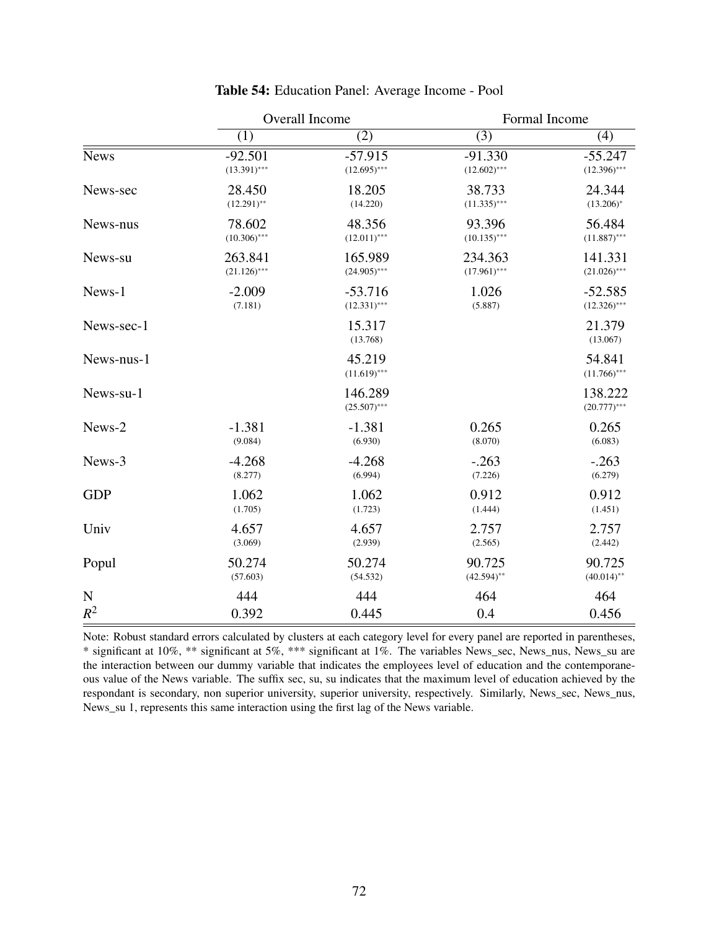|             | Overall Income |                           | Formal Income  |                           |
|-------------|----------------|---------------------------|----------------|---------------------------|
|             | (1)            | (2)                       | (3)            | (4)                       |
| <b>News</b> | $-92.501$      | $-57.915$                 | $-91.330$      | $-55.247$                 |
|             | $(13.391)$ *** | $(12.695)$ ***            | $(12.602)$ *** | $(12.396)$ ***            |
| News-sec    | 28.450         | 18.205                    | 38.733         | 24.344                    |
|             | $(12.291)$ **  | (14.220)                  | $(11.335)$ *** | $(13.206)^*$              |
| News-nus    | 78.602         | 48.356                    | 93.396         | 56.484                    |
|             | $(10.306)$ *** | $(12.011)$ ***            | $(10.135)$ *** | $(11.887)$ ***            |
| News-su     | 263.841        | 165.989                   | 234.363        | 141.331                   |
|             | $(21.126)$ *** | $(24.905)$ ***            | $(17.961)$ *** | $(21.026)$ ***            |
| News-1      | $-2.009$       | $-53.716$                 | 1.026          | $-52.585$                 |
|             | (7.181)        | $(12.331)$ ***            | (5.887)        | $(12.326)$ ***            |
| News-sec-1  |                | 15.317<br>(13.768)        |                | 21.379<br>(13.067)        |
| News-nus-1  |                | 45.219<br>$(11.619)$ ***  |                | 54.841<br>$(11.766)$ ***  |
| News-su-1   |                | 146.289<br>$(25.507)$ *** |                | 138.222<br>$(20.777)$ *** |
| News-2      | $-1.381$       | $-1.381$                  | 0.265          | 0.265                     |
|             | (9.084)        | (6.930)                   | (8.070)        | (6.083)                   |
| News-3      | $-4.268$       | $-4.268$                  | $-.263$        | $-.263$                   |
|             | (8.277)        | (6.994)                   | (7.226)        | (6.279)                   |
| <b>GDP</b>  | 1.062          | 1.062                     | 0.912          | 0.912                     |
|             | (1.705)        | (1.723)                   | (1.444)        | (1.451)                   |
| Univ        | 4.657          | 4.657                     | 2.757          | 2.757                     |
|             | (3.069)        | (2.939)                   | (2.565)        | (2.442)                   |
| Popul       | 50.274         | 50.274                    | 90.725         | 90.725                    |
|             | (57.603)       | (54.532)                  | $(42.594)$ **  | $(40.014)$ **             |
| $\mathbf N$ | 444            | 444                       | 464            | 464                       |
| $R^2$       | 0.392          | 0.445                     | 0.4            | 0.456                     |

# Table 54: Education Panel: Average Income - Pool

Note: Robust standard errors calculated by clusters at each category level for every panel are reported in parentheses, \* significant at 10%, \*\* significant at 5%, \*\*\* significant at 1%. The variables News\_sec, News\_nus, News\_su are the interaction between our dummy variable that indicates the employees level of education and the contemporaneous value of the News variable. The suffix sec, su, su indicates that the maximum level of education achieved by the respondant is secondary, non superior university, superior university, respectively. Similarly, News\_sec, News\_nus, News\_su 1, represents this same interaction using the first lag of the News variable.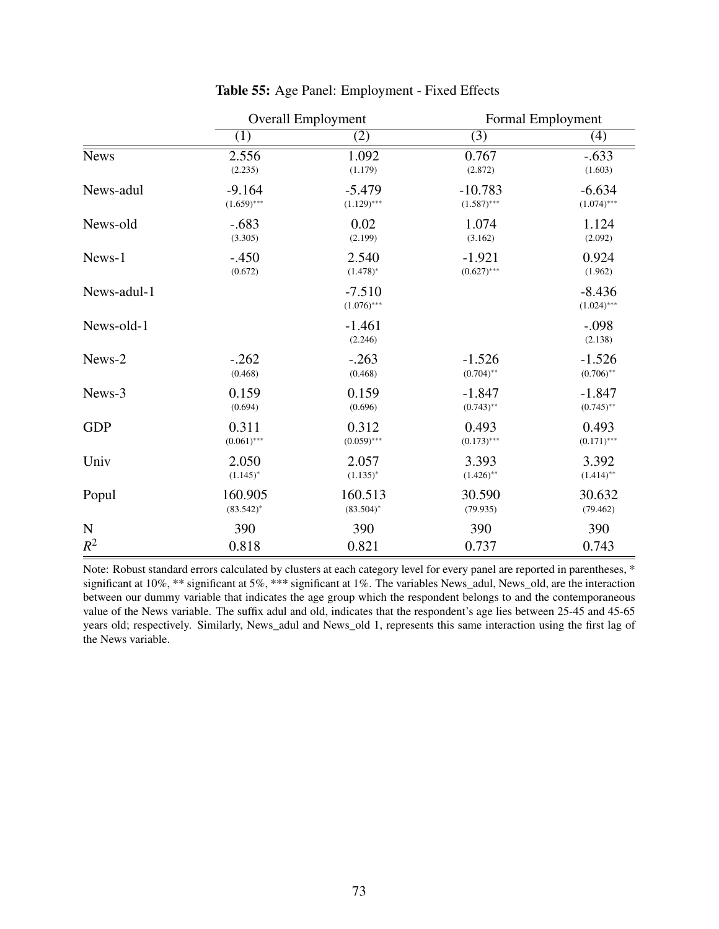|             | <b>Overall Employment</b> |                           | Formal Employment |                           |
|-------------|---------------------------|---------------------------|-------------------|---------------------------|
|             | (1)                       | (2)                       | (3)               | (4)                       |
| <b>News</b> | 2.556                     | 1.092                     | 0.767             | $-.633$                   |
|             | (2.235)                   | (1.179)                   | (2.872)           | (1.603)                   |
| News-adul   | $-9.164$                  | $-5.479$                  | $-10.783$         | $-6.634$                  |
|             | $(1.659)$ ***             | $(1.129)$ ***             | $(1.587)$ ***     | $(1.074)$ ***             |
| News-old    | $-.683$                   | 0.02                      | 1.074             | 1.124                     |
|             | (3.305)                   | (2.199)                   | (3.162)           | (2.092)                   |
| News-1      | $-.450$                   | 2.540                     | $-1.921$          | 0.924                     |
|             | (0.672)                   | $(1.478)^*$               | $(0.627)$ ***     | (1.962)                   |
| News-adul-1 |                           | $-7.510$<br>$(1.076)$ *** |                   | $-8.436$<br>$(1.024)$ *** |
| News-old-1  |                           | $-1.461$<br>(2.246)       |                   | $-.098$<br>(2.138)        |
| News-2      | $-.262$                   | $-.263$                   | $-1.526$          | $-1.526$                  |
|             | (0.468)                   | (0.468)                   | $(0.704)$ **      | $(0.706)$ **              |
| News-3      | 0.159                     | 0.159                     | $-1.847$          | $-1.847$                  |
|             | (0.694)                   | (0.696)                   | $(0.743)$ **      | $(0.745)$ **              |
| <b>GDP</b>  | 0.311                     | 0.312                     | 0.493             | 0.493                     |
|             | $(0.061)$ ***             | $(0.059)$ ***             | $(0.173)$ ***     | $(0.171)$ ***             |
| Univ        | 2.050                     | 2.057                     | 3.393             | 3.392                     |
|             | $(1.145)^{*}$             | $(1.135)^{*}$             | $(1.426)$ **      | $(1.414)$ **              |
| Popul       | 160.905                   | 160.513                   | 30.590            | 30.632                    |
|             | $(83.542)^*$              | $(83.504)^*$              | (79.935)          | (79.462)                  |
| ${\bf N}$   | 390                       | 390                       | 390               | 390                       |
| $R^2$       | 0.818                     | 0.821                     | 0.737             | 0.743                     |

#### Table 55: Age Panel: Employment - Fixed Effects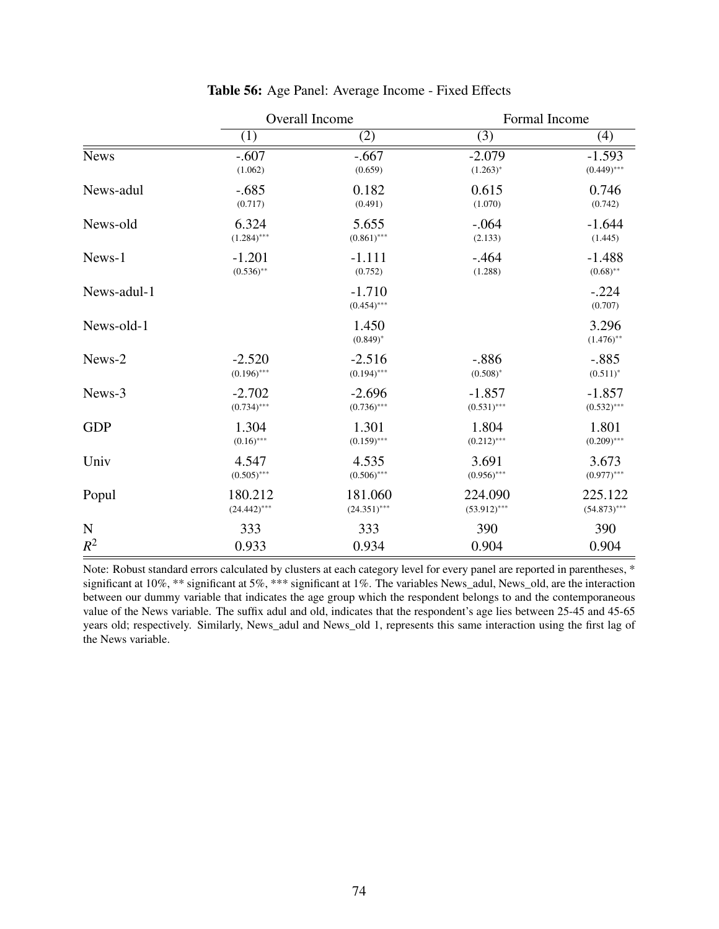|             | Overall Income |                           | Formal Income  |                       |
|-------------|----------------|---------------------------|----------------|-----------------------|
|             | (1)            | (2)                       | (3)            | (4)                   |
| <b>News</b> | $-.607$        | $-.667$                   | $-2.079$       | $-1.593$              |
|             | (1.062)        | (0.659)                   | $(1.263)^*$    | $(0.449)$ ***         |
| News-adul   | $-.685$        | 0.182                     | 0.615          | 0.746                 |
|             | (0.717)        | (0.491)                   | (1.070)        | (0.742)               |
| News-old    | 6.324          | 5.655                     | $-.064$        | $-1.644$              |
|             | $(1.284)$ ***  | $(0.861)$ ***             | (2.133)        | (1.445)               |
| News-1      | $-1.201$       | $-1.111$                  | $-.464$        | $-1.488$              |
|             | $(0.536)$ **   | (0.752)                   | (1.288)        | $(0.68)$ **           |
| News-adul-1 |                | $-1.710$<br>$(0.454)$ *** |                | $-.224$<br>(0.707)    |
| News-old-1  |                | 1.450<br>$(0.849)^*$      |                | 3.296<br>$(1.476)$ ** |
| News-2      | $-2.520$       | $-2.516$                  | $-.886$        | $-.885$               |
|             | $(0.196)$ ***  | $(0.194)$ ***             | $(0.508)^*$    | $(0.511)^*$           |
| News-3      | $-2.702$       | $-2.696$                  | $-1.857$       | $-1.857$              |
|             | $(0.734)$ ***  | $(0.736)$ ***             | $(0.531)$ ***  | $(0.532)$ ***         |
| <b>GDP</b>  | 1.304          | 1.301                     | 1.804          | 1.801                 |
|             | $(0.16)$ ***   | $(0.159)$ ***             | $(0.212)$ ***  | $(0.209)$ ***         |
| Univ        | 4.547          | 4.535                     | 3.691          | 3.673                 |
|             | $(0.505)$ ***  | $(0.506)$ ***             | $(0.956)$ ***  | $(0.977)$ ***         |
| Popul       | 180.212        | 181.060                   | 224.090        | 225.122               |
|             | $(24.442)$ *** | $(24.351)$ ***            | $(53.912)$ *** | $(54.873)$ ***        |
| $\mathbf N$ | 333            | 333                       | 390            | 390                   |
| $R^2$       | 0.933          | 0.934                     | 0.904          | 0.904                 |

# Table 56: Age Panel: Average Income - Fixed Effects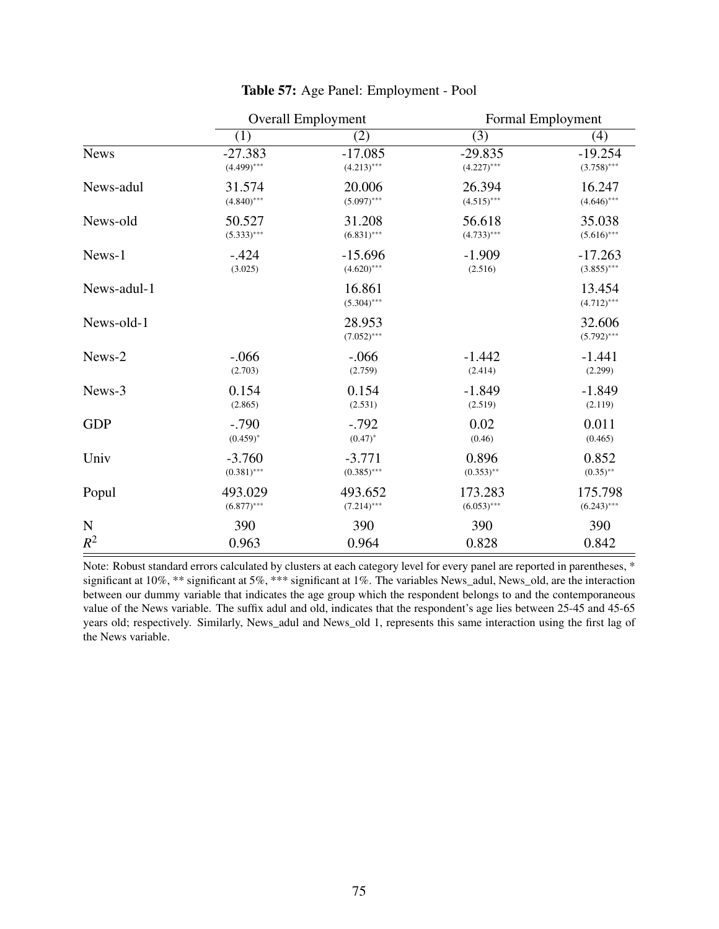|             | <b>Overall Employment</b> |                         | Formal Employment |                         |
|-------------|---------------------------|-------------------------|-------------------|-------------------------|
|             | (1)                       | (2)                     | (3)               | (4)                     |
| <b>News</b> | $-27.383$                 | $-17.085$               | $-29.835$         | $-19.254$               |
|             | $(4.499)$ ***             | $(4.213)$ ***           | $(4.227)$ ***     | $(3.758)$ ***           |
| News-adul   | 31.574                    | 20.006                  | 26.394            | 16.247                  |
|             | $(4.840)$ ***             | $(5.097)$ ***           | $(4.515)$ ***     | $(4.646)$ ***           |
| News-old    | 50.527                    | 31.208                  | 56.618            | 35.038                  |
|             | $(5.333)$ ***             | $(6.831)$ ***           | $(4.733)$ ***     | $(5.616)$ ***           |
| News-1      | $-.424$                   | $-15.696$               | $-1.909$          | $-17.263$               |
|             | (3.025)                   | $(4.620)$ ***           | (2.516)           | $(3.855)$ ***           |
| News-adul-1 |                           | 16.861<br>$(5.304)$ *** |                   | 13.454<br>$(4.712)$ *** |
| News-old-1  |                           | 28.953<br>$(7.052)$ *** |                   | 32.606<br>$(5.792)$ *** |
| News-2      | $-0.066$                  | $-.066$                 | $-1.442$          | $-1.441$                |
|             | (2.703)                   | (2.759)                 | (2.414)           | (2.299)                 |
| News-3      | 0.154                     | 0.154                   | $-1.849$          | $-1.849$                |
|             | (2.865)                   | (2.531)                 | (2.519)           | (2.119)                 |
| <b>GDP</b>  | $-.790$                   | $-.792$                 | 0.02              | 0.011                   |
|             | $(0.459)^*$               | $(0.47)^*$              | (0.46)            | (0.465)                 |
| Univ        | $-3.760$                  | $-3.771$                | 0.896             | 0.852                   |
|             | $(0.381)$ ***             | $(0.385)$ ***           | $(0.353)$ **      | $(0.35)$ **             |
| Popul       | 493.029                   | 493.652                 | 173.283           | 175.798                 |
|             | $(6.877)$ ***             | $(7.214)$ ***           | $(6.053)$ ***     | $(6.243)$ ***           |
| $\mathbf N$ | 390                       | 390                     | 390               | 390                     |
| $R^2$       | 0.963                     | 0.964                   | 0.828             | 0.842                   |

# Table 57: Age Panel: Employment - Pool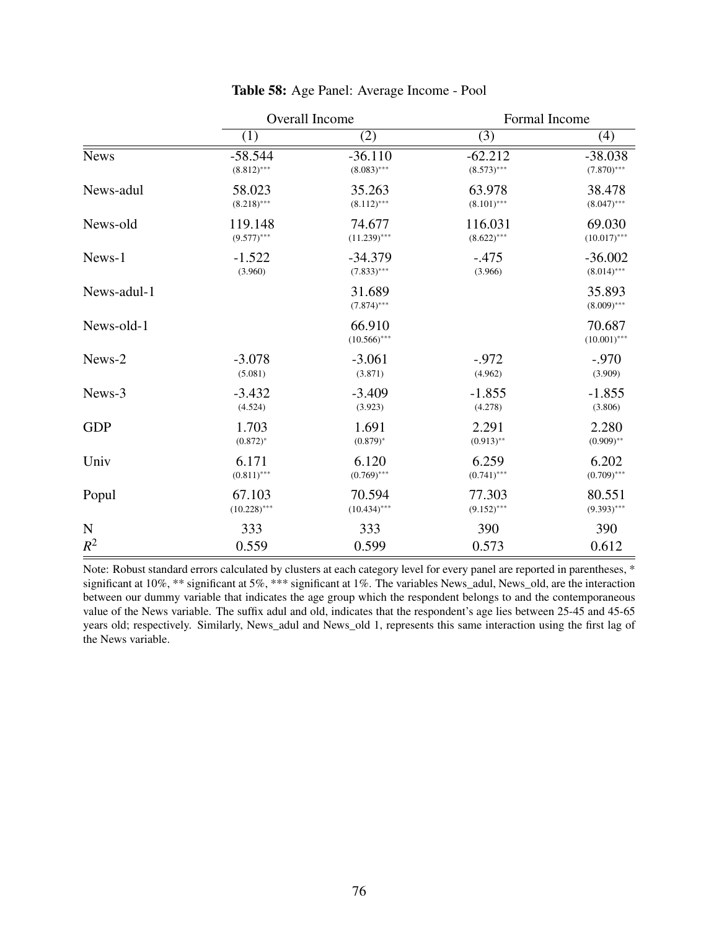|             | Overall Income |                          | Formal Income |                          |
|-------------|----------------|--------------------------|---------------|--------------------------|
|             | (1)            | (2)                      | (3)           | (4)                      |
| <b>News</b> | $-58.544$      | $-36.110$                | $-62.212$     | $-38.038$                |
|             | $(8.812)$ ***  | $(8.083)$ ***            | $(8.573)$ *** | $(7.870)$ ***            |
| News-adul   | 58.023         | 35.263                   | 63.978        | 38.478                   |
|             | $(8.218)$ ***  | $(8.112)$ ***            | $(8.101)$ *** | $(8.047)$ ***            |
| News-old    | 119.148        | 74.677                   | 116.031       | 69.030                   |
|             | $(9.577)$ ***  | $(11.239)$ ***           | $(8.622)$ *** | $(10.017)$ ***           |
| News-1      | $-1.522$       | $-34.379$                | $-.475$       | $-36.002$                |
|             | (3.960)        | $(7.833)$ ***            | (3.966)       | $(8.014)$ ***            |
| News-adul-1 |                | 31.689<br>$(7.874)$ ***  |               | 35.893<br>$(8.009)$ ***  |
| News-old-1  |                | 66.910<br>$(10.566)$ *** |               | 70.687<br>$(10.001)$ *** |
| News-2      | $-3.078$       | $-3.061$                 | $-.972$       | $-.970$                  |
|             | (5.081)        | (3.871)                  | (4.962)       | (3.909)                  |
| News-3      | $-3.432$       | $-3.409$                 | $-1.855$      | $-1.855$                 |
|             | (4.524)        | (3.923)                  | (4.278)       | (3.806)                  |
| <b>GDP</b>  | 1.703          | 1.691                    | 2.291         | 2.280                    |
|             | $(0.872)^*$    | $(0.879)^*$              | $(0.913)$ **  | $(0.909)$ **             |
| Univ        | 6.171          | 6.120                    | 6.259         | 6.202                    |
|             | $(0.811)$ ***  | $(0.769)$ ***            | $(0.741)$ *** | $(0.709)$ ***            |
| Popul       | 67.103         | 70.594                   | 77.303        | 80.551                   |
|             | $(10.228)$ *** | $(10.434)$ ***           | $(9.152)$ *** | $(9.393)$ ***            |
| ${\bf N}$   | 333            | 333                      | 390           | 390                      |
| $R^2$       | 0.559          | 0.599                    | 0.573         | 0.612                    |

#### Table 58: Age Panel: Average Income - Pool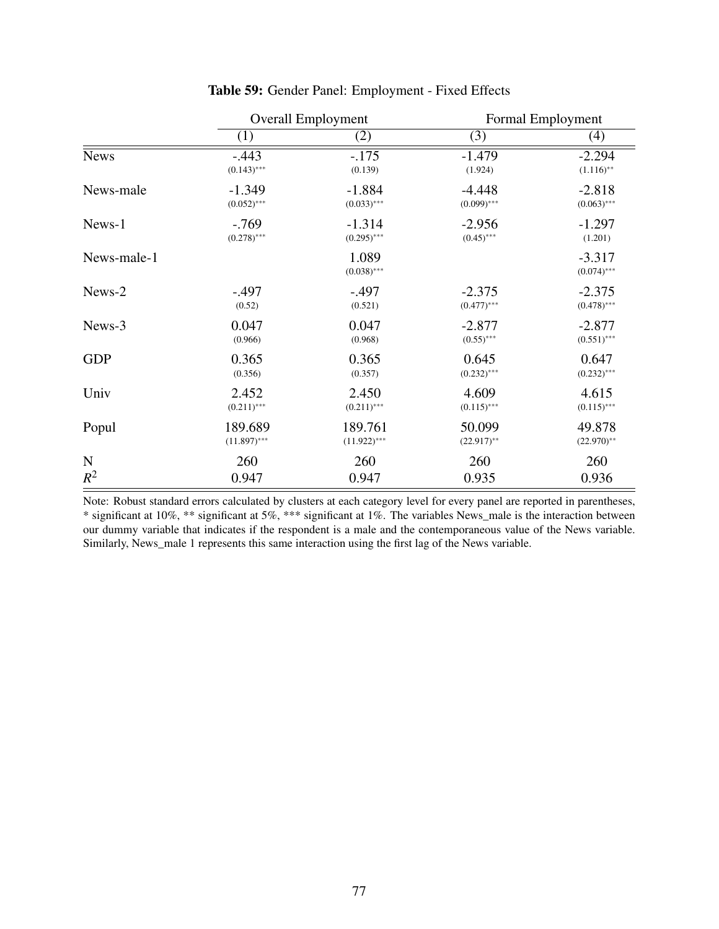|             | <b>Overall Employment</b> |                        | Formal Employment |                           |
|-------------|---------------------------|------------------------|-------------------|---------------------------|
|             | (1)                       | (2)                    | (3)               | (4)                       |
| <b>News</b> | $-.443$                   | $-.175$                | $-1.479$          | $-2.294$                  |
|             | $(0.143)$ ***             | (0.139)                | (1.924)           | $(1.116)$ **              |
| News-male   | $-1.349$                  | $-1.884$               | $-4.448$          | $-2.818$                  |
|             | $(0.052)$ ***             | $(0.033)$ ***          | $(0.099)$ ***     | $(0.063)$ ***             |
| News-1      | $-0.769$                  | $-1.314$               | $-2.956$          | $-1.297$                  |
|             | $(0.278)$ ***             | $(0.295)$ ***          | $(0.45)$ ***      | (1.201)                   |
| News-male-1 |                           | 1.089<br>$(0.038)$ *** |                   | $-3.317$<br>$(0.074)$ *** |
| News-2      | $-.497$                   | $-.497$                | $-2.375$          | $-2.375$                  |
|             | (0.52)                    | (0.521)                | $(0.477)$ ***     | $(0.478)$ ***             |
| News-3      | 0.047                     | 0.047                  | $-2.877$          | $-2.877$                  |
|             | (0.966)                   | (0.968)                | $(0.55)$ ***      | $(0.551)$ ***             |
| <b>GDP</b>  | 0.365                     | 0.365                  | 0.645             | 0.647                     |
|             | (0.356)                   | (0.357)                | $(0.232)$ ***     | $(0.232)$ ***             |
| Univ        | 2.452                     | 2.450                  | 4.609             | 4.615                     |
|             | $(0.211)$ ***             | $(0.211)$ ***          | $(0.115)$ ***     | $(0.115)$ ***             |
| Popul       | 189.689                   | 189.761                | 50.099            | 49.878                    |
|             | $(11.897)$ ***            | $(11.922)$ ***         | $(22.917)$ **     | $(22.970)$ **             |
| $\mathbf N$ | 260                       | 260                    | 260               | 260                       |
| $R^2$       | 0.947                     | 0.947                  | 0.935             | 0.936                     |

# Table 59: Gender Panel: Employment - Fixed Effects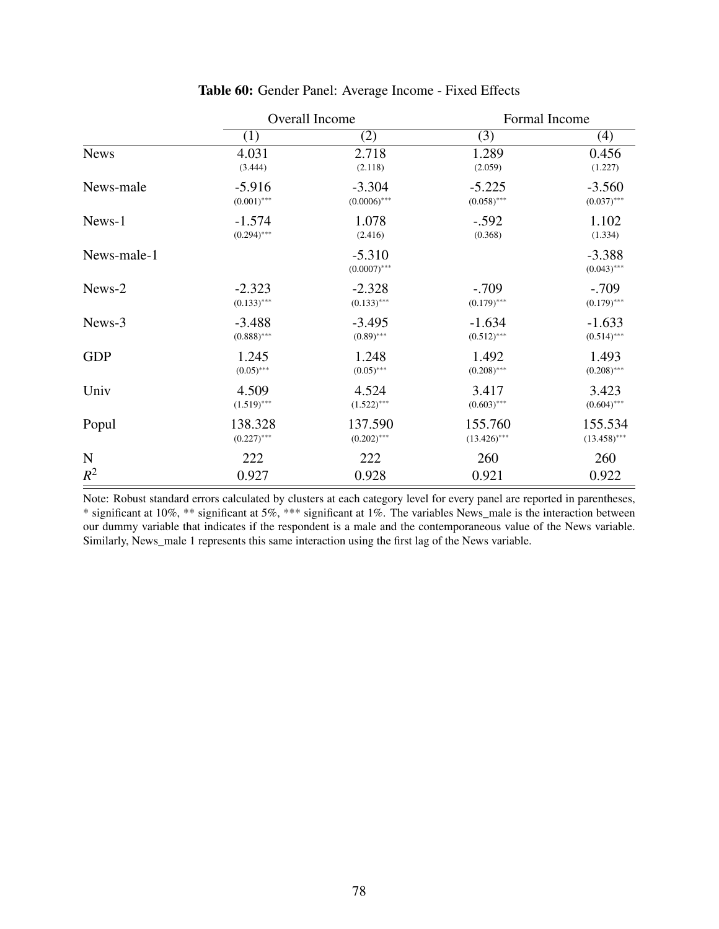|             | Overall Income |                            | Formal Income  |                           |
|-------------|----------------|----------------------------|----------------|---------------------------|
|             | (1)            | (2)                        | (3)            | (4)                       |
| <b>News</b> | 4.031          | 2.718                      | 1.289          | 0.456                     |
|             | (3.444)        | (2.118)                    | (2.059)        | (1.227)                   |
| News-male   | $-5.916$       | $-3.304$                   | $-5.225$       | $-3.560$                  |
|             | $(0.001)$ ***  | $(0.0006)$ ***             | $(0.058)$ ***  | $(0.037)$ ***             |
| News-1      | $-1.574$       | 1.078                      | $-.592$        | 1.102                     |
|             | $(0.294)$ ***  | (2.416)                    | (0.368)        | (1.334)                   |
| News-male-1 |                | $-5.310$<br>$(0.0007)$ *** |                | $-3.388$<br>$(0.043)$ *** |
| News-2      | $-2.323$       | $-2.328$                   | $-.709$        | $-.709$                   |
|             | $(0.133)$ ***  | $(0.133)$ ***              | $(0.179)$ ***  | $(0.179)$ ***             |
| News-3      | $-3.488$       | $-3.495$                   | $-1.634$       | $-1.633$                  |
|             | $(0.888)$ ***  | $(0.89)$ ***               | $(0.512)$ ***  | $(0.514)$ ***             |
| <b>GDP</b>  | 1.245          | 1.248                      | 1.492          | 1.493                     |
|             | $(0.05)$ ***   | $(0.05)$ ***               | $(0.208)$ ***  | $(0.208)$ ***             |
| Univ        | 4.509          | 4.524                      | 3.417          | 3.423                     |
|             | $(1.519)$ ***  | $(1.522)$ ***              | $(0.603)$ ***  | $(0.604)$ ***             |
| Popul       | 138.328        | 137.590                    | 155.760        | 155.534                   |
|             | $(0.227)$ ***  | $(0.202)$ ***              | $(13.426)$ *** | $(13.458)$ ***            |
| ${\bf N}$   | 222            | 222                        | 260            | 260                       |
| $R^2$       | 0.927          | 0.928                      | 0.921          | 0.922                     |

# Table 60: Gender Panel: Average Income - Fixed Effects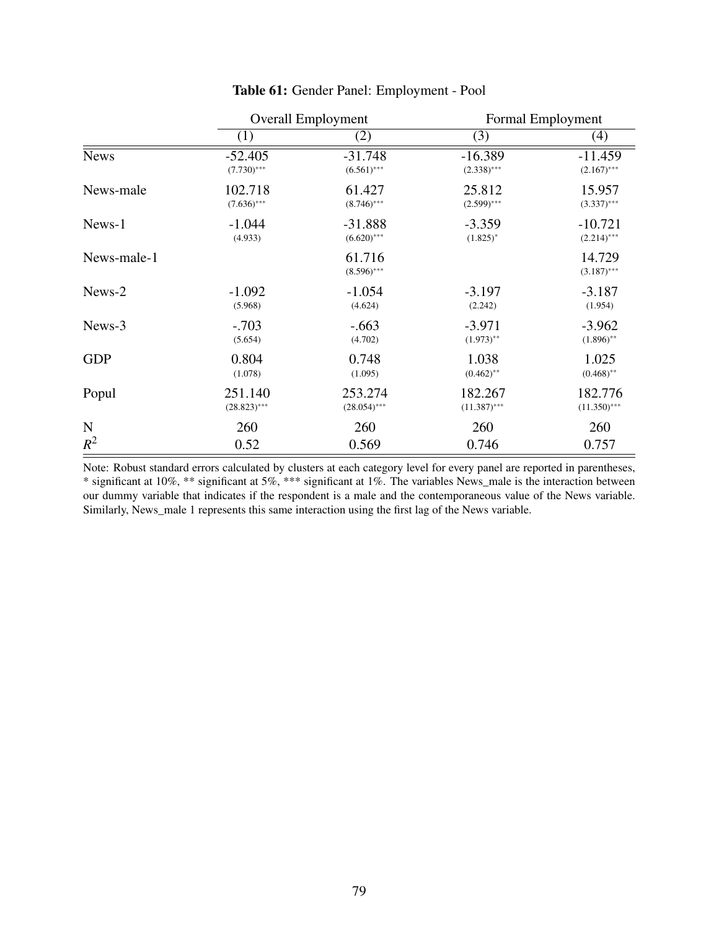|             | <b>Overall Employment</b> |                         | Formal Employment |                         |
|-------------|---------------------------|-------------------------|-------------------|-------------------------|
|             | (1)                       | (2)                     | (3)               | (4)                     |
| <b>News</b> | $-52.405$                 | $-31.748$               | $-16.389$         | $-11.459$               |
|             | $(7.730)$ ***             | $(6.561)$ ***           | $(2.338)$ ***     | $(2.167)$ ***           |
| News-male   | 102.718                   | 61.427                  | 25.812            | 15.957                  |
|             | $(7.636)$ ***             | $(8.746)$ ***           | $(2.599)$ ***     | $(3.337)$ ***           |
| News-1      | $-1.044$                  | $-31.888$               | $-3.359$          | $-10.721$               |
|             | (4.933)                   | $(6.620)$ ***           | $(1.825)^*$       | $(2.214)$ ***           |
| News-male-1 |                           | 61.716<br>$(8.596)$ *** |                   | 14.729<br>$(3.187)$ *** |
| News-2      | $-1.092$                  | $-1.054$                | $-3.197$          | $-3.187$                |
|             | (5.968)                   | (4.624)                 | (2.242)           | (1.954)                 |
| News-3      | $-.703$                   | $-.663$                 | $-3.971$          | $-3.962$                |
|             | (5.654)                   | (4.702)                 | $(1.973)$ **      | $(1.896)$ **            |
| <b>GDP</b>  | 0.804                     | 0.748                   | 1.038             | 1.025                   |
|             | (1.078)                   | (1.095)                 | $(0.462)$ **      | $(0.468)$ **            |
| Popul       | 251.140                   | 253.274                 | 182.267           | 182.776                 |
|             | $(28.823)$ ***            | $(28.054)$ ***          | $(11.387)$ ***    | $(11.350)$ ***          |
| N           | 260                       | 260                     | 260               | 260                     |
| $R^2$       | 0.52                      | 0.569                   | 0.746             | 0.757                   |

# Table 61: Gender Panel: Employment - Pool